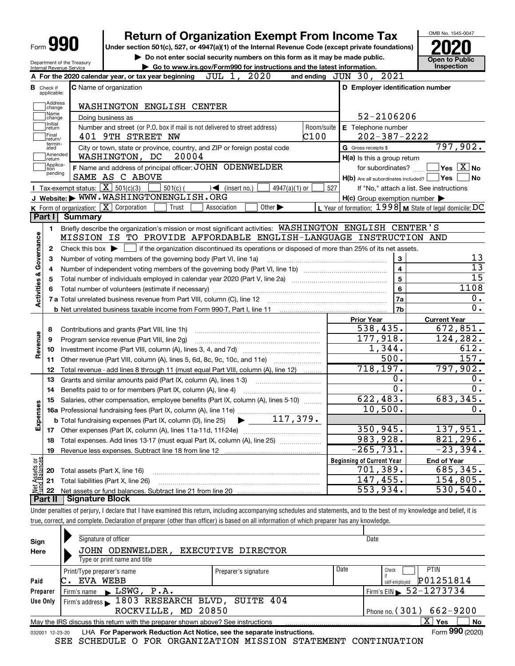| Form | П |
|------|---|
|------|---|

Department of the Treasury Internal Revenue Service

# Return of Organization Exempt From Income Tax  $\overline{\text{P}}$   $\overline{\text{P}}$

Under section 501(c), 527, or 4947(a)(1) of the Internal Revenue Code (except private foundations)  $\bullet$  Do not enter social security numbers on this form as it may be made public.<br>  $\bullet$  Go to www.irs.gov/Form990 for instructions and the latest information. Inspection

| Go to www.irs.gov/Form990 for instructions and the latest information. Inspection



| A For the 2020 calendar year, or tax year beginning JUL 1, 2020<br>and ending JUN 30, 2021 |                                                   |                                                                                                                                             |                                                           |                                           |  |  |  |
|--------------------------------------------------------------------------------------------|---------------------------------------------------|---------------------------------------------------------------------------------------------------------------------------------------------|-----------------------------------------------------------|-------------------------------------------|--|--|--|
|                                                                                            | <b>B</b> Check if<br>applicable:                  | <b>C</b> Name of organization                                                                                                               | D Employer identification number                          |                                           |  |  |  |
| Address<br>change<br>WASHINGTON ENGLISH CENTER                                             |                                                   |                                                                                                                                             |                                                           |                                           |  |  |  |
|                                                                                            | Name<br>52-2106206<br>Doing business as<br>change |                                                                                                                                             |                                                           |                                           |  |  |  |
|                                                                                            | Initial<br>return                                 | Number and street (or P.O. box if mail is not delivered to street address)                                                                  | E Telephone number<br>Room/suite                          |                                           |  |  |  |
|                                                                                            | Final<br>return/                                  | C100<br>401 9TH STREET NW                                                                                                                   | $202 - 387 - 2222$                                        |                                           |  |  |  |
|                                                                                            | termin-<br>ated                                   | City or town, state or province, country, and ZIP or foreign postal code                                                                    | G Gross receipts \$                                       | 797,902.                                  |  |  |  |
|                                                                                            | Amended<br>return                                 | WASHINGTON, DC<br>20004                                                                                                                     | $H(a)$ is this a group return                             |                                           |  |  |  |
|                                                                                            | Applica-<br>tion<br>pending                       | F Name and address of principal officer: JOHN ODENWELDER                                                                                    | for subordinates?                                         | $\overline{\ }$ Yes $\overline{\ \ X}$ No |  |  |  |
|                                                                                            |                                                   | SAME AS C ABOVE                                                                                                                             | $H(b)$ Are all subordinates included? $\Box$ Yes          | <b>No</b>                                 |  |  |  |
|                                                                                            |                                                   | Tax-exempt status: $\boxed{\mathbf{X}}$ 501(c)(3)<br>$501(c)$ (<br>$\sqrt{\phantom{a}}$ (insert no.)<br>$4947(a)(1)$ or                     | 527                                                       | If "No," attach a list. See instructions  |  |  |  |
|                                                                                            |                                                   | J Website: WWW.WASHINGTONENGLISH.ORG                                                                                                        | $H(c)$ Group exemption number $\blacktriangleright$       |                                           |  |  |  |
|                                                                                            |                                                   | <b>K</b> Form of organization: $\boxed{\mathbf{X}}$ Corporation<br>Trust<br>Other $\blacktriangleright$<br>Association                      | L Year of formation: 1998   M State of legal domicile: DC |                                           |  |  |  |
|                                                                                            | Part I                                            | Summary                                                                                                                                     |                                                           |                                           |  |  |  |
|                                                                                            | $\mathbf{1}$                                      | Briefly describe the organization's mission or most significant activities: WASHINGTON ENGLISH CENTER'S                                     |                                                           |                                           |  |  |  |
| Activities & Governance                                                                    |                                                   | MISSION IS TO PROVIDE AFFORDABLE ENGLISH-LANGUAGE INSTRUCTION AND                                                                           |                                                           |                                           |  |  |  |
|                                                                                            | $\mathbf{2}$                                      | Check this box $\blacktriangleright$ $\Box$ if the organization discontinued its operations or disposed of more than 25% of its net assets. |                                                           |                                           |  |  |  |
|                                                                                            | 3                                                 | Number of voting members of the governing body (Part VI, line 1a)                                                                           | 3                                                         | 13<br>$\overline{13}$                     |  |  |  |
|                                                                                            | 4                                                 |                                                                                                                                             | $\overline{\mathbf{4}}$                                   |                                           |  |  |  |
|                                                                                            | 5                                                 | Total number of individuals employed in calendar year 2020 (Part V, line 2a) <i>mummumumumumumum</i>                                        | $\overline{5}$                                            | 15                                        |  |  |  |
|                                                                                            | 6                                                 |                                                                                                                                             | 6                                                         | 1108                                      |  |  |  |
|                                                                                            |                                                   |                                                                                                                                             | 7a                                                        | $0$ .<br>0.                               |  |  |  |
|                                                                                            |                                                   |                                                                                                                                             | 7b                                                        |                                           |  |  |  |
|                                                                                            |                                                   |                                                                                                                                             | <b>Prior Year</b><br>538,435.                             | <b>Current Year</b><br>672,851.           |  |  |  |
|                                                                                            | 8                                                 | Contributions and grants (Part VIII, line 1h)                                                                                               | 177,918.                                                  | 124,282.                                  |  |  |  |
| Revenue                                                                                    | 9<br>10                                           | Program service revenue (Part VIII, line 2g)                                                                                                | $\overline{1,344}$ .                                      | 612.                                      |  |  |  |
|                                                                                            |                                                   | 11 Other revenue (Part VIII, column (A), lines 5, 6d, 8c, 9c, 10c, and 11e)                                                                 | 500.                                                      | 157.                                      |  |  |  |
|                                                                                            | 12                                                | Total revenue - add lines 8 through 11 (must equal Part VIII, column (A), line 12)                                                          | 718, 197.                                                 | 797,902.                                  |  |  |  |
|                                                                                            | 13                                                | Grants and similar amounts paid (Part IX, column (A), lines 1-3) <i></i>                                                                    | 0.                                                        | 0.                                        |  |  |  |
|                                                                                            | 14                                                |                                                                                                                                             | $\overline{0}$ .                                          | $\overline{0}$ .                          |  |  |  |
|                                                                                            |                                                   | 15 Salaries, other compensation, employee benefits (Part IX, column (A), lines 5-10)                                                        | 622, 483.                                                 | 683,345.                                  |  |  |  |
| Expenses                                                                                   |                                                   |                                                                                                                                             | 10,500.                                                   | 0.                                        |  |  |  |
|                                                                                            |                                                   | $\blacktriangleright$ 117,379.<br><b>b</b> Total fundraising expenses (Part IX, column (D), line 25)                                        |                                                           |                                           |  |  |  |
|                                                                                            |                                                   |                                                                                                                                             | 350, 945.                                                 | 137,951.                                  |  |  |  |
|                                                                                            |                                                   |                                                                                                                                             | 983,928.                                                  | 821, 296.                                 |  |  |  |
|                                                                                            | 19                                                |                                                                                                                                             | $-265,731.$                                               | $-23,394.$                                |  |  |  |
| ទង្គ                                                                                       |                                                   |                                                                                                                                             | <b>Beginning of Current Year</b>                          | <b>End of Year</b>                        |  |  |  |
| Assets                                                                                     |                                                   | 20 Total assets (Part X, line 16)                                                                                                           | 701,389.                                                  | 685,345.                                  |  |  |  |
|                                                                                            |                                                   | 21 Total liabilities (Part X, line 26)                                                                                                      | 147,455.                                                  | 154,805.                                  |  |  |  |
| ₫                                                                                          | 22                                                |                                                                                                                                             | 553,934.                                                  | $\overline{530,540}$ .                    |  |  |  |
|                                                                                            | Part II                                           | Signature Block                                                                                                                             |                                                           |                                           |  |  |  |

Under penalties of perjury, I declare that I have examined this return, including accompanying schedules and statements, and to the best of my knowledge and belief, it is true, correct, and complete. Declaration of preparer (other than officer) is based on all information of which preparer has any knowledge.

| Sign     | Signature of officer                                                                                         |                      |      | Date                         |  |  |  |  |
|----------|--------------------------------------------------------------------------------------------------------------|----------------------|------|------------------------------|--|--|--|--|
| Here     | JOHN ODENWELDER,                                                                                             | EXECUTIVE DIRECTOR   |      |                              |  |  |  |  |
|          | Type or print name and title                                                                                 |                      |      |                              |  |  |  |  |
|          | Print/Type preparer's name                                                                                   | Preparer's signature | Date | <b>PTIN</b><br>Check         |  |  |  |  |
| Paid     | EVA WEBB                                                                                                     |                      |      | P01251814<br>self-employed   |  |  |  |  |
| Preparer | $\blacktriangleright$ LSWG, P.A.<br>Firm's name                                                              |                      |      | Firm's EIN $\, 52 - 1273734$ |  |  |  |  |
| Use Only | Firm's address > 1803 RESEARCH BLVD, SUITE 404                                                               |                      |      |                              |  |  |  |  |
|          | ROCKVILLE, MD 20850                                                                                          |                      |      | Phone no. $(301)$ 662-9200   |  |  |  |  |
|          | X.<br><b>No</b><br>Yes<br>May the IRS discuss this return with the preparer shown above? See instructions    |                      |      |                              |  |  |  |  |
|          | Form 990 (2020)<br>LHA For Paperwork Reduction Act Notice, see the separate instructions.<br>032001 12-23-20 |                      |      |                              |  |  |  |  |
|          |                                                                                                              |                      |      |                              |  |  |  |  |

SEE SCHEDULE O FOR ORGANIZATION MISSION STATEMENT CONTINUATION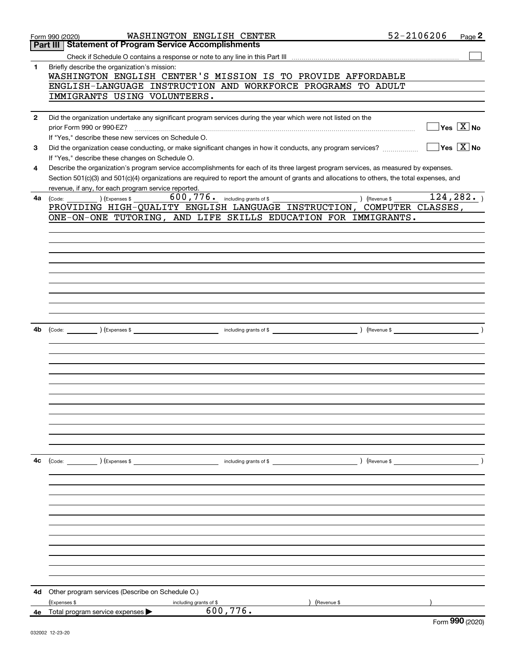|                | WASHINGTON ENGLISH CENTER<br>Form 990 (2020)                                                                                                                    | 52-2106206    | Page 2                                          |
|----------------|-----------------------------------------------------------------------------------------------------------------------------------------------------------------|---------------|-------------------------------------------------|
|                | <b>Statement of Program Service Accomplishments</b><br>Part III                                                                                                 |               |                                                 |
|                |                                                                                                                                                                 |               |                                                 |
| 1              | Briefly describe the organization's mission:<br>WASHINGTON ENGLISH CENTER'S MISSION IS TO PROVIDE AFFORDABLE                                                    |               |                                                 |
|                | ENGLISH-LANGUAGE INSTRUCTION AND WORKFORCE PROGRAMS TO ADULT                                                                                                    |               |                                                 |
|                | IMMIGRANTS USING VOLUNTEERS.                                                                                                                                    |               |                                                 |
| $\overline{2}$ | Did the organization undertake any significant program services during the year which were not listed on the                                                    |               |                                                 |
|                | prior Form 990 or 990-EZ?                                                                                                                                       |               | $\Box$ Yes $[\overline{\mathrm{X}}]$ No         |
|                | If "Yes," describe these new services on Schedule O.                                                                                                            |               |                                                 |
| 3              | Did the organization cease conducting, or make significant changes in how it conducts, any program services?                                                    |               | $\boxed{\phantom{1}}$ Yes $\boxed{\text{X}}$ No |
|                | If "Yes," describe these changes on Schedule O.                                                                                                                 |               |                                                 |
| 4              | Describe the organization's program service accomplishments for each of its three largest program services, as measured by expenses.                            |               |                                                 |
|                | Section 501(c)(3) and 501(c)(4) organizations are required to report the amount of grants and allocations to others, the total expenses, and                    |               |                                                 |
|                | revenue, if any, for each program service reported.                                                                                                             |               |                                                 |
| 4a             | $\frac{1}{2}$ (Code: ) (Expenses \$ 600, 776. including grants of \$<br>) (Revenue \$<br>PROVIDING HIGH-QUALITY ENGLISH LANGUAGE INSTRUCTION, COMPUTER CLASSES, |               | 124, 282.                                       |
|                | ONE-ON-ONE TUTORING, AND LIFE SKILLS EDUCATION FOR IMMIGRANTS.                                                                                                  |               |                                                 |
|                |                                                                                                                                                                 |               |                                                 |
|                |                                                                                                                                                                 |               |                                                 |
|                |                                                                                                                                                                 |               |                                                 |
|                |                                                                                                                                                                 |               |                                                 |
|                |                                                                                                                                                                 |               |                                                 |
|                |                                                                                                                                                                 |               |                                                 |
|                |                                                                                                                                                                 |               |                                                 |
|                |                                                                                                                                                                 |               |                                                 |
|                |                                                                                                                                                                 |               |                                                 |
| 4b             |                                                                                                                                                                 |               |                                                 |
|                |                                                                                                                                                                 |               |                                                 |
|                |                                                                                                                                                                 |               |                                                 |
|                |                                                                                                                                                                 |               |                                                 |
|                |                                                                                                                                                                 |               |                                                 |
|                |                                                                                                                                                                 |               |                                                 |
|                |                                                                                                                                                                 |               |                                                 |
|                |                                                                                                                                                                 |               |                                                 |
|                |                                                                                                                                                                 |               |                                                 |
|                |                                                                                                                                                                 |               |                                                 |
|                |                                                                                                                                                                 |               |                                                 |
|                |                                                                                                                                                                 |               |                                                 |
| 4c             | $\left(\text{Code:}\begin{array}{c}\right.\ \text{(Code:}\end{array}\right)$<br>$\blacksquare$ including grants of \$                                           | ) (Revenue \$ |                                                 |
|                |                                                                                                                                                                 |               |                                                 |
|                |                                                                                                                                                                 |               |                                                 |
|                |                                                                                                                                                                 |               |                                                 |
|                |                                                                                                                                                                 |               |                                                 |
|                |                                                                                                                                                                 |               |                                                 |
|                |                                                                                                                                                                 |               |                                                 |
|                |                                                                                                                                                                 |               |                                                 |
|                |                                                                                                                                                                 |               |                                                 |
|                |                                                                                                                                                                 |               |                                                 |
|                |                                                                                                                                                                 |               |                                                 |
|                |                                                                                                                                                                 |               |                                                 |
| 4d             | Other program services (Describe on Schedule O.)                                                                                                                |               |                                                 |
| 4е             | (Expenses \$<br>(Revenue \$<br>including grants of \$<br>600,776.<br>Total program service expenses                                                             |               |                                                 |
|                |                                                                                                                                                                 |               | റററ                                             |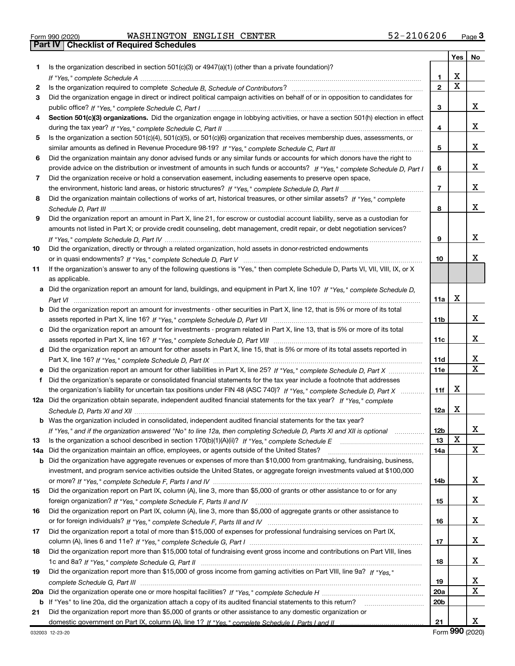|  | Form 990 (2020) |
|--|-----------------|

Part IV | Checklist of Required Schedules

|     |                                                                                                                                  |                 | Yes | No |
|-----|----------------------------------------------------------------------------------------------------------------------------------|-----------------|-----|----|
| 1   | Is the organization described in section $501(c)(3)$ or $4947(a)(1)$ (other than a private foundation)?                          |                 |     |    |
|     |                                                                                                                                  | 1               | x   |    |
| 2   |                                                                                                                                  | $\mathbf{2}$    | X   |    |
| 3   | Did the organization engage in direct or indirect political campaign activities on behalf of or in opposition to candidates for  |                 |     |    |
|     |                                                                                                                                  | 3               |     | X. |
| 4   | Section 501(c)(3) organizations. Did the organization engage in lobbying activities, or have a section 501(h) election in effect |                 |     |    |
|     |                                                                                                                                  | 4               |     | x  |
| 5   | Is the organization a section 501(c)(4), 501(c)(5), or 501(c)(6) organization that receives membership dues, assessments, or     |                 |     |    |
|     |                                                                                                                                  | 5               |     | x  |
| 6   | Did the organization maintain any donor advised funds or any similar funds or accounts for which donors have the right to        |                 |     |    |
|     | provide advice on the distribution or investment of amounts in such funds or accounts? If "Yes," complete Schedule D, Part I     | 6               |     | x  |
| 7   | Did the organization receive or hold a conservation easement, including easements to preserve open space,                        |                 |     |    |
|     |                                                                                                                                  | $\overline{7}$  |     | x  |
| 8   | Did the organization maintain collections of works of art, historical treasures, or other similar assets? If "Yes," complete     |                 |     |    |
|     |                                                                                                                                  | 8               |     | x  |
| 9   | Did the organization report an amount in Part X, line 21, for escrow or custodial account liability, serve as a custodian for    |                 |     |    |
|     | amounts not listed in Part X; or provide credit counseling, debt management, credit repair, or debt negotiation services?        |                 |     |    |
|     |                                                                                                                                  | 9               |     | x  |
| 10  | Did the organization, directly or through a related organization, hold assets in donor-restricted endowments                     |                 |     |    |
|     |                                                                                                                                  | 10              |     | x  |
| 11  | If the organization's answer to any of the following questions is "Yes," then complete Schedule D, Parts VI, VII, VIII, IX, or X |                 |     |    |
|     | as applicable.                                                                                                                   |                 |     |    |
| а   | Did the organization report an amount for land, buildings, and equipment in Part X, line 10? If "Yes," complete Schedule D,      |                 | x   |    |
|     |                                                                                                                                  | 11a             |     |    |
| b   | Did the organization report an amount for investments - other securities in Part X, line 12, that is 5% or more of its total     |                 |     | x  |
|     |                                                                                                                                  | 11 <sub>b</sub> |     |    |
|     | c Did the organization report an amount for investments - program related in Part X, line 13, that is 5% or more of its total    | 11c             |     | х  |
|     | d Did the organization report an amount for other assets in Part X, line 15, that is 5% or more of its total assets reported in  |                 |     |    |
|     |                                                                                                                                  | <b>11d</b>      |     | X  |
| е   | Did the organization report an amount for other liabilities in Part X, line 25? If "Yes," complete Schedule D, Part X            | 11e             |     | X  |
| f   | Did the organization's separate or consolidated financial statements for the tax year include a footnote that addresses          |                 |     |    |
|     | the organization's liability for uncertain tax positions under FIN 48 (ASC 740)? If "Yes," complete Schedule D, Part X           | 11f             | х   |    |
|     | 12a Did the organization obtain separate, independent audited financial statements for the tax year? If "Yes," complete          |                 |     |    |
|     |                                                                                                                                  | 12a             | x   |    |
| b   | Was the organization included in consolidated, independent audited financial statements for the tax year?                        |                 |     |    |
|     | If "Yes," and if the organization answered "No" to line 12a, then completing Schedule D, Parts XI and XII is optional            | 12 <sub>b</sub> |     | X  |
| 13  | Is the organization a school described in section 170(b)(1)(A)(ii)? If "Yes," complete Schedule E                                | 13              | X   |    |
| 14a | Did the organization maintain an office, employees, or agents outside of the United States?                                      | 14a             |     | x  |
| b   | Did the organization have aggregate revenues or expenses of more than \$10,000 from grantmaking, fundraising, business,          |                 |     |    |
|     | investment, and program service activities outside the United States, or aggregate foreign investments valued at \$100,000       |                 |     |    |
|     |                                                                                                                                  | 14b             |     | X. |
| 15  | Did the organization report on Part IX, column (A), line 3, more than \$5,000 of grants or other assistance to or for any        |                 |     |    |
|     |                                                                                                                                  | 15              |     | x  |
| 16  | Did the organization report on Part IX, column (A), line 3, more than \$5,000 of aggregate grants or other assistance to         |                 |     |    |
|     |                                                                                                                                  | 16              |     | x  |
| 17  | Did the organization report a total of more than \$15,000 of expenses for professional fundraising services on Part IX,          |                 |     |    |
|     |                                                                                                                                  | 17              |     | X. |
| 18  | Did the organization report more than \$15,000 total of fundraising event gross income and contributions on Part VIII, lines     |                 |     |    |
|     |                                                                                                                                  | 18              |     | X. |
| 19  | Did the organization report more than \$15,000 of gross income from gaming activities on Part VIII, line 9a? If "Yes."           |                 |     |    |
|     |                                                                                                                                  | 19              |     | X  |
| 20a |                                                                                                                                  | 20a             |     | x  |
| b   | If "Yes" to line 20a, did the organization attach a copy of its audited financial statements to this return?                     | 20 <sub>b</sub> |     |    |
| 21  | Did the organization report more than \$5,000 of grants or other assistance to any domestic organization or                      |                 |     |    |
|     |                                                                                                                                  | 21              |     | x  |

Form 990 (2020)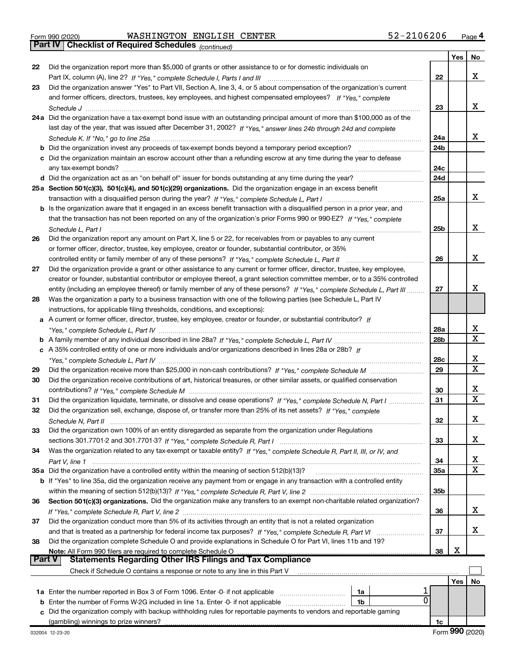|  | Form 990 (2020) |
|--|-----------------|

Part IV | Checklist of Required Schedules

(continued)

|        |                                                                                                                                                                                                                                                            |                 | Yes | No                      |
|--------|------------------------------------------------------------------------------------------------------------------------------------------------------------------------------------------------------------------------------------------------------------|-----------------|-----|-------------------------|
| 22     | Did the organization report more than \$5,000 of grants or other assistance to or for domestic individuals on                                                                                                                                              |                 |     |                         |
|        |                                                                                                                                                                                                                                                            | 22              |     | х                       |
| 23     | Did the organization answer "Yes" to Part VII, Section A, line 3, 4, or 5 about compensation of the organization's current                                                                                                                                 |                 |     |                         |
|        | and former officers, directors, trustees, key employees, and highest compensated employees? If "Yes," complete                                                                                                                                             |                 |     | х                       |
|        | 24a Did the organization have a tax-exempt bond issue with an outstanding principal amount of more than \$100,000 as of the                                                                                                                                | 23              |     |                         |
|        | last day of the year, that was issued after December 31, 2002? If "Yes," answer lines 24b through 24d and complete                                                                                                                                         |                 |     |                         |
|        |                                                                                                                                                                                                                                                            | 24a             |     | х                       |
|        | <b>b</b> Did the organization invest any proceeds of tax-exempt bonds beyond a temporary period exception?                                                                                                                                                 | 24b             |     |                         |
|        | c Did the organization maintain an escrow account other than a refunding escrow at any time during the year to defease                                                                                                                                     |                 |     |                         |
|        | any tax-exempt bonds?                                                                                                                                                                                                                                      | 24c             |     |                         |
|        |                                                                                                                                                                                                                                                            | 24d             |     |                         |
|        | 25a Section 501(c)(3), 501(c)(4), and 501(c)(29) organizations. Did the organization engage in an excess benefit                                                                                                                                           |                 |     |                         |
|        |                                                                                                                                                                                                                                                            | 25a             |     | x                       |
|        | b Is the organization aware that it engaged in an excess benefit transaction with a disqualified person in a prior year, and                                                                                                                               |                 |     |                         |
|        | that the transaction has not been reported on any of the organization's prior Forms 990 or 990-EZ? If "Yes," complete                                                                                                                                      |                 |     |                         |
|        | Schedule L, Part I                                                                                                                                                                                                                                         | 25b             |     | х                       |
| 26     | Did the organization report any amount on Part X, line 5 or 22, for receivables from or payables to any current                                                                                                                                            |                 |     |                         |
|        | or former officer, director, trustee, key employee, creator or founder, substantial contributor, or 35%                                                                                                                                                    |                 |     | X                       |
|        |                                                                                                                                                                                                                                                            | 26              |     |                         |
| 27     | Did the organization provide a grant or other assistance to any current or former officer, director, trustee, key employee,<br>creator or founder, substantial contributor or employee thereof, a grant selection committee member, or to a 35% controlled |                 |     |                         |
|        | entity (including an employee thereof) or family member of any of these persons? If "Yes," complete Schedule L, Part III                                                                                                                                   | 27              |     | X                       |
| 28     | Was the organization a party to a business transaction with one of the following parties (see Schedule L, Part IV                                                                                                                                          |                 |     |                         |
|        | instructions, for applicable filing thresholds, conditions, and exceptions):                                                                                                                                                                               |                 |     |                         |
|        | a A current or former officer, director, trustee, key employee, creator or founder, or substantial contributor? If                                                                                                                                         |                 |     |                         |
|        |                                                                                                                                                                                                                                                            | 28a             |     | х                       |
|        |                                                                                                                                                                                                                                                            | 28b             |     | $\mathbf X$             |
|        | c A 35% controlled entity of one or more individuals and/or organizations described in lines 28a or 28b? If                                                                                                                                                |                 |     |                         |
|        |                                                                                                                                                                                                                                                            | 28c             |     | х                       |
| 29     |                                                                                                                                                                                                                                                            | 29              |     | $\overline{\mathbf{x}}$ |
| 30     | Did the organization receive contributions of art, historical treasures, or other similar assets, or qualified conservation                                                                                                                                |                 |     |                         |
|        |                                                                                                                                                                                                                                                            | 30              |     | х<br>$\mathbf X$        |
| 31     | Did the organization liquidate, terminate, or dissolve and cease operations? If "Yes," complete Schedule N, Part I                                                                                                                                         | 31              |     |                         |
| 32     | Did the organization sell, exchange, dispose of, or transfer more than 25% of its net assets? If "Yes," complete                                                                                                                                           |                 |     | X                       |
|        | Schedule N, Part II<br>Did the organization own 100% of an entity disregarded as separate from the organization under Regulations                                                                                                                          | 32              |     |                         |
| 33     |                                                                                                                                                                                                                                                            | 33              |     | х                       |
| 34     | Was the organization related to any tax-exempt or taxable entity? If "Yes," complete Schedule R, Part II, III, or IV, and                                                                                                                                  |                 |     |                         |
|        |                                                                                                                                                                                                                                                            | 34              |     | х                       |
|        | 35a Did the organization have a controlled entity within the meaning of section 512(b)(13)?                                                                                                                                                                | <b>35a</b>      |     | $\mathbf X$             |
|        | b If "Yes" to line 35a, did the organization receive any payment from or engage in any transaction with a controlled entity                                                                                                                                |                 |     |                         |
|        |                                                                                                                                                                                                                                                            | 35 <sub>b</sub> |     |                         |
| 36     | Section 501(c)(3) organizations. Did the organization make any transfers to an exempt non-charitable related organization?                                                                                                                                 |                 |     |                         |
|        |                                                                                                                                                                                                                                                            | 36              |     | X                       |
| 37     | Did the organization conduct more than 5% of its activities through an entity that is not a related organization                                                                                                                                           |                 |     |                         |
|        | and that is treated as a partnership for federal income tax purposes? If "Yes," complete Schedule R, Part VI                                                                                                                                               | 37              |     | x                       |
| 38     | Did the organization complete Schedule O and provide explanations in Schedule O for Part VI, lines 11b and 19?                                                                                                                                             |                 | х   |                         |
| Part V | Note: All Form 990 filers are required to complete Schedule O<br><b>Statements Regarding Other IRS Filings and Tax Compliance</b>                                                                                                                          | 38              |     |                         |
|        | Check if Schedule O contains a response or note to any line in this Part V                                                                                                                                                                                 |                 |     |                         |
|        |                                                                                                                                                                                                                                                            |                 | Yes | No                      |
|        | 1a Enter the number reported in Box 3 of Form 1096. Enter -0- if not applicable<br>1a                                                                                                                                                                      |                 |     |                         |
|        | 0<br><b>b</b> Enter the number of Forms W-2G included in line 1a. Enter -0- if not applicable<br>1b                                                                                                                                                        |                 |     |                         |
|        | Did the organization comply with backup withholding rules for reportable payments to vendors and reportable gaming                                                                                                                                         |                 |     |                         |
|        | (gambling) winnings to prize winners?                                                                                                                                                                                                                      | 1c              |     |                         |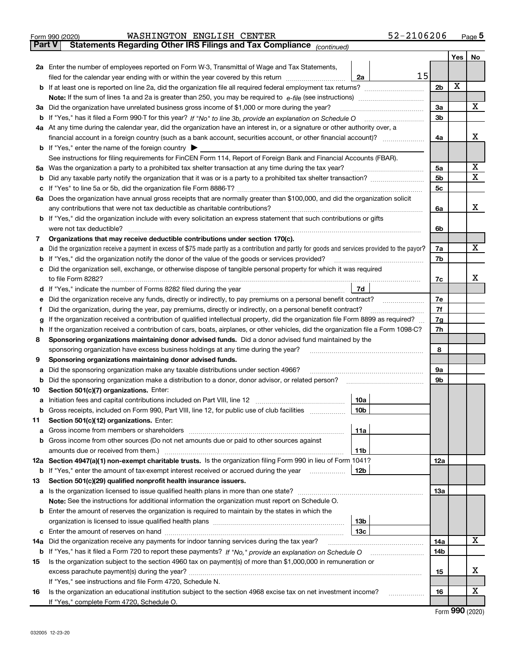|        | 52-2106206<br>WASHINGTON ENGLISH CENTER<br>Form 990 (2020)                                                                                      |                |     | Page $5$ |  |
|--------|-------------------------------------------------------------------------------------------------------------------------------------------------|----------------|-----|----------|--|
| Part V | Statements Regarding Other IRS Filings and Tax Compliance (continued)                                                                           |                |     |          |  |
|        |                                                                                                                                                 |                | Yes | No       |  |
|        | 2a Enter the number of employees reported on Form W-3, Transmittal of Wage and Tax Statements,                                                  |                |     |          |  |
|        | 15<br>filed for the calendar year ending with or within the year covered by this return<br>2a                                                   |                |     |          |  |
|        | <b>b</b> If at least one is reported on line 2a, did the organization file all required federal employment tax returns?                         | 2 <sub>b</sub> | X   |          |  |
|        |                                                                                                                                                 |                |     |          |  |
|        | 3a Did the organization have unrelated business gross income of \$1,000 or more during the year?                                                | 3a             |     | X        |  |
|        |                                                                                                                                                 | 3 <sub>b</sub> |     |          |  |
|        | 4a At any time during the calendar year, did the organization have an interest in, or a signature or other authority over, a                    |                |     |          |  |
|        | financial account in a foreign country (such as a bank account, securities account, or other financial account)?                                | 4a             |     | х        |  |
|        | <b>b</b> If "Yes," enter the name of the foreign country $\blacktriangleright$                                                                  |                |     |          |  |
|        | See instructions for filing requirements for FinCEN Form 114, Report of Foreign Bank and Financial Accounts (FBAR).                             |                |     | х        |  |
|        | 5a Was the organization a party to a prohibited tax shelter transaction at any time during the tax year?                                        | 5a             |     | X        |  |
| b      |                                                                                                                                                 | 5 <sub>b</sub> |     |          |  |
| с      |                                                                                                                                                 | 5c             |     |          |  |
|        | 6a Does the organization have annual gross receipts that are normally greater than \$100,000, and did the organization solicit                  |                |     | x        |  |
|        | any contributions that were not tax deductible as charitable contributions?                                                                     | 6a             |     |          |  |
|        | <b>b</b> If "Yes," did the organization include with every solicitation an express statement that such contributions or gifts                   |                |     |          |  |
|        | were not tax deductible?<br>Organizations that may receive deductible contributions under section 170(c).                                       | 6b             |     |          |  |
| 7      | Did the organization receive a payment in excess of \$75 made partly as a contribution and partly for goods and services provided to the payor? | 7a             |     | X        |  |
| а<br>b | If "Yes," did the organization notify the donor of the value of the goods or services provided?                                                 | 7b             |     |          |  |
| c      | Did the organization sell, exchange, or otherwise dispose of tangible personal property for which it was required                               |                |     |          |  |
|        | to file Form 8282?                                                                                                                              | 7c             |     | x        |  |
|        | 7d<br>d If "Yes," indicate the number of Forms 8282 filed during the year                                                                       |                |     |          |  |
| е      | Did the organization receive any funds, directly or indirectly, to pay premiums on a personal benefit contract?                                 | 7e             |     |          |  |
| f.     | Did the organization, during the year, pay premiums, directly or indirectly, on a personal benefit contract?                                    | 7f             |     |          |  |
| g      | If the organization received a contribution of qualified intellectual property, did the organization file Form 8899 as required?                | 7g             |     |          |  |
| h.     | If the organization received a contribution of cars, boats, airplanes, or other vehicles, did the organization file a Form 1098-C?              | 7h             |     |          |  |
| 8      | Sponsoring organizations maintaining donor advised funds. Did a donor advised fund maintained by the                                            |                |     |          |  |
|        | sponsoring organization have excess business holdings at any time during the year?                                                              | 8              |     |          |  |
| 9      | Sponsoring organizations maintaining donor advised funds.                                                                                       |                |     |          |  |
| а      | Did the sponsoring organization make any taxable distributions under section 4966?                                                              | <b>9a</b>      |     |          |  |
| b      | Did the sponsoring organization make a distribution to a donor, donor advisor, or related person?                                               | 9b             |     |          |  |
| 10     | Section 501(c)(7) organizations. Enter:                                                                                                         |                |     |          |  |
| а      | Initiation fees and capital contributions included on Part VIII, line 12<br>10a                                                                 |                |     |          |  |
| b      | Gross receipts, included on Form 990, Part VIII, line 12, for public use of club facilities<br>10 <sub>b</sub>                                  |                |     |          |  |
| 11     | Section 501(c)(12) organizations. Enter:                                                                                                        |                |     |          |  |
| а      | Gross income from members or shareholders<br>11a                                                                                                |                |     |          |  |
| b      | Gross income from other sources (Do not net amounts due or paid to other sources against                                                        |                |     |          |  |
|        | 11 <sub>b</sub><br>amounts due or received from them.)                                                                                          |                |     |          |  |
|        | 12a Section 4947(a)(1) non-exempt charitable trusts. Is the organization filing Form 990 in lieu of Form 1041?                                  | 12a            |     |          |  |
| b      | 12 <sub>b</sub><br>If "Yes," enter the amount of tax-exempt interest received or accrued during the year                                        |                |     |          |  |
| 13     | Section 501(c)(29) qualified nonprofit health insurance issuers.                                                                                |                |     |          |  |
| а      |                                                                                                                                                 | <b>13a</b>     |     |          |  |
|        | Note: See the instructions for additional information the organization must report on Schedule O.                                               |                |     |          |  |
|        | <b>b</b> Enter the amount of reserves the organization is required to maintain by the states in which the                                       |                |     |          |  |
|        | 13 <sub>b</sub>                                                                                                                                 |                |     |          |  |
| c      | 13с                                                                                                                                             |                |     |          |  |
| 14a    | Did the organization receive any payments for indoor tanning services during the tax year?                                                      | 14a            |     | x        |  |
| b      |                                                                                                                                                 | 14b            |     |          |  |
| 15     | Is the organization subject to the section 4960 tax on payment(s) of more than \$1,000,000 in remuneration or                                   |                |     |          |  |
|        |                                                                                                                                                 | 15             |     | х        |  |
|        | If "Yes," see instructions and file Form 4720, Schedule N.                                                                                      |                |     |          |  |
| 16     | Is the organization an educational institution subject to the section 4968 excise tax on net investment income?<br>.                            | 16             |     | х        |  |
|        | If "Yes," complete Form 4720, Schedule O.                                                                                                       |                |     |          |  |

| Form 990 (2020) |  |  |
|-----------------|--|--|
|-----------------|--|--|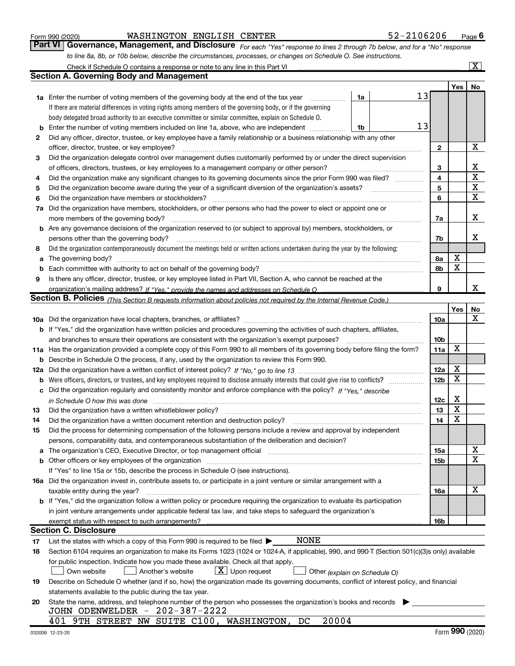|  | Form 990 (2020) |
|--|-----------------|
|  |                 |

#### Form 990 (2020) WASHINGTON ENGLISH CENTER 52-2106206 <sub>Page</sub>

Part VI | Governance, Management, and Disclosure  $F_{Or}$  each "Yes" response to lines 2 through 7b below, and for a "No" response to line 8a, 8b, or 10b below, describe the circumstances, processes, or changes on Schedule O. See instructions.

|          | Check if Schedule O contains a response or note to any line in this Part VI                                                                                                                                                    |    |    |                 |            | $\mathbf{x}$ |
|----------|--------------------------------------------------------------------------------------------------------------------------------------------------------------------------------------------------------------------------------|----|----|-----------------|------------|--------------|
|          | <b>Section A. Governing Body and Management</b>                                                                                                                                                                                |    |    |                 |            |              |
|          |                                                                                                                                                                                                                                |    |    |                 | <b>Yes</b> | No           |
|          | 1a Enter the number of voting members of the governing body at the end of the tax year                                                                                                                                         | 1a | 13 |                 |            |              |
|          | If there are material differences in voting rights among members of the governing body, or if the governing                                                                                                                    |    |    |                 |            |              |
|          | body delegated broad authority to an executive committee or similar committee, explain on Schedule O.                                                                                                                          |    |    |                 |            |              |
| b        | Enter the number of voting members included on line 1a, above, who are independent                                                                                                                                             | 1b | 13 |                 |            |              |
| 2        | Did any officer, director, trustee, or key employee have a family relationship or a business relationship with any other                                                                                                       |    |    |                 |            |              |
|          | officer, director, trustee, or key employee?                                                                                                                                                                                   |    |    | $\mathbf{2}$    |            | $\mathbf X$  |
| 3        | Did the organization delegate control over management duties customarily performed by or under the direct supervision                                                                                                          |    |    |                 |            |              |
|          | of officers, directors, trustees, or key employees to a management company or other person?                                                                                                                                    |    |    | 3               |            | х            |
| 4        | Did the organization make any significant changes to its governing documents since the prior Form 990 was filed?                                                                                                               |    |    | 4               |            | $\mathbf X$  |
| 5        |                                                                                                                                                                                                                                |    |    | 5               |            | $\mathbf X$  |
| 6        | Did the organization have members or stockholders?                                                                                                                                                                             |    |    | 6               |            | $\mathbf X$  |
| 7а       | Did the organization have members, stockholders, or other persons who had the power to elect or appoint one or                                                                                                                 |    |    |                 |            |              |
|          | more members of the governing body?                                                                                                                                                                                            |    |    | 7a              |            | х            |
|          | <b>b</b> Are any governance decisions of the organization reserved to (or subject to approval by) members, stockholders, or                                                                                                    |    |    |                 |            |              |
|          | persons other than the governing body?                                                                                                                                                                                         |    |    | 7b              |            | x            |
| 8        | Did the organization contemporaneously document the meetings held or written actions undertaken during the year by the following:                                                                                              |    |    |                 |            |              |
| a        | The governing body? [11] matter and the contract of the contract of the contract of the contract of the contract of the contract of the contract of the contract of the contract of the contract of the contract of the contra |    |    | 8а              | X          |              |
| b        |                                                                                                                                                                                                                                |    |    | 8b              | X          |              |
| 9        | Is there any officer, director, trustee, or key employee listed in Part VII, Section A, who cannot be reached at the                                                                                                           |    |    |                 |            |              |
|          | organization's mailing address? If "Yes." provide the names and addresses on Schedule O                                                                                                                                        |    |    | 9               |            | х            |
|          | <b>Section B. Policies</b> (This Section B requests information about policies not required by the Internal Revenue Code.)                                                                                                     |    |    |                 |            |              |
|          |                                                                                                                                                                                                                                |    |    |                 | Yes        | No           |
|          |                                                                                                                                                                                                                                |    |    | 10a             |            | х            |
|          | <b>b</b> If "Yes," did the organization have written policies and procedures governing the activities of such chapters, affiliates,                                                                                            |    |    |                 |            |              |
|          | and branches to ensure their operations are consistent with the organization's exempt purposes?                                                                                                                                |    |    | 10 <sub>b</sub> |            |              |
|          | 11a Has the organization provided a complete copy of this Form 990 to all members of its governing body before filing the form?                                                                                                |    |    | 11a             | X          |              |
| b        | Describe in Schedule O the process, if any, used by the organization to review this Form 990.                                                                                                                                  |    |    |                 |            |              |
| 12a      |                                                                                                                                                                                                                                |    |    | 12a             | X          |              |
| b        | Were officers, directors, or trustees, and key employees required to disclose annually interests that could give rise to conflicts?                                                                                            |    |    | 12 <sub>b</sub> | X          |              |
| с        | Did the organization regularly and consistently monitor and enforce compliance with the policy? If "Yes." describe                                                                                                             |    |    |                 |            |              |
|          | in Schedule O how this was done measured and continuum control to the control of the state of the state of the                                                                                                                 |    |    | 12c             | х          |              |
| 13       | Did the organization have a written whistleblower policy?                                                                                                                                                                      |    |    | 13              | X          |              |
| 14       | Did the organization have a written document retention and destruction policy?                                                                                                                                                 |    |    | 14              | X          |              |
| 15       | Did the process for determining compensation of the following persons include a review and approval by independent                                                                                                             |    |    |                 |            |              |
|          | persons, comparability data, and contemporaneous substantiation of the deliberation and decision?                                                                                                                              |    |    |                 |            |              |
| a        | The organization's CEO, Executive Director, or top management official manufactured content of the organization's CEO, Executive Director, or top management official                                                          |    |    | 15a             |            | X            |
|          |                                                                                                                                                                                                                                |    |    | 15b             |            | х            |
|          | If "Yes" to line 15a or 15b, describe the process in Schedule O (see instructions).                                                                                                                                            |    |    |                 |            |              |
|          | 16a Did the organization invest in, contribute assets to, or participate in a joint venture or similar arrangement with a                                                                                                      |    |    |                 |            | $\mathbf X$  |
|          | taxable entity during the year?                                                                                                                                                                                                |    |    | 16a             |            |              |
|          | b If "Yes," did the organization follow a written policy or procedure requiring the organization to evaluate its participation                                                                                                 |    |    |                 |            |              |
|          | in joint venture arrangements under applicable federal tax law, and take steps to safeguard the organization's                                                                                                                 |    |    |                 |            |              |
|          | exempt status with respect to such arrangements?<br><b>Section C. Disclosure</b>                                                                                                                                               |    |    | 16b             |            |              |
|          | NONE<br>List the states with which a copy of this Form 990 is required to be filed $\blacktriangleright$                                                                                                                       |    |    |                 |            |              |
| 17<br>18 | Section 6104 requires an organization to make its Forms 1023 (1024 or 1024-A, if applicable), 990, and 990-T (Section 501(c)(3)s only) available                                                                               |    |    |                 |            |              |
|          | for public inspection. Indicate how you made these available. Check all that apply.                                                                                                                                            |    |    |                 |            |              |
|          | $X$ Upon request<br>Own website<br>Another's website<br>Other (explain on Schedule O)                                                                                                                                          |    |    |                 |            |              |
| 19       | Describe on Schedule O whether (and if so, how) the organization made its governing documents, conflict of interest policy, and financial                                                                                      |    |    |                 |            |              |
|          | statements available to the public during the tax year.                                                                                                                                                                        |    |    |                 |            |              |
| 20       | State the name, address, and telephone number of the person who possesses the organization's books and records                                                                                                                 |    |    |                 |            |              |
|          | JOHN ODENWELDER - 202-387-2222                                                                                                                                                                                                 |    |    |                 |            |              |
|          | 20004<br>401 9TH STREET NW SUITE C100, WASHINGTON, DC                                                                                                                                                                          |    |    |                 |            |              |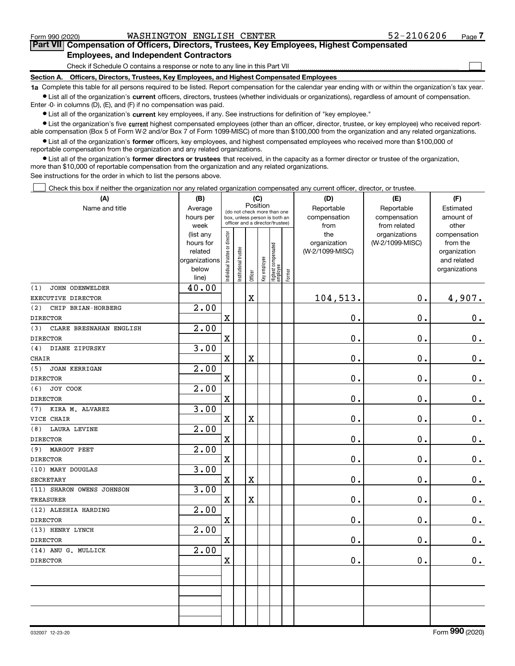$\Box$ 

#### Part VII Compensation of Officers, Directors, Trustees, Key Employees, Highest Compensated Employees, and Independent Contractors

Check if Schedule O contains a response or note to any line in this Part VII

Section A. Officers, Directors, Trustees, Key Employees, and Highest Compensated Employees

1a Complete this table for all persons required to be listed. Report compensation for the calendar year ending with or within the organization's tax year. Ist all of the organization's current officers, directors, trustees (whether individuals or organizations), regardless of amount of compensation.

Enter -0- in columns (D), (E), and (F) if no compensation was paid.

**•** List all of the organization's current key employees, if any. See instructions for definition of "key employee."

● List the organization's five current highest compensated employees (other than an officer, director, trustee, or key employee) who received reportable compensation (Box 5 of Form W-2 and/or Box 7 of Form 1099-MISC) of more than \$100,000 from the organization and any related organizations.

List all of the organization's former officers, key employees, and highest compensated employees who received more than \$100,000 of reportable compensation from the organization and any related organizations.

• List all of the organization's former directors or trustees that received, in the capacity as a former director or trustee of the organization, more than \$10,000 of reportable compensation from the organization and any related organizations.

See instructions for the order in which to list the persons above.

Check this box if neither the organization nor any related organization compensated any current officer, director, or trustee.  $\Box$ 

| (A)                            | (B)                  | (C)                            |                                                                  |         |              |                                 | (D)    | (E)                             | (F)             |                             |
|--------------------------------|----------------------|--------------------------------|------------------------------------------------------------------|---------|--------------|---------------------------------|--------|---------------------------------|-----------------|-----------------------------|
| Name and title                 | Average              |                                | Position<br>(do not check more than one                          |         |              |                                 |        | Reportable                      | Reportable      | Estimated                   |
|                                | hours per            |                                | box, unless person is both an<br>officer and a director/trustee) |         |              |                                 |        | compensation                    | compensation    | amount of                   |
|                                | week                 |                                |                                                                  |         |              |                                 |        | from                            | from related    | other                       |
|                                | (list any            |                                |                                                                  |         |              |                                 |        | the                             | organizations   | compensation                |
|                                | hours for<br>related |                                |                                                                  |         |              |                                 |        | organization<br>(W-2/1099-MISC) | (W-2/1099-MISC) | from the                    |
|                                | organizations        |                                |                                                                  |         |              |                                 |        |                                 |                 | organization<br>and related |
|                                | below                |                                |                                                                  |         |              |                                 |        |                                 |                 | organizations               |
|                                | line)                | Individual trustee or director | Institutional trustee                                            | Officer | Key employee | Highest compensated<br>employee | Former |                                 |                 |                             |
| JOHN ODENWELDER<br>(1)         | 40.00                |                                |                                                                  |         |              |                                 |        |                                 |                 |                             |
| EXECUTIVE DIRECTOR             |                      |                                |                                                                  | X       |              |                                 |        | 104,513.                        | 0.              | 4,907.                      |
| (2)<br>CHIP BRIAN-HORBERG      | $\overline{2.00}$    |                                |                                                                  |         |              |                                 |        |                                 |                 |                             |
| <b>DIRECTOR</b>                |                      | $\mathbf X$                    |                                                                  |         |              |                                 |        | 0.                              | $\mathbf 0$ .   | 0.                          |
| CLARE BRESNAHAN ENGLISH<br>(3) | 2.00                 |                                |                                                                  |         |              |                                 |        |                                 |                 |                             |
| <b>DIRECTOR</b>                |                      | $\mathbf x$                    |                                                                  |         |              |                                 |        | 0.                              | $\mathbf 0$ .   | $\mathbf 0$ .               |
| DIANE ZIPURSKY<br>(4)          | 3.00                 |                                |                                                                  |         |              |                                 |        |                                 |                 |                             |
| <b>CHAIR</b>                   |                      | $\mathbf X$                    |                                                                  | X       |              |                                 |        | 0.                              | 0.              | $\mathbf 0$ .               |
| <b>JOAN KERRIGAN</b><br>(5)    | $\overline{2.00}$    |                                |                                                                  |         |              |                                 |        |                                 |                 |                             |
| <b>DIRECTOR</b>                |                      | $\mathbf x$                    |                                                                  |         |              |                                 |        | 0.                              | $\mathbf 0$ .   | $\mathbf 0$ .               |
| JOY COOK<br>(6)                | $\overline{2.00}$    |                                |                                                                  |         |              |                                 |        |                                 |                 |                             |
| <b>DIRECTOR</b>                |                      | $\mathbf X$                    |                                                                  |         |              |                                 |        | $\mathbf 0$ .                   | $\mathbf 0$ .   | $0$ .                       |
| KIRA M. ALVAREZ<br>(7)         | 3.00                 |                                |                                                                  |         |              |                                 |        |                                 |                 |                             |
| VICE CHAIR                     |                      | $\mathbf X$                    |                                                                  | X       |              |                                 |        | 0.                              | $\mathbf 0$ .   | $0_{.}$                     |
| <b>LAURA LEVINE</b><br>(8)     | 2.00                 |                                |                                                                  |         |              |                                 |        |                                 |                 |                             |
| <b>DIRECTOR</b>                |                      | $\mathbf x$                    |                                                                  |         |              |                                 |        | 0.                              | 0.              | $\mathbf 0$ .               |
| MARGOT PEET<br>(9)             | 2.00                 |                                |                                                                  |         |              |                                 |        |                                 |                 |                             |
| <b>DIRECTOR</b>                |                      | $\mathbf X$                    |                                                                  |         |              |                                 |        | $\mathbf 0$ .                   | 0.              | $\mathbf 0$ .               |
| (10) MARY DOUGLAS              | 3.00                 |                                |                                                                  |         |              |                                 |        |                                 |                 |                             |
| <b>SECRETARY</b>               |                      | $\mathbf X$                    |                                                                  | X       |              |                                 |        | $\mathbf 0$ .                   | $\mathbf 0$ .   | $\mathbf 0$ .               |
| (11) SHARON OWENS JOHNSON      | 3.00                 |                                |                                                                  |         |              |                                 |        |                                 |                 |                             |
| <b>TREASURER</b>               |                      | $\mathbf x$                    |                                                                  | X       |              |                                 |        | $\mathbf 0$ .                   | $\mathbf 0$ .   | $\mathbf 0$ .               |
| (12) ALESHIA HARDING           | 2.00                 |                                |                                                                  |         |              |                                 |        |                                 |                 |                             |
| <b>DIRECTOR</b>                |                      | $\mathbf X$                    |                                                                  |         |              |                                 |        | 0.                              | 0.              | $\mathbf 0$ .               |
| (13) HENRY LYNCH               | 2.00                 |                                |                                                                  |         |              |                                 |        |                                 |                 |                             |
| <b>DIRECTOR</b>                |                      | $\mathbf x$                    |                                                                  |         |              |                                 |        | $\mathbf 0$ .                   | 0.              | $\mathbf 0$ .               |
| (14) ANU G. MULLICK            | 2.00                 |                                |                                                                  |         |              |                                 |        |                                 |                 |                             |
| <b>DIRECTOR</b>                |                      | $\mathbf X$                    |                                                                  |         |              |                                 |        | $\mathbf 0$ .                   | $\mathbf 0$ .   | 0.                          |
|                                |                      |                                |                                                                  |         |              |                                 |        |                                 |                 |                             |
|                                |                      |                                |                                                                  |         |              |                                 |        |                                 |                 |                             |
|                                |                      |                                |                                                                  |         |              |                                 |        |                                 |                 |                             |
|                                |                      |                                |                                                                  |         |              |                                 |        |                                 |                 |                             |
|                                |                      |                                |                                                                  |         |              |                                 |        |                                 |                 |                             |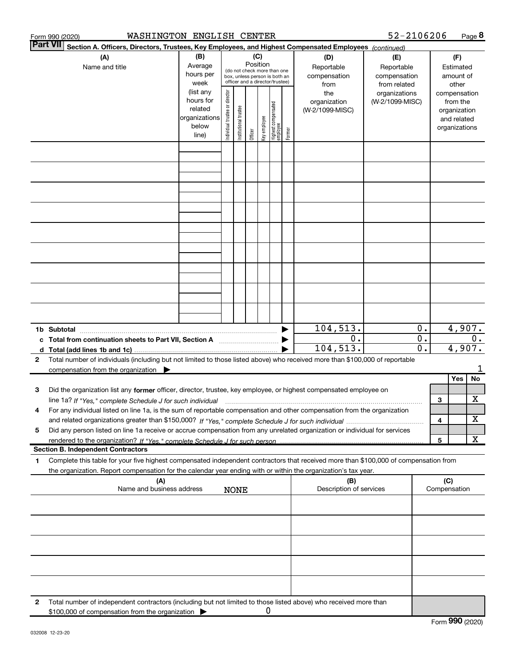|   | WASHINGTON ENGLISH CENTER<br>Form 990 (2020)                                                                                                                                                                                                                                |                                                                      |                                                                                                                    |                       |         |              |                                 |                                                                                                |                                        | 52-2106206                             |                           |   |                                                                          | Page $8$ |
|---|-----------------------------------------------------------------------------------------------------------------------------------------------------------------------------------------------------------------------------------------------------------------------------|----------------------------------------------------------------------|--------------------------------------------------------------------------------------------------------------------|-----------------------|---------|--------------|---------------------------------|------------------------------------------------------------------------------------------------|----------------------------------------|----------------------------------------|---------------------------|---|--------------------------------------------------------------------------|----------|
|   | <b>IPart VII</b><br>Section A. Officers, Directors, Trustees, Key Employees, and Highest Compensated Employees (continued)                                                                                                                                                  |                                                                      |                                                                                                                    |                       |         |              |                                 |                                                                                                |                                        |                                        |                           |   |                                                                          |          |
|   | (A)<br>Name and title                                                                                                                                                                                                                                                       | (B)<br>Average<br>hours per<br>week                                  | (C)<br>Position<br>(do not check more than one<br>box, unless person is both an<br>officer and a director/trustee) |                       |         |              |                                 | (D)<br>(E)<br>Reportable<br>Reportable<br>compensation<br>compensation<br>from related<br>from |                                        | (F)<br>Estimated<br>amount of<br>other |                           |   |                                                                          |          |
|   |                                                                                                                                                                                                                                                                             | (list any<br>hours for<br>related<br>organizations<br>below<br>line) | ndividual trustee or director                                                                                      | Institutional trustee | Officer | Key employee | Highest compensated<br>employee | Former                                                                                         | the<br>organization<br>(W-2/1099-MISC) | organizations<br>(W-2/1099-MISC)       |                           |   | compensation<br>from the<br>organization<br>and related<br>organizations |          |
|   |                                                                                                                                                                                                                                                                             |                                                                      |                                                                                                                    |                       |         |              |                                 |                                                                                                |                                        |                                        |                           |   |                                                                          |          |
|   |                                                                                                                                                                                                                                                                             |                                                                      |                                                                                                                    |                       |         |              |                                 |                                                                                                |                                        |                                        |                           |   |                                                                          |          |
|   |                                                                                                                                                                                                                                                                             |                                                                      |                                                                                                                    |                       |         |              |                                 |                                                                                                |                                        |                                        |                           |   |                                                                          |          |
|   |                                                                                                                                                                                                                                                                             |                                                                      |                                                                                                                    |                       |         |              |                                 |                                                                                                |                                        |                                        |                           |   |                                                                          |          |
|   |                                                                                                                                                                                                                                                                             |                                                                      |                                                                                                                    |                       |         |              |                                 |                                                                                                |                                        |                                        |                           |   |                                                                          |          |
|   |                                                                                                                                                                                                                                                                             |                                                                      |                                                                                                                    |                       |         |              |                                 |                                                                                                |                                        |                                        |                           |   |                                                                          |          |
|   |                                                                                                                                                                                                                                                                             |                                                                      |                                                                                                                    |                       |         |              |                                 |                                                                                                |                                        |                                        |                           |   |                                                                          |          |
|   | 1b Subtotal                                                                                                                                                                                                                                                                 |                                                                      |                                                                                                                    |                       |         |              |                                 |                                                                                                | 104, 513.                              |                                        | 0.                        |   | 4,907.                                                                   |          |
|   | c Total from continuation sheets to Part VII, Section A                                                                                                                                                                                                                     |                                                                      |                                                                                                                    |                       |         |              |                                 |                                                                                                | 0.<br>104, 513.                        |                                        | $0$ .<br>$\overline{0}$ . |   | 4,907.                                                                   | $0$ .    |
| 2 | Total number of individuals (including but not limited to those listed above) who received more than \$100,000 of reportable<br>compensation from the organization $\blacktriangleright$                                                                                    |                                                                      |                                                                                                                    |                       |         |              |                                 |                                                                                                |                                        |                                        |                           |   |                                                                          | 1        |
|   |                                                                                                                                                                                                                                                                             |                                                                      |                                                                                                                    |                       |         |              |                                 |                                                                                                |                                        |                                        |                           |   | Yes                                                                      | No       |
| з | Did the organization list any former officer, director, trustee, key employee, or highest compensated employee on                                                                                                                                                           |                                                                      |                                                                                                                    |                       |         |              |                                 |                                                                                                |                                        |                                        |                           |   |                                                                          | х        |
| 4 | line 1a? If "Yes," complete Schedule J for such individual manufactured contained and the 1a? If "Yes," complete Schedule J for such individual<br>For any individual listed on line 1a, is the sum of reportable compensation and other compensation from the organization |                                                                      |                                                                                                                    |                       |         |              |                                 |                                                                                                |                                        |                                        |                           | 3 |                                                                          |          |
|   |                                                                                                                                                                                                                                                                             |                                                                      |                                                                                                                    |                       |         |              |                                 |                                                                                                |                                        |                                        |                           | 4 |                                                                          | X        |
| 5 | Did any person listed on line 1a receive or accrue compensation from any unrelated organization or individual for services                                                                                                                                                  |                                                                      |                                                                                                                    |                       |         |              |                                 |                                                                                                |                                        |                                        |                           |   |                                                                          |          |
|   |                                                                                                                                                                                                                                                                             |                                                                      |                                                                                                                    |                       |         |              |                                 |                                                                                                |                                        |                                        |                           | 5 |                                                                          | X        |
| 1 | <b>Section B. Independent Contractors</b><br>Complete this table for your five highest compensated independent contractors that received more than \$100,000 of compensation from                                                                                           |                                                                      |                                                                                                                    |                       |         |              |                                 |                                                                                                |                                        |                                        |                           |   |                                                                          |          |
|   | the organization. Report compensation for the calendar year ending with or within the organization's tax year.<br>(A)<br>Name and business address<br><b>NONE</b>                                                                                                           |                                                                      |                                                                                                                    |                       |         |              | (B)<br>Description of services  |                                                                                                |                                        | (C)                                    | Compensation              |   |                                                                          |          |
|   |                                                                                                                                                                                                                                                                             |                                                                      |                                                                                                                    |                       |         |              |                                 |                                                                                                |                                        |                                        |                           |   |                                                                          |          |
|   |                                                                                                                                                                                                                                                                             |                                                                      |                                                                                                                    |                       |         |              |                                 |                                                                                                |                                        |                                        |                           |   |                                                                          |          |
|   |                                                                                                                                                                                                                                                                             |                                                                      |                                                                                                                    |                       |         |              |                                 |                                                                                                |                                        |                                        |                           |   |                                                                          |          |
|   |                                                                                                                                                                                                                                                                             |                                                                      |                                                                                                                    |                       |         |              |                                 |                                                                                                |                                        |                                        |                           |   |                                                                          |          |
| 2 | Total number of independent contractors (including but not limited to those listed above) who received more than                                                                                                                                                            |                                                                      |                                                                                                                    |                       |         |              |                                 |                                                                                                |                                        |                                        |                           |   |                                                                          |          |
|   | \$100,000 of compensation from the organization                                                                                                                                                                                                                             |                                                                      |                                                                                                                    |                       |         | 0            |                                 |                                                                                                |                                        |                                        |                           |   |                                                                          |          |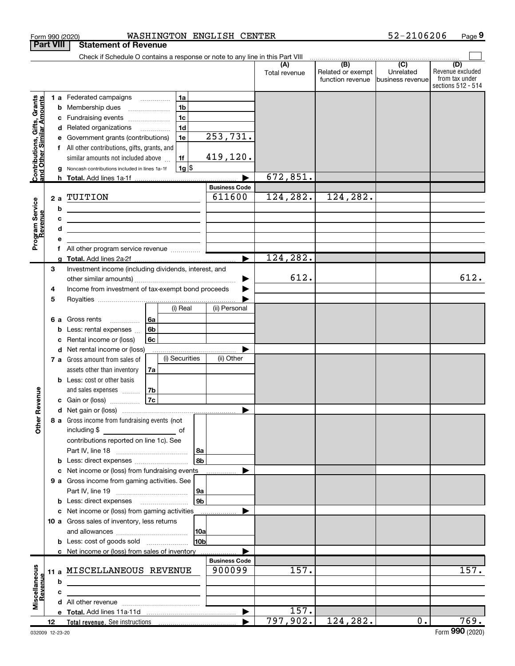|                                                           |    |    | Form 990 (2020)                                                                                                       |    |                |                 | WASHINGTON ENGLISH CENTER |                      |                                                     | 52-2106206                    | Page 9                                                          |
|-----------------------------------------------------------|----|----|-----------------------------------------------------------------------------------------------------------------------|----|----------------|-----------------|---------------------------|----------------------|-----------------------------------------------------|-------------------------------|-----------------------------------------------------------------|
| <b>Part VIII</b>                                          |    |    | <b>Statement of Revenue</b>                                                                                           |    |                |                 |                           |                      |                                                     |                               |                                                                 |
|                                                           |    |    | Check if Schedule O contains a response or note to any line in this Part VIII                                         |    |                |                 |                           |                      | $\overline{(\mathsf{B})}$ $\overline{(\mathsf{C})}$ |                               |                                                                 |
|                                                           |    |    |                                                                                                                       |    |                |                 |                           | (A)<br>Total revenue | Related or exempt<br>function revenue               | Unrelated<br>business revenue | (D)<br>Revenue excluded<br>from tax under<br>sections 512 - 514 |
|                                                           |    |    | 1 a Federated campaigns                                                                                               |    | 1a             |                 |                           |                      |                                                     |                               |                                                                 |
|                                                           |    |    | <b>b</b> Membership dues                                                                                              |    | 1 <sub>b</sub> |                 |                           |                      |                                                     |                               |                                                                 |
| Contributions, Gifts, Grants<br>and Other Similar Amounts |    |    | c Fundraising events                                                                                                  |    | 1 <sub>c</sub> |                 |                           |                      |                                                     |                               |                                                                 |
|                                                           |    |    | d Related organizations                                                                                               |    | 1 <sub>d</sub> |                 |                           |                      |                                                     |                               |                                                                 |
|                                                           |    |    | e Government grants (contributions)                                                                                   |    | 1e             |                 | 253,731.                  |                      |                                                     |                               |                                                                 |
|                                                           |    |    | f All other contributions, gifts, grants, and                                                                         |    |                |                 |                           |                      |                                                     |                               |                                                                 |
|                                                           |    |    | similar amounts not included above                                                                                    |    | 1f             |                 | 419, 120.                 |                      |                                                     |                               |                                                                 |
|                                                           |    |    | g Noncash contributions included in lines 1a-1f                                                                       |    | $1g$ \$        |                 |                           |                      |                                                     |                               |                                                                 |
|                                                           |    |    | h Total. Add lines 1a-1f                                                                                              |    |                |                 |                           | 672,851.             |                                                     |                               |                                                                 |
|                                                           |    |    |                                                                                                                       |    |                |                 | <b>Business Code</b>      |                      |                                                     |                               |                                                                 |
|                                                           |    |    | 2 a TUITION                                                                                                           |    |                |                 | 611600                    | 124,282.             | 124,282.                                            |                               |                                                                 |
|                                                           |    | b  | <u> 1989 - Johann Stoff, Amerikaansk politiker (</u>                                                                  |    |                |                 |                           |                      |                                                     |                               |                                                                 |
|                                                           |    | c  | <u> 1989 - Johann John Stone, meil in der Stone aus der Stone aus der Stone aus der Stone aus der Stone anderen S</u> |    |                |                 |                           |                      |                                                     |                               |                                                                 |
|                                                           |    | d  | <u> 1989 - Johann Stein, mars an deus an deus Amerikaanse komme van de Fryske komme oantale</u>                       |    |                |                 |                           |                      |                                                     |                               |                                                                 |
| Program Service<br>Revenue                                |    | е  |                                                                                                                       |    |                |                 |                           |                      |                                                     |                               |                                                                 |
|                                                           |    |    | g Total. Add lines 2a-2f.                                                                                             |    |                |                 |                           | 124, 282.            |                                                     |                               |                                                                 |
|                                                           | 3  |    | Investment income (including dividends, interest, and                                                                 |    |                |                 |                           |                      |                                                     |                               |                                                                 |
|                                                           |    |    |                                                                                                                       |    |                |                 |                           | 612.                 |                                                     |                               | 612.                                                            |
|                                                           | 4  |    | Income from investment of tax-exempt bond proceeds                                                                    |    |                |                 |                           |                      |                                                     |                               |                                                                 |
|                                                           | 5  |    |                                                                                                                       |    |                |                 |                           |                      |                                                     |                               |                                                                 |
|                                                           |    |    |                                                                                                                       |    | (i) Real       |                 | (ii) Personal             |                      |                                                     |                               |                                                                 |
|                                                           |    | 6а | Gross rents                                                                                                           | 6a |                |                 |                           |                      |                                                     |                               |                                                                 |
|                                                           |    |    | <b>b</b> Less: rental expenses $\ldots$                                                                               | 6b |                |                 |                           |                      |                                                     |                               |                                                                 |
|                                                           |    |    | c Rental income or (loss)                                                                                             | 6с |                |                 |                           |                      |                                                     |                               |                                                                 |
|                                                           |    |    | <b>d</b> Net rental income or (loss)                                                                                  |    |                |                 |                           |                      |                                                     |                               |                                                                 |
|                                                           |    |    | 7 a Gross amount from sales of                                                                                        |    | (i) Securities |                 | (ii) Other                |                      |                                                     |                               |                                                                 |
|                                                           |    |    | assets other than inventory                                                                                           | 7a |                |                 |                           |                      |                                                     |                               |                                                                 |
|                                                           |    |    | <b>b</b> Less: cost or other basis                                                                                    |    |                |                 |                           |                      |                                                     |                               |                                                                 |
|                                                           |    |    | and sales expenses                                                                                                    | 7b |                |                 |                           |                      |                                                     |                               |                                                                 |
| evenue                                                    |    |    | c Gain or (loss)                                                                                                      | 7c |                |                 |                           |                      |                                                     |                               |                                                                 |
| Œ                                                         |    |    |                                                                                                                       |    |                |                 |                           |                      |                                                     |                               |                                                                 |
| Other                                                     |    |    | 8 a Gross income from fundraising events (not                                                                         |    |                |                 |                           |                      |                                                     |                               |                                                                 |
|                                                           |    |    | including \$<br>contributions reported on line 1c). See                                                               |    |                |                 |                           |                      |                                                     |                               |                                                                 |
|                                                           |    |    |                                                                                                                       |    |                |                 |                           |                      |                                                     |                               |                                                                 |
|                                                           |    |    | <b>b</b> Less: direct expenses <i></i>                                                                                |    |                | 8a<br>l 8b      |                           |                      |                                                     |                               |                                                                 |
|                                                           |    |    | c Net income or (loss) from fundraising events                                                                        |    |                |                 | .                         |                      |                                                     |                               |                                                                 |
|                                                           |    |    | 9 a Gross income from gaming activities. See                                                                          |    |                |                 |                           |                      |                                                     |                               |                                                                 |
|                                                           |    |    |                                                                                                                       |    |                | 9a              |                           |                      |                                                     |                               |                                                                 |
|                                                           |    |    | <b>b</b> Less: direct expenses <b>manually</b>                                                                        |    |                | 9 <sub>b</sub>  |                           |                      |                                                     |                               |                                                                 |
|                                                           |    |    | c Net income or (loss) from gaming activities                                                                         |    |                |                 |                           |                      |                                                     |                               |                                                                 |
|                                                           |    |    | 10 a Gross sales of inventory, less returns                                                                           |    |                |                 |                           |                      |                                                     |                               |                                                                 |
|                                                           |    |    |                                                                                                                       |    |                |                 |                           |                      |                                                     |                               |                                                                 |
|                                                           |    |    |                                                                                                                       |    |                | 10 <sub>b</sub> |                           |                      |                                                     |                               |                                                                 |
|                                                           |    |    | c Net income or (loss) from sales of inventory                                                                        |    |                |                 |                           |                      |                                                     |                               |                                                                 |
|                                                           |    |    |                                                                                                                       |    |                |                 | <b>Business Code</b>      |                      |                                                     |                               |                                                                 |
|                                                           |    |    | 11 a MISCELLANEOUS REVENUE                                                                                            |    |                |                 | 900099                    | 157.                 |                                                     |                               | 157.                                                            |
|                                                           |    | b  | <u> 1989 - Johann Barbara, martin amerikan basar dan berasal dalam basar dalam basar dalam basar dalam basar dala</u> |    |                |                 |                           |                      |                                                     |                               |                                                                 |
| Revenue                                                   |    | c  |                                                                                                                       |    |                |                 |                           |                      |                                                     |                               |                                                                 |
| Miscellaneous                                             |    |    |                                                                                                                       |    |                |                 |                           |                      |                                                     |                               |                                                                 |
|                                                           |    |    |                                                                                                                       |    |                |                 | $\blacktriangleright$     | 157.                 |                                                     |                               |                                                                 |
|                                                           | 12 |    | Total revenue. See instructions                                                                                       |    |                |                 | ▶                         | 797,902.             | 124,282.                                            | $0$ .                         | 769.                                                            |

 $52 - 2106206$  Page 9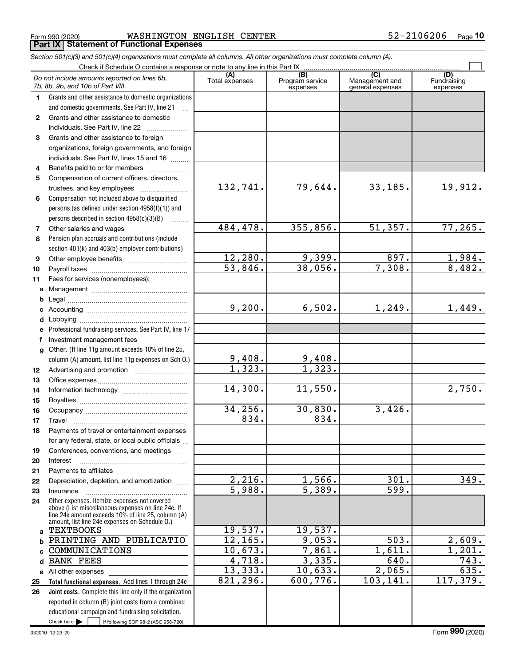$_{\rm Form}$  990 (2020) <code>WASHINGTON ENGLISH CENTER</code>  $\rm 52\text{--}2106206$   $_{\rm Page}$ Form 990 (2020) **MASHINGTON EN**<br>**Part IX | Statement of Functional Expenses** 

Section 501(c)(3) and 501(c)(4) organizations must complete all columns. All other organizations must complete column (A).

|              | Do not include amounts reported on lines 6b,<br>7b, 8b, 9b, and 10b of Part VIII.                  | (A)<br>Total expenses | (B)<br>Program service<br>expenses | $\overline{C}$<br>Management and<br>general expenses | (D)<br>Fundraising<br>expenses |
|--------------|----------------------------------------------------------------------------------------------------|-----------------------|------------------------------------|------------------------------------------------------|--------------------------------|
| 1.           | Grants and other assistance to domestic organizations                                              |                       |                                    |                                                      |                                |
|              | and domestic governments. See Part IV, line 21                                                     |                       |                                    |                                                      |                                |
| $\mathbf{2}$ | Grants and other assistance to domestic                                                            |                       |                                    |                                                      |                                |
|              | individuals. See Part IV, line 22                                                                  |                       |                                    |                                                      |                                |
| 3            | Grants and other assistance to foreign                                                             |                       |                                    |                                                      |                                |
|              | organizations, foreign governments, and foreign                                                    |                       |                                    |                                                      |                                |
|              | individuals. See Part IV, lines 15 and 16                                                          |                       |                                    |                                                      |                                |
| 4            | Benefits paid to or for members                                                                    |                       |                                    |                                                      |                                |
| 5            | Compensation of current officers, directors,                                                       |                       |                                    |                                                      |                                |
|              | trustees, and key employees                                                                        | 132,741.              | 79,644.                            | 33,185.                                              | 19,912.                        |
| 6            | Compensation not included above to disqualified                                                    |                       |                                    |                                                      |                                |
|              | persons (as defined under section 4958(f)(1)) and                                                  |                       |                                    |                                                      |                                |
|              | persons described in section $4958(c)(3)(B)$<br>.                                                  |                       |                                    |                                                      |                                |
| 7            | Other salaries and wages                                                                           | 484,478.              | 355,856.                           | 51,357.                                              | 77,265.                        |
| 8            | Pension plan accruals and contributions (include                                                   |                       |                                    |                                                      |                                |
|              | section 401(k) and 403(b) employer contributions)                                                  |                       |                                    |                                                      |                                |
| 9            |                                                                                                    | 12,280.               | 9,399.                             | 897.                                                 | 1,984.                         |
| 10           |                                                                                                    | 53,846.               | 38,056.                            | 7,308.                                               | 8,482.                         |
| 11           | Fees for services (nonemployees):                                                                  |                       |                                    |                                                      |                                |
| a            |                                                                                                    |                       |                                    |                                                      |                                |
| b            |                                                                                                    |                       |                                    |                                                      |                                |
| c            |                                                                                                    | 9,200.                | 6,502.                             | 1,249.                                               | 1,449.                         |
| d            |                                                                                                    |                       |                                    |                                                      |                                |
| е            | Professional fundraising services. See Part IV, line 17                                            |                       |                                    |                                                      |                                |
| f            | Investment management fees                                                                         |                       |                                    |                                                      |                                |
| $\mathbf{q}$ | Other. (If line 11g amount exceeds 10% of line 25,                                                 |                       |                                    |                                                      |                                |
|              | column (A) amount, list line 11g expenses on Sch O.)                                               | $\frac{9,408}{1,323}$ | $\frac{9,408.}{1,323.}$            |                                                      |                                |
| 12           |                                                                                                    |                       |                                    |                                                      |                                |
| 13           |                                                                                                    |                       |                                    |                                                      |                                |
| 14           |                                                                                                    | 14,300.               | 11,550.                            |                                                      | 2,750.                         |
| 15           |                                                                                                    |                       |                                    |                                                      |                                |
| 16           |                                                                                                    | 34, 256.              | 30,830.                            | 3,426.                                               |                                |
| 17           | Travel                                                                                             | 834.                  | 834.                               |                                                      |                                |
| 18           | Payments of travel or entertainment expenses                                                       |                       |                                    |                                                      |                                |
|              | for any federal, state, or local public officials                                                  |                       |                                    |                                                      |                                |
| 19           | Conferences, conventions, and meetings                                                             |                       |                                    |                                                      |                                |
| 20           | Interest                                                                                           |                       |                                    |                                                      |                                |
| 21           |                                                                                                    |                       |                                    |                                                      |                                |
| 22           | Depreciation, depletion, and amortization                                                          | 2,216.<br>5,988.      | 1,566.<br>5,389.                   | 301.<br>599.                                         | 349.                           |
| 23           | Insurance                                                                                          |                       |                                    |                                                      |                                |
| 24           | Other expenses. Itemize expenses not covered<br>above (List miscellaneous expenses on line 24e. If |                       |                                    |                                                      |                                |
|              | line 24e amount exceeds 10% of line 25, column (A)                                                 |                       |                                    |                                                      |                                |
|              | amount, list line 24e expenses on Schedule O.)<br><b>TEXTBOOKS</b>                                 | 19,537.               | 19,537.                            |                                                      |                                |
| a            | PRINTING AND PUBLICATIO                                                                            | 12, 165.              | 9,053.                             | 503.                                                 | 2,609.                         |
| b<br>C.      | COMMUNICATIONS                                                                                     | 10,673.               | 7,861.                             | 1,611.                                               | 1,201.                         |
|              | <b>BANK FEES</b>                                                                                   | $\overline{4,718}$ .  | 3,335.                             | 640.                                                 | 743.                           |
| d            |                                                                                                    | 13,333.               | 10,633.                            | 2,065.                                               | $\overline{635}$ .             |
|              | e All other expenses<br>Total functional expenses. Add lines 1 through 24e                         | 821,296.              | 600,776.                           | 103, 141.                                            | 117,379.                       |
| 25<br>26     | Joint costs. Complete this line only if the organization                                           |                       |                                    |                                                      |                                |
|              | reported in column (B) joint costs from a combined                                                 |                       |                                    |                                                      |                                |
|              | educational campaign and fundraising solicitation.                                                 |                       |                                    |                                                      |                                |
|              | Check here $\blacktriangleright$<br>if following SOP 98-2 (ASC 958-720)                            |                       |                                    |                                                      |                                |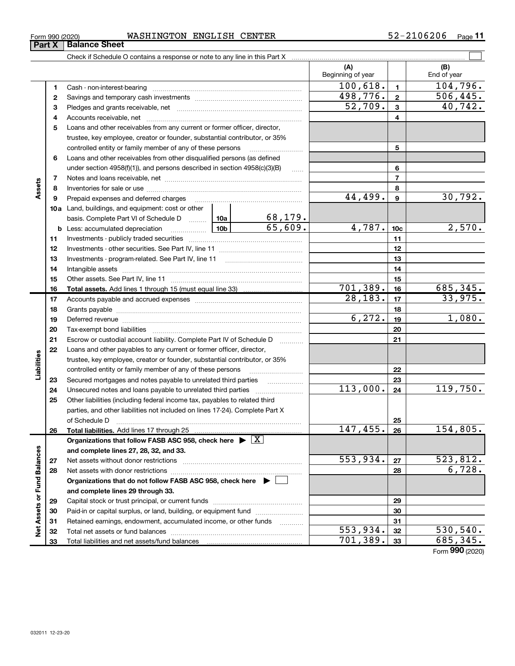| Form 990 (2020) | WASHINGTON | ENGLISH | <b>CENTER</b> | $-2106206$<br>$ \sim$<br>– ∡ د | Page |
|-----------------|------------|---------|---------------|--------------------------------|------|
|-----------------|------------|---------|---------------|--------------------------------|------|

| (A)<br>(B)<br>Beginning of year<br>End of year<br>100,618.<br>104,796.<br>1<br>1<br>Cash - non-interest-bearing<br>498,776.<br>506,445.<br>$\overline{2}$<br>2<br>52,709.<br>40,742.<br>3<br>3<br>4<br>4<br>Loans and other receivables from any current or former officer, director,<br>5<br>trustee, key employee, creator or founder, substantial contributor, or 35%<br>controlled entity or family member of any of these persons<br>5<br>Loans and other receivables from other disqualified persons (as defined<br>6<br>under section $4958(f)(1)$ , and persons described in section $4958(c)(3)(B)$<br>6<br>1.1.1.1<br>$\overline{7}$<br>7<br>Assets<br>8<br>8<br>30,792.<br>44,499.<br>9<br>Prepaid expenses and deferred charges<br>9<br><b>10a</b> Land, buildings, and equipment: cost or other<br><u>68,179.</u><br>basis. Complete Part VI of Schedule D  10a<br>65,609.<br>4,787.<br>2,570.<br><u>  10b</u><br>10 <sub>c</sub><br><b>b</b> Less: accumulated depreciation<br>11<br>11<br>12<br>12<br>13<br>Investments - program-related. See Part IV, line 11<br>13<br>14<br>14<br>15<br>15<br>701,389.<br>16<br>16<br>$\overline{28,183}$ .<br>17<br>17<br>18<br>18<br>6, 272.<br>19<br>19<br>20<br>20<br>21<br>Escrow or custodial account liability. Complete Part IV of Schedule D<br>21<br>Loans and other payables to any current or former officer, director,<br>22<br>Liabilities<br>trustee, key employee, creator or founder, substantial contributor, or 35%<br>controlled entity or family member of any of these persons<br>22<br>Secured mortgages and notes payable to unrelated third parties<br>23<br>23<br>.<br>113,000.<br>24<br>24<br>25<br>Other liabilities (including federal income tax, payables to related third<br>parties, and other liabilities not included on lines 17-24). Complete Part X<br>of Schedule D<br>25<br>147,455.<br>26<br>Total liabilities. Add lines 17 through 25<br>26<br>Organizations that follow FASB ASC 958, check here $\blacktriangleright \boxed{X}$<br>Net Assets or Fund Balances<br>and complete lines 27, 28, 32, and 33.<br>553,934.<br>27<br>Net assets without donor restrictions<br>27<br>28<br>28<br>Organizations that do not follow FASB ASC 958, check here $\blacktriangleright$<br>and complete lines 29 through 33.<br>29<br>29<br>Paid-in or capital surplus, or land, building, or equipment fund<br>30<br>30<br>31<br>Retained earnings, endowment, accumulated income, or other funds<br>31 |  | Check if Schedule O contains a response or note to any line in this Part X |  |  |                 |
|------------------------------------------------------------------------------------------------------------------------------------------------------------------------------------------------------------------------------------------------------------------------------------------------------------------------------------------------------------------------------------------------------------------------------------------------------------------------------------------------------------------------------------------------------------------------------------------------------------------------------------------------------------------------------------------------------------------------------------------------------------------------------------------------------------------------------------------------------------------------------------------------------------------------------------------------------------------------------------------------------------------------------------------------------------------------------------------------------------------------------------------------------------------------------------------------------------------------------------------------------------------------------------------------------------------------------------------------------------------------------------------------------------------------------------------------------------------------------------------------------------------------------------------------------------------------------------------------------------------------------------------------------------------------------------------------------------------------------------------------------------------------------------------------------------------------------------------------------------------------------------------------------------------------------------------------------------------------------------------------------------------------------------------------------------------------------------------------------------------------------------------------------------------------------------------------------------------------------------------------------------------------------------------------------------------------------------------------------------------------------------------------------------------------------------------------------------------------------------------|--|----------------------------------------------------------------------------|--|--|-----------------|
|                                                                                                                                                                                                                                                                                                                                                                                                                                                                                                                                                                                                                                                                                                                                                                                                                                                                                                                                                                                                                                                                                                                                                                                                                                                                                                                                                                                                                                                                                                                                                                                                                                                                                                                                                                                                                                                                                                                                                                                                                                                                                                                                                                                                                                                                                                                                                                                                                                                                                          |  |                                                                            |  |  |                 |
|                                                                                                                                                                                                                                                                                                                                                                                                                                                                                                                                                                                                                                                                                                                                                                                                                                                                                                                                                                                                                                                                                                                                                                                                                                                                                                                                                                                                                                                                                                                                                                                                                                                                                                                                                                                                                                                                                                                                                                                                                                                                                                                                                                                                                                                                                                                                                                                                                                                                                          |  |                                                                            |  |  |                 |
|                                                                                                                                                                                                                                                                                                                                                                                                                                                                                                                                                                                                                                                                                                                                                                                                                                                                                                                                                                                                                                                                                                                                                                                                                                                                                                                                                                                                                                                                                                                                                                                                                                                                                                                                                                                                                                                                                                                                                                                                                                                                                                                                                                                                                                                                                                                                                                                                                                                                                          |  |                                                                            |  |  |                 |
|                                                                                                                                                                                                                                                                                                                                                                                                                                                                                                                                                                                                                                                                                                                                                                                                                                                                                                                                                                                                                                                                                                                                                                                                                                                                                                                                                                                                                                                                                                                                                                                                                                                                                                                                                                                                                                                                                                                                                                                                                                                                                                                                                                                                                                                                                                                                                                                                                                                                                          |  |                                                                            |  |  |                 |
|                                                                                                                                                                                                                                                                                                                                                                                                                                                                                                                                                                                                                                                                                                                                                                                                                                                                                                                                                                                                                                                                                                                                                                                                                                                                                                                                                                                                                                                                                                                                                                                                                                                                                                                                                                                                                                                                                                                                                                                                                                                                                                                                                                                                                                                                                                                                                                                                                                                                                          |  |                                                                            |  |  |                 |
|                                                                                                                                                                                                                                                                                                                                                                                                                                                                                                                                                                                                                                                                                                                                                                                                                                                                                                                                                                                                                                                                                                                                                                                                                                                                                                                                                                                                                                                                                                                                                                                                                                                                                                                                                                                                                                                                                                                                                                                                                                                                                                                                                                                                                                                                                                                                                                                                                                                                                          |  |                                                                            |  |  |                 |
|                                                                                                                                                                                                                                                                                                                                                                                                                                                                                                                                                                                                                                                                                                                                                                                                                                                                                                                                                                                                                                                                                                                                                                                                                                                                                                                                                                                                                                                                                                                                                                                                                                                                                                                                                                                                                                                                                                                                                                                                                                                                                                                                                                                                                                                                                                                                                                                                                                                                                          |  |                                                                            |  |  |                 |
|                                                                                                                                                                                                                                                                                                                                                                                                                                                                                                                                                                                                                                                                                                                                                                                                                                                                                                                                                                                                                                                                                                                                                                                                                                                                                                                                                                                                                                                                                                                                                                                                                                                                                                                                                                                                                                                                                                                                                                                                                                                                                                                                                                                                                                                                                                                                                                                                                                                                                          |  |                                                                            |  |  |                 |
|                                                                                                                                                                                                                                                                                                                                                                                                                                                                                                                                                                                                                                                                                                                                                                                                                                                                                                                                                                                                                                                                                                                                                                                                                                                                                                                                                                                                                                                                                                                                                                                                                                                                                                                                                                                                                                                                                                                                                                                                                                                                                                                                                                                                                                                                                                                                                                                                                                                                                          |  |                                                                            |  |  |                 |
|                                                                                                                                                                                                                                                                                                                                                                                                                                                                                                                                                                                                                                                                                                                                                                                                                                                                                                                                                                                                                                                                                                                                                                                                                                                                                                                                                                                                                                                                                                                                                                                                                                                                                                                                                                                                                                                                                                                                                                                                                                                                                                                                                                                                                                                                                                                                                                                                                                                                                          |  |                                                                            |  |  |                 |
|                                                                                                                                                                                                                                                                                                                                                                                                                                                                                                                                                                                                                                                                                                                                                                                                                                                                                                                                                                                                                                                                                                                                                                                                                                                                                                                                                                                                                                                                                                                                                                                                                                                                                                                                                                                                                                                                                                                                                                                                                                                                                                                                                                                                                                                                                                                                                                                                                                                                                          |  |                                                                            |  |  |                 |
|                                                                                                                                                                                                                                                                                                                                                                                                                                                                                                                                                                                                                                                                                                                                                                                                                                                                                                                                                                                                                                                                                                                                                                                                                                                                                                                                                                                                                                                                                                                                                                                                                                                                                                                                                                                                                                                                                                                                                                                                                                                                                                                                                                                                                                                                                                                                                                                                                                                                                          |  |                                                                            |  |  |                 |
|                                                                                                                                                                                                                                                                                                                                                                                                                                                                                                                                                                                                                                                                                                                                                                                                                                                                                                                                                                                                                                                                                                                                                                                                                                                                                                                                                                                                                                                                                                                                                                                                                                                                                                                                                                                                                                                                                                                                                                                                                                                                                                                                                                                                                                                                                                                                                                                                                                                                                          |  |                                                                            |  |  |                 |
|                                                                                                                                                                                                                                                                                                                                                                                                                                                                                                                                                                                                                                                                                                                                                                                                                                                                                                                                                                                                                                                                                                                                                                                                                                                                                                                                                                                                                                                                                                                                                                                                                                                                                                                                                                                                                                                                                                                                                                                                                                                                                                                                                                                                                                                                                                                                                                                                                                                                                          |  |                                                                            |  |  |                 |
|                                                                                                                                                                                                                                                                                                                                                                                                                                                                                                                                                                                                                                                                                                                                                                                                                                                                                                                                                                                                                                                                                                                                                                                                                                                                                                                                                                                                                                                                                                                                                                                                                                                                                                                                                                                                                                                                                                                                                                                                                                                                                                                                                                                                                                                                                                                                                                                                                                                                                          |  |                                                                            |  |  |                 |
|                                                                                                                                                                                                                                                                                                                                                                                                                                                                                                                                                                                                                                                                                                                                                                                                                                                                                                                                                                                                                                                                                                                                                                                                                                                                                                                                                                                                                                                                                                                                                                                                                                                                                                                                                                                                                                                                                                                                                                                                                                                                                                                                                                                                                                                                                                                                                                                                                                                                                          |  |                                                                            |  |  |                 |
|                                                                                                                                                                                                                                                                                                                                                                                                                                                                                                                                                                                                                                                                                                                                                                                                                                                                                                                                                                                                                                                                                                                                                                                                                                                                                                                                                                                                                                                                                                                                                                                                                                                                                                                                                                                                                                                                                                                                                                                                                                                                                                                                                                                                                                                                                                                                                                                                                                                                                          |  |                                                                            |  |  |                 |
|                                                                                                                                                                                                                                                                                                                                                                                                                                                                                                                                                                                                                                                                                                                                                                                                                                                                                                                                                                                                                                                                                                                                                                                                                                                                                                                                                                                                                                                                                                                                                                                                                                                                                                                                                                                                                                                                                                                                                                                                                                                                                                                                                                                                                                                                                                                                                                                                                                                                                          |  |                                                                            |  |  |                 |
|                                                                                                                                                                                                                                                                                                                                                                                                                                                                                                                                                                                                                                                                                                                                                                                                                                                                                                                                                                                                                                                                                                                                                                                                                                                                                                                                                                                                                                                                                                                                                                                                                                                                                                                                                                                                                                                                                                                                                                                                                                                                                                                                                                                                                                                                                                                                                                                                                                                                                          |  |                                                                            |  |  |                 |
|                                                                                                                                                                                                                                                                                                                                                                                                                                                                                                                                                                                                                                                                                                                                                                                                                                                                                                                                                                                                                                                                                                                                                                                                                                                                                                                                                                                                                                                                                                                                                                                                                                                                                                                                                                                                                                                                                                                                                                                                                                                                                                                                                                                                                                                                                                                                                                                                                                                                                          |  |                                                                            |  |  |                 |
|                                                                                                                                                                                                                                                                                                                                                                                                                                                                                                                                                                                                                                                                                                                                                                                                                                                                                                                                                                                                                                                                                                                                                                                                                                                                                                                                                                                                                                                                                                                                                                                                                                                                                                                                                                                                                                                                                                                                                                                                                                                                                                                                                                                                                                                                                                                                                                                                                                                                                          |  |                                                                            |  |  |                 |
|                                                                                                                                                                                                                                                                                                                                                                                                                                                                                                                                                                                                                                                                                                                                                                                                                                                                                                                                                                                                                                                                                                                                                                                                                                                                                                                                                                                                                                                                                                                                                                                                                                                                                                                                                                                                                                                                                                                                                                                                                                                                                                                                                                                                                                                                                                                                                                                                                                                                                          |  |                                                                            |  |  |                 |
|                                                                                                                                                                                                                                                                                                                                                                                                                                                                                                                                                                                                                                                                                                                                                                                                                                                                                                                                                                                                                                                                                                                                                                                                                                                                                                                                                                                                                                                                                                                                                                                                                                                                                                                                                                                                                                                                                                                                                                                                                                                                                                                                                                                                                                                                                                                                                                                                                                                                                          |  |                                                                            |  |  | 685,345.        |
|                                                                                                                                                                                                                                                                                                                                                                                                                                                                                                                                                                                                                                                                                                                                                                                                                                                                                                                                                                                                                                                                                                                                                                                                                                                                                                                                                                                                                                                                                                                                                                                                                                                                                                                                                                                                                                                                                                                                                                                                                                                                                                                                                                                                                                                                                                                                                                                                                                                                                          |  |                                                                            |  |  | 33,975.         |
|                                                                                                                                                                                                                                                                                                                                                                                                                                                                                                                                                                                                                                                                                                                                                                                                                                                                                                                                                                                                                                                                                                                                                                                                                                                                                                                                                                                                                                                                                                                                                                                                                                                                                                                                                                                                                                                                                                                                                                                                                                                                                                                                                                                                                                                                                                                                                                                                                                                                                          |  |                                                                            |  |  |                 |
|                                                                                                                                                                                                                                                                                                                                                                                                                                                                                                                                                                                                                                                                                                                                                                                                                                                                                                                                                                                                                                                                                                                                                                                                                                                                                                                                                                                                                                                                                                                                                                                                                                                                                                                                                                                                                                                                                                                                                                                                                                                                                                                                                                                                                                                                                                                                                                                                                                                                                          |  |                                                                            |  |  | 1,080.          |
|                                                                                                                                                                                                                                                                                                                                                                                                                                                                                                                                                                                                                                                                                                                                                                                                                                                                                                                                                                                                                                                                                                                                                                                                                                                                                                                                                                                                                                                                                                                                                                                                                                                                                                                                                                                                                                                                                                                                                                                                                                                                                                                                                                                                                                                                                                                                                                                                                                                                                          |  |                                                                            |  |  |                 |
|                                                                                                                                                                                                                                                                                                                                                                                                                                                                                                                                                                                                                                                                                                                                                                                                                                                                                                                                                                                                                                                                                                                                                                                                                                                                                                                                                                                                                                                                                                                                                                                                                                                                                                                                                                                                                                                                                                                                                                                                                                                                                                                                                                                                                                                                                                                                                                                                                                                                                          |  |                                                                            |  |  |                 |
|                                                                                                                                                                                                                                                                                                                                                                                                                                                                                                                                                                                                                                                                                                                                                                                                                                                                                                                                                                                                                                                                                                                                                                                                                                                                                                                                                                                                                                                                                                                                                                                                                                                                                                                                                                                                                                                                                                                                                                                                                                                                                                                                                                                                                                                                                                                                                                                                                                                                                          |  |                                                                            |  |  |                 |
|                                                                                                                                                                                                                                                                                                                                                                                                                                                                                                                                                                                                                                                                                                                                                                                                                                                                                                                                                                                                                                                                                                                                                                                                                                                                                                                                                                                                                                                                                                                                                                                                                                                                                                                                                                                                                                                                                                                                                                                                                                                                                                                                                                                                                                                                                                                                                                                                                                                                                          |  |                                                                            |  |  |                 |
|                                                                                                                                                                                                                                                                                                                                                                                                                                                                                                                                                                                                                                                                                                                                                                                                                                                                                                                                                                                                                                                                                                                                                                                                                                                                                                                                                                                                                                                                                                                                                                                                                                                                                                                                                                                                                                                                                                                                                                                                                                                                                                                                                                                                                                                                                                                                                                                                                                                                                          |  |                                                                            |  |  |                 |
|                                                                                                                                                                                                                                                                                                                                                                                                                                                                                                                                                                                                                                                                                                                                                                                                                                                                                                                                                                                                                                                                                                                                                                                                                                                                                                                                                                                                                                                                                                                                                                                                                                                                                                                                                                                                                                                                                                                                                                                                                                                                                                                                                                                                                                                                                                                                                                                                                                                                                          |  |                                                                            |  |  |                 |
|                                                                                                                                                                                                                                                                                                                                                                                                                                                                                                                                                                                                                                                                                                                                                                                                                                                                                                                                                                                                                                                                                                                                                                                                                                                                                                                                                                                                                                                                                                                                                                                                                                                                                                                                                                                                                                                                                                                                                                                                                                                                                                                                                                                                                                                                                                                                                                                                                                                                                          |  |                                                                            |  |  | 119,750.        |
|                                                                                                                                                                                                                                                                                                                                                                                                                                                                                                                                                                                                                                                                                                                                                                                                                                                                                                                                                                                                                                                                                                                                                                                                                                                                                                                                                                                                                                                                                                                                                                                                                                                                                                                                                                                                                                                                                                                                                                                                                                                                                                                                                                                                                                                                                                                                                                                                                                                                                          |  |                                                                            |  |  |                 |
|                                                                                                                                                                                                                                                                                                                                                                                                                                                                                                                                                                                                                                                                                                                                                                                                                                                                                                                                                                                                                                                                                                                                                                                                                                                                                                                                                                                                                                                                                                                                                                                                                                                                                                                                                                                                                                                                                                                                                                                                                                                                                                                                                                                                                                                                                                                                                                                                                                                                                          |  |                                                                            |  |  |                 |
|                                                                                                                                                                                                                                                                                                                                                                                                                                                                                                                                                                                                                                                                                                                                                                                                                                                                                                                                                                                                                                                                                                                                                                                                                                                                                                                                                                                                                                                                                                                                                                                                                                                                                                                                                                                                                                                                                                                                                                                                                                                                                                                                                                                                                                                                                                                                                                                                                                                                                          |  |                                                                            |  |  |                 |
|                                                                                                                                                                                                                                                                                                                                                                                                                                                                                                                                                                                                                                                                                                                                                                                                                                                                                                                                                                                                                                                                                                                                                                                                                                                                                                                                                                                                                                                                                                                                                                                                                                                                                                                                                                                                                                                                                                                                                                                                                                                                                                                                                                                                                                                                                                                                                                                                                                                                                          |  |                                                                            |  |  | <u>154,805.</u> |
|                                                                                                                                                                                                                                                                                                                                                                                                                                                                                                                                                                                                                                                                                                                                                                                                                                                                                                                                                                                                                                                                                                                                                                                                                                                                                                                                                                                                                                                                                                                                                                                                                                                                                                                                                                                                                                                                                                                                                                                                                                                                                                                                                                                                                                                                                                                                                                                                                                                                                          |  |                                                                            |  |  |                 |
|                                                                                                                                                                                                                                                                                                                                                                                                                                                                                                                                                                                                                                                                                                                                                                                                                                                                                                                                                                                                                                                                                                                                                                                                                                                                                                                                                                                                                                                                                                                                                                                                                                                                                                                                                                                                                                                                                                                                                                                                                                                                                                                                                                                                                                                                                                                                                                                                                                                                                          |  |                                                                            |  |  |                 |
|                                                                                                                                                                                                                                                                                                                                                                                                                                                                                                                                                                                                                                                                                                                                                                                                                                                                                                                                                                                                                                                                                                                                                                                                                                                                                                                                                                                                                                                                                                                                                                                                                                                                                                                                                                                                                                                                                                                                                                                                                                                                                                                                                                                                                                                                                                                                                                                                                                                                                          |  |                                                                            |  |  | 523,812.        |
|                                                                                                                                                                                                                                                                                                                                                                                                                                                                                                                                                                                                                                                                                                                                                                                                                                                                                                                                                                                                                                                                                                                                                                                                                                                                                                                                                                                                                                                                                                                                                                                                                                                                                                                                                                                                                                                                                                                                                                                                                                                                                                                                                                                                                                                                                                                                                                                                                                                                                          |  |                                                                            |  |  | 6,728.          |
|                                                                                                                                                                                                                                                                                                                                                                                                                                                                                                                                                                                                                                                                                                                                                                                                                                                                                                                                                                                                                                                                                                                                                                                                                                                                                                                                                                                                                                                                                                                                                                                                                                                                                                                                                                                                                                                                                                                                                                                                                                                                                                                                                                                                                                                                                                                                                                                                                                                                                          |  |                                                                            |  |  |                 |
|                                                                                                                                                                                                                                                                                                                                                                                                                                                                                                                                                                                                                                                                                                                                                                                                                                                                                                                                                                                                                                                                                                                                                                                                                                                                                                                                                                                                                                                                                                                                                                                                                                                                                                                                                                                                                                                                                                                                                                                                                                                                                                                                                                                                                                                                                                                                                                                                                                                                                          |  |                                                                            |  |  |                 |
|                                                                                                                                                                                                                                                                                                                                                                                                                                                                                                                                                                                                                                                                                                                                                                                                                                                                                                                                                                                                                                                                                                                                                                                                                                                                                                                                                                                                                                                                                                                                                                                                                                                                                                                                                                                                                                                                                                                                                                                                                                                                                                                                                                                                                                                                                                                                                                                                                                                                                          |  |                                                                            |  |  |                 |
|                                                                                                                                                                                                                                                                                                                                                                                                                                                                                                                                                                                                                                                                                                                                                                                                                                                                                                                                                                                                                                                                                                                                                                                                                                                                                                                                                                                                                                                                                                                                                                                                                                                                                                                                                                                                                                                                                                                                                                                                                                                                                                                                                                                                                                                                                                                                                                                                                                                                                          |  |                                                                            |  |  |                 |
|                                                                                                                                                                                                                                                                                                                                                                                                                                                                                                                                                                                                                                                                                                                                                                                                                                                                                                                                                                                                                                                                                                                                                                                                                                                                                                                                                                                                                                                                                                                                                                                                                                                                                                                                                                                                                                                                                                                                                                                                                                                                                                                                                                                                                                                                                                                                                                                                                                                                                          |  |                                                                            |  |  |                 |
| $\overline{553}$ , 934.<br>32<br>32                                                                                                                                                                                                                                                                                                                                                                                                                                                                                                                                                                                                                                                                                                                                                                                                                                                                                                                                                                                                                                                                                                                                                                                                                                                                                                                                                                                                                                                                                                                                                                                                                                                                                                                                                                                                                                                                                                                                                                                                                                                                                                                                                                                                                                                                                                                                                                                                                                                      |  |                                                                            |  |  | 530, 540.       |
| 701,389.<br>33<br>33                                                                                                                                                                                                                                                                                                                                                                                                                                                                                                                                                                                                                                                                                                                                                                                                                                                                                                                                                                                                                                                                                                                                                                                                                                                                                                                                                                                                                                                                                                                                                                                                                                                                                                                                                                                                                                                                                                                                                                                                                                                                                                                                                                                                                                                                                                                                                                                                                                                                     |  |                                                                            |  |  | 685,345.        |

Form 990 (2020)

## **Part X | Balance Sheet**

|  | Form 990 (2020) |
|--|-----------------|
|  |                 |

 $\overline{\phantom{0}}$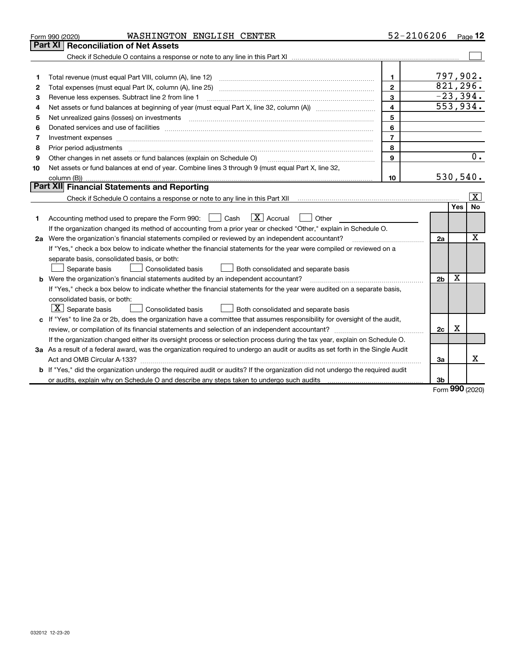|                                                                                                                                | WASHINGTON ENGLISH CENTER<br>Form 990 (2020)                                                                                                                                                                                   |                | $52 - 2106206$ Page 12 |     |           |
|--------------------------------------------------------------------------------------------------------------------------------|--------------------------------------------------------------------------------------------------------------------------------------------------------------------------------------------------------------------------------|----------------|------------------------|-----|-----------|
|                                                                                                                                | <b>Reconciliation of Net Assets</b><br><b>Part XI</b>                                                                                                                                                                          |                |                        |     |           |
|                                                                                                                                |                                                                                                                                                                                                                                |                |                        |     |           |
|                                                                                                                                |                                                                                                                                                                                                                                |                |                        |     |           |
| 1                                                                                                                              | Total revenue (must equal Part VIII, column (A), line 12)                                                                                                                                                                      | $\mathbf{1}$   | 797,902.               |     |           |
| 2                                                                                                                              |                                                                                                                                                                                                                                | $\mathbf{2}$   | 821,296.               |     |           |
| З                                                                                                                              | Revenue less expenses. Subtract line 2 from line 1                                                                                                                                                                             | 3              | $-23,394.$             |     |           |
| 4                                                                                                                              |                                                                                                                                                                                                                                | 4              | 553,934.               |     |           |
| 5                                                                                                                              | Net unrealized gains (losses) on investments                                                                                                                                                                                   | 5              |                        |     |           |
| 6                                                                                                                              | Donated services and use of facilities [111] matter contracts and the facilities of facilities [11] matter contracts and use of facilities [11] matter contracts and the service of facilities [11] matter contracts and the s | 6              |                        |     |           |
| 7                                                                                                                              |                                                                                                                                                                                                                                | $\overline{7}$ |                        |     |           |
| 8                                                                                                                              | Prior period adjustments                                                                                                                                                                                                       | 8              |                        |     |           |
| 9                                                                                                                              | Other changes in net assets or fund balances (explain on Schedule O)                                                                                                                                                           | $\mathbf{Q}$   |                        |     | 0.        |
| 10                                                                                                                             | Net assets or fund balances at end of year. Combine lines 3 through 9 (must equal Part X, line 32,                                                                                                                             |                |                        |     |           |
|                                                                                                                                | column (B)).                                                                                                                                                                                                                   | 10             | 530,540.               |     |           |
|                                                                                                                                | <b>Part XII</b> Financial Statements and Reporting                                                                                                                                                                             |                |                        |     |           |
|                                                                                                                                |                                                                                                                                                                                                                                |                |                        |     | x         |
|                                                                                                                                |                                                                                                                                                                                                                                |                |                        | Yes | <b>No</b> |
| 1.                                                                                                                             | $ X $ Accrual<br>Accounting method used to prepare the Form 990: [130] Cash<br>Other                                                                                                                                           |                |                        |     |           |
|                                                                                                                                | If the organization changed its method of accounting from a prior year or checked "Other," explain in Schedule O.                                                                                                              |                |                        |     |           |
|                                                                                                                                | 2a Were the organization's financial statements compiled or reviewed by an independent accountant?                                                                                                                             |                | 2a                     |     | X         |
|                                                                                                                                | If "Yes," check a box below to indicate whether the financial statements for the year were compiled or reviewed on a                                                                                                           |                |                        |     |           |
|                                                                                                                                | separate basis, consolidated basis, or both:                                                                                                                                                                                   |                |                        |     |           |
|                                                                                                                                | Separate basis<br>Consolidated basis<br>Both consolidated and separate basis                                                                                                                                                   |                |                        | X   |           |
|                                                                                                                                | <b>b</b> Were the organization's financial statements audited by an independent accountant?                                                                                                                                    |                |                        |     |           |
|                                                                                                                                | If "Yes," check a box below to indicate whether the financial statements for the year were audited on a separate basis,                                                                                                        |                |                        |     |           |
|                                                                                                                                | consolidated basis, or both:                                                                                                                                                                                                   |                |                        |     |           |
|                                                                                                                                | $X$ Separate basis<br>Consolidated basis<br>Both consolidated and separate basis                                                                                                                                               |                |                        |     |           |
| If "Yes" to line 2a or 2b, does the organization have a committee that assumes responsibility for oversight of the audit,<br>c |                                                                                                                                                                                                                                |                |                        |     |           |
|                                                                                                                                |                                                                                                                                                                                                                                |                | 2c                     | х   |           |
|                                                                                                                                | If the organization changed either its oversight process or selection process during the tax year, explain on Schedule O.                                                                                                      |                |                        |     |           |
|                                                                                                                                | 3a As a result of a federal award, was the organization required to undergo an audit or audits as set forth in the Single Audit                                                                                                |                |                        |     |           |
|                                                                                                                                |                                                                                                                                                                                                                                |                | За                     |     | х         |
|                                                                                                                                | If "Yes," did the organization undergo the required audit or audits? If the organization did not undergo the required audit                                                                                                    |                |                        |     |           |
|                                                                                                                                | or audits, explain why on Schedule O and describe any steps taken to undergo such audits                                                                                                                                       |                | 3b                     | ההה |           |

Form 990 (2020)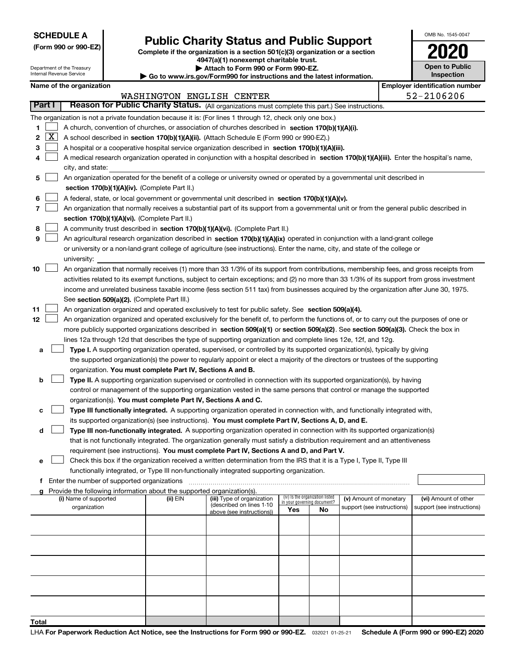Department of the Treasury Internal Revenue Service

### Public Charity Status and Public Support

Complete if the organization is a section 501(c)(3) organization or a section 4947(a)(1) nonexempt charitable trust.

| Attach to Form 990 or Form 990-EZ.

| Go to www.irs.gov/Form990 for instructions and the latest information.

| OMB No. 1545-0047                   |
|-------------------------------------|
| 2020                                |
| <b>Open to Public</b><br>Inspection |

| Name of the organization |  |
|--------------------------|--|
|--------------------------|--|

|        |              | Name of the organization                                                                                                                            |          |                            |                             |                                 |                            |  | <b>Employer identification number</b> |  |
|--------|--------------|-----------------------------------------------------------------------------------------------------------------------------------------------------|----------|----------------------------|-----------------------------|---------------------------------|----------------------------|--|---------------------------------------|--|
|        |              |                                                                                                                                                     |          | WASHINGTON ENGLISH CENTER  |                             |                                 |                            |  | 52-2106206                            |  |
| Part I |              | Reason for Public Charity Status. (All organizations must complete this part.) See instructions.                                                    |          |                            |                             |                                 |                            |  |                                       |  |
|        |              | The organization is not a private foundation because it is: (For lines 1 through 12, check only one box.)                                           |          |                            |                             |                                 |                            |  |                                       |  |
| 1      |              | A church, convention of churches, or association of churches described in section 170(b)(1)(A)(i).                                                  |          |                            |                             |                                 |                            |  |                                       |  |
| 2      | $\mathbf{X}$ | A school described in section 170(b)(1)(A)(ii). (Attach Schedule E (Form 990 or 990-EZ).)                                                           |          |                            |                             |                                 |                            |  |                                       |  |
| 3      |              | A hospital or a cooperative hospital service organization described in section 170(b)(1)(A)(iii).                                                   |          |                            |                             |                                 |                            |  |                                       |  |
| 4      |              | A medical research organization operated in conjunction with a hospital described in section 170(b)(1)(A)(iii). Enter the hospital's name,          |          |                            |                             |                                 |                            |  |                                       |  |
|        |              | city, and state:                                                                                                                                    |          |                            |                             |                                 |                            |  |                                       |  |
| 5      |              | An organization operated for the benefit of a college or university owned or operated by a governmental unit described in                           |          |                            |                             |                                 |                            |  |                                       |  |
|        |              | section 170(b)(1)(A)(iv). (Complete Part II.)                                                                                                       |          |                            |                             |                                 |                            |  |                                       |  |
| 6      |              | A federal, state, or local government or governmental unit described in section 170(b)(1)(A)(v).                                                    |          |                            |                             |                                 |                            |  |                                       |  |
| 7      |              | An organization that normally receives a substantial part of its support from a governmental unit or from the general public described in           |          |                            |                             |                                 |                            |  |                                       |  |
|        |              | section 170(b)(1)(A)(vi). (Complete Part II.)                                                                                                       |          |                            |                             |                                 |                            |  |                                       |  |
| 8      |              | A community trust described in section 170(b)(1)(A)(vi). (Complete Part II.)                                                                        |          |                            |                             |                                 |                            |  |                                       |  |
| 9      |              | An agricultural research organization described in section 170(b)(1)(A)(ix) operated in conjunction with a land-grant college                       |          |                            |                             |                                 |                            |  |                                       |  |
|        |              | or university or a non-land-grant college of agriculture (see instructions). Enter the name, city, and state of the college or                      |          |                            |                             |                                 |                            |  |                                       |  |
|        |              | university:                                                                                                                                         |          |                            |                             |                                 |                            |  |                                       |  |
| 10     |              | An organization that normally receives (1) more than 33 1/3% of its support from contributions, membership fees, and gross receipts from            |          |                            |                             |                                 |                            |  |                                       |  |
|        |              | activities related to its exempt functions, subject to certain exceptions; and (2) no more than 33 1/3% of its support from gross investment        |          |                            |                             |                                 |                            |  |                                       |  |
|        |              | income and unrelated business taxable income (less section 511 tax) from businesses acquired by the organization after June 30, 1975.               |          |                            |                             |                                 |                            |  |                                       |  |
| 11     |              | See section 509(a)(2). (Complete Part III.)<br>An organization organized and operated exclusively to test for public safety. See section 509(a)(4). |          |                            |                             |                                 |                            |  |                                       |  |
| 12     |              | An organization organized and operated exclusively for the benefit of, to perform the functions of, or to carry out the purposes of one or          |          |                            |                             |                                 |                            |  |                                       |  |
|        |              | more publicly supported organizations described in section 509(a)(1) or section 509(a)(2). See section 509(a)(3). Check the box in                  |          |                            |                             |                                 |                            |  |                                       |  |
|        |              | lines 12a through 12d that describes the type of supporting organization and complete lines 12e, 12f, and 12g.                                      |          |                            |                             |                                 |                            |  |                                       |  |
| а      |              | Type I. A supporting organization operated, supervised, or controlled by its supported organization(s), typically by giving                         |          |                            |                             |                                 |                            |  |                                       |  |
|        |              | the supported organization(s) the power to regularly appoint or elect a majority of the directors or trustees of the supporting                     |          |                            |                             |                                 |                            |  |                                       |  |
|        |              | organization. You must complete Part IV, Sections A and B.                                                                                          |          |                            |                             |                                 |                            |  |                                       |  |
| b      |              | Type II. A supporting organization supervised or controlled in connection with its supported organization(s), by having                             |          |                            |                             |                                 |                            |  |                                       |  |
|        |              | control or management of the supporting organization vested in the same persons that control or manage the supported                                |          |                            |                             |                                 |                            |  |                                       |  |
|        |              | organization(s). You must complete Part IV, Sections A and C.                                                                                       |          |                            |                             |                                 |                            |  |                                       |  |
| с      |              | Type III functionally integrated. A supporting organization operated in connection with, and functionally integrated with,                          |          |                            |                             |                                 |                            |  |                                       |  |
|        |              | its supported organization(s) (see instructions). You must complete Part IV, Sections A, D, and E.                                                  |          |                            |                             |                                 |                            |  |                                       |  |
| d      |              | Type III non-functionally integrated. A supporting organization operated in connection with its supported organization(s)                           |          |                            |                             |                                 |                            |  |                                       |  |
|        |              | that is not functionally integrated. The organization generally must satisfy a distribution requirement and an attentiveness                        |          |                            |                             |                                 |                            |  |                                       |  |
|        |              | requirement (see instructions). You must complete Part IV, Sections A and D, and Part V.                                                            |          |                            |                             |                                 |                            |  |                                       |  |
| е      |              | Check this box if the organization received a written determination from the IRS that it is a Type I, Type II, Type III                             |          |                            |                             |                                 |                            |  |                                       |  |
|        |              | functionally integrated, or Type III non-functionally integrated supporting organization.                                                           |          |                            |                             |                                 |                            |  |                                       |  |
|        |              | f Enter the number of supported organizations                                                                                                       |          |                            |                             |                                 |                            |  |                                       |  |
|        |              | Provide the following information about the supported organization(s).<br>(i) Name of supported                                                     | (ii) EIN | (iii) Type of organization |                             | (iv) Is the organization listed | (v) Amount of monetary     |  | (vi) Amount of other                  |  |
|        |              | organization                                                                                                                                        |          | (described on lines 1-10   | in your governing document? |                                 | support (see instructions) |  | support (see instructions)            |  |
|        |              |                                                                                                                                                     |          | above (see instructions))  | Yes                         | No.                             |                            |  |                                       |  |
|        |              |                                                                                                                                                     |          |                            |                             |                                 |                            |  |                                       |  |
|        |              |                                                                                                                                                     |          |                            |                             |                                 |                            |  |                                       |  |
|        |              |                                                                                                                                                     |          |                            |                             |                                 |                            |  |                                       |  |
|        |              |                                                                                                                                                     |          |                            |                             |                                 |                            |  |                                       |  |
|        |              |                                                                                                                                                     |          |                            |                             |                                 |                            |  |                                       |  |
|        |              |                                                                                                                                                     |          |                            |                             |                                 |                            |  |                                       |  |
|        |              |                                                                                                                                                     |          |                            |                             |                                 |                            |  |                                       |  |
|        |              |                                                                                                                                                     |          |                            |                             |                                 |                            |  |                                       |  |
|        |              |                                                                                                                                                     |          |                            |                             |                                 |                            |  |                                       |  |
| Total  |              |                                                                                                                                                     |          |                            |                             |                                 |                            |  |                                       |  |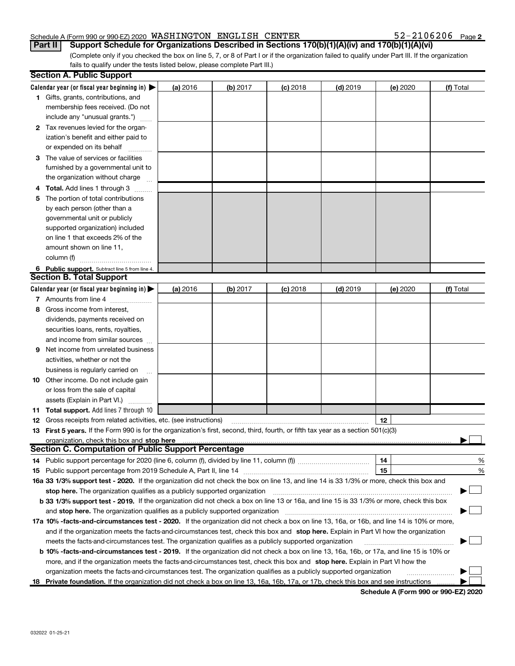#### Schedule A (Form 990 or 990-EZ) 2020 WASHINGTON ENGLISH CENTER  $52-2106206$  Page

 $52 - 2106206$  Page 2

(Complete only if you checked the box on line 5, 7, or 8 of Part I or if the organization failed to qualify under Part III. If the organization fails to qualify under the tests listed below, please complete Part III.) Part II | Support Schedule for Organizations Described in Sections 170(b)(1)(A)(iv) and 170(b)(1)(A)(vi)

| Calendar year (or fiscal year beginning in) $\blacktriangleright$<br>(a) 2016<br>$(c)$ 2018<br>$(d)$ 2019<br>(b) 2017<br>(e) 2020<br>1 Gifts, grants, contributions, and<br>membership fees received. (Do not<br>include any "unusual grants.")<br>2 Tax revenues levied for the organ-<br>ization's benefit and either paid to<br>or expended on its behalf | (f) Total |
|--------------------------------------------------------------------------------------------------------------------------------------------------------------------------------------------------------------------------------------------------------------------------------------------------------------------------------------------------------------|-----------|
|                                                                                                                                                                                                                                                                                                                                                              |           |
|                                                                                                                                                                                                                                                                                                                                                              |           |
|                                                                                                                                                                                                                                                                                                                                                              |           |
|                                                                                                                                                                                                                                                                                                                                                              |           |
|                                                                                                                                                                                                                                                                                                                                                              |           |
|                                                                                                                                                                                                                                                                                                                                                              |           |
|                                                                                                                                                                                                                                                                                                                                                              |           |
| 3 The value of services or facilities                                                                                                                                                                                                                                                                                                                        |           |
| furnished by a governmental unit to                                                                                                                                                                                                                                                                                                                          |           |
| the organization without charge                                                                                                                                                                                                                                                                                                                              |           |
| <b>Total.</b> Add lines 1 through 3                                                                                                                                                                                                                                                                                                                          |           |
| The portion of total contributions<br>5                                                                                                                                                                                                                                                                                                                      |           |
| by each person (other than a                                                                                                                                                                                                                                                                                                                                 |           |
| governmental unit or publicly                                                                                                                                                                                                                                                                                                                                |           |
| supported organization) included                                                                                                                                                                                                                                                                                                                             |           |
| on line 1 that exceeds 2% of the                                                                                                                                                                                                                                                                                                                             |           |
| amount shown on line 11,                                                                                                                                                                                                                                                                                                                                     |           |
| column (f)                                                                                                                                                                                                                                                                                                                                                   |           |
| 6 Public support. Subtract line 5 from line 4.                                                                                                                                                                                                                                                                                                               |           |
| <b>Section B. Total Support</b>                                                                                                                                                                                                                                                                                                                              |           |
| Calendar year (or fiscal year beginning in) $\blacktriangleright$<br>(a) 2016<br>(b) 2017<br>$(c)$ 2018<br>$(d)$ 2019<br>(e) 2020                                                                                                                                                                                                                            | (f) Total |
| 7 Amounts from line 4                                                                                                                                                                                                                                                                                                                                        |           |
| Gross income from interest,<br>8                                                                                                                                                                                                                                                                                                                             |           |
| dividends, payments received on                                                                                                                                                                                                                                                                                                                              |           |
| securities loans, rents, royalties,                                                                                                                                                                                                                                                                                                                          |           |
| and income from similar sources                                                                                                                                                                                                                                                                                                                              |           |
| Net income from unrelated business<br>9                                                                                                                                                                                                                                                                                                                      |           |
| activities, whether or not the                                                                                                                                                                                                                                                                                                                               |           |
| business is regularly carried on                                                                                                                                                                                                                                                                                                                             |           |
| <b>10</b> Other income. Do not include gain                                                                                                                                                                                                                                                                                                                  |           |
| or loss from the sale of capital                                                                                                                                                                                                                                                                                                                             |           |
| assets (Explain in Part VI.)                                                                                                                                                                                                                                                                                                                                 |           |
| <b>11 Total support.</b> Add lines 7 through 10                                                                                                                                                                                                                                                                                                              |           |
| 12<br><b>12</b> Gross receipts from related activities, etc. (see instructions)                                                                                                                                                                                                                                                                              |           |
| 13 First 5 years. If the Form 990 is for the organization's first, second, third, fourth, or fifth tax year as a section 501(c)(3)                                                                                                                                                                                                                           |           |
| organization, check this box and stop here                                                                                                                                                                                                                                                                                                                   |           |
| <b>Section C. Computation of Public Support Percentage</b>                                                                                                                                                                                                                                                                                                   |           |
| 14<br>14 Public support percentage for 2020 (line 6, column (f), divided by line 11, column (f) <i>mummumumum</i>                                                                                                                                                                                                                                            | %         |
| 15                                                                                                                                                                                                                                                                                                                                                           | %         |
| 16a 33 1/3% support test - 2020. If the organization did not check the box on line 13, and line 14 is 33 1/3% or more, check this box and                                                                                                                                                                                                                    |           |
| stop here. The organization qualifies as a publicly supported organization                                                                                                                                                                                                                                                                                   |           |
| b 33 1/3% support test - 2019. If the organization did not check a box on line 13 or 16a, and line 15 is 33 1/3% or more, check this box                                                                                                                                                                                                                     |           |
| and stop here. The organization qualifies as a publicly supported organization                                                                                                                                                                                                                                                                               |           |
| 17a 10% -facts-and-circumstances test - 2020. If the organization did not check a box on line 13, 16a, or 16b, and line 14 is 10% or more,                                                                                                                                                                                                                   |           |
| and if the organization meets the facts-and-circumstances test, check this box and stop here. Explain in Part VI how the organization                                                                                                                                                                                                                        |           |
| meets the facts-and-circumstances test. The organization qualifies as a publicly supported organization                                                                                                                                                                                                                                                      |           |
| <b>b 10% -facts-and-circumstances test - 2019.</b> If the organization did not check a box on line 13, 16a, 16b, or 17a, and line 15 is 10% or                                                                                                                                                                                                               |           |
| more, and if the organization meets the facts-and-circumstances test, check this box and stop here. Explain in Part VI how the                                                                                                                                                                                                                               |           |
| organization meets the facts-and-circumstances test. The organization qualifies as a publicly supported organization                                                                                                                                                                                                                                         |           |
| 18 Private foundation. If the organization did not check a box on line 13, 16a, 16b, 17a, or 17b, check this box and see instructions                                                                                                                                                                                                                        |           |

Schedule A (Form 990 or 990-EZ) 2020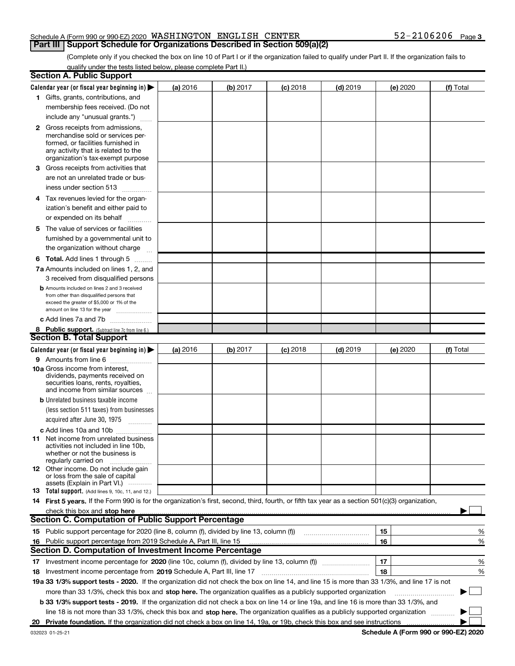#### Schedule A (Form 990 or 990-EZ) 2020 WASHINGTON ENGLISH CENTER  $52-2106206$  Page **Part III | Support Schedule for Organizations Described in Section 509(a)(2)**

(Complete only if you checked the box on line 10 of Part I or if the organization failed to qualify under Part II. If the organization fails to qualify under the tests listed below, please complete Part II.)

|   | <b>Section A. Public Support</b>                                                                                                                                                         |          |          |            |            |          |           |
|---|------------------------------------------------------------------------------------------------------------------------------------------------------------------------------------------|----------|----------|------------|------------|----------|-----------|
|   | Calendar year (or fiscal year beginning in)                                                                                                                                              | (a) 2016 | (b) 2017 | $(c)$ 2018 | $(d)$ 2019 | (e) 2020 | (f) Total |
|   | 1 Gifts, grants, contributions, and                                                                                                                                                      |          |          |            |            |          |           |
|   | membership fees received. (Do not                                                                                                                                                        |          |          |            |            |          |           |
|   | include any "unusual grants.")                                                                                                                                                           |          |          |            |            |          |           |
|   | 2 Gross receipts from admissions,<br>merchandise sold or services per-<br>formed, or facilities furnished in<br>any activity that is related to the<br>organization's tax-exempt purpose |          |          |            |            |          |           |
| З | Gross receipts from activities that<br>are not an unrelated trade or bus-                                                                                                                |          |          |            |            |          |           |
|   | iness under section 513                                                                                                                                                                  |          |          |            |            |          |           |
|   | 4 Tax revenues levied for the organ-<br>ization's benefit and either paid to                                                                                                             |          |          |            |            |          |           |
|   | or expended on its behalf                                                                                                                                                                |          |          |            |            |          |           |
|   | 5 The value of services or facilities<br>furnished by a governmental unit to<br>the organization without charge                                                                          |          |          |            |            |          |           |
|   | <b>6 Total.</b> Add lines 1 through 5 $\dots$                                                                                                                                            |          |          |            |            |          |           |
|   | 7a Amounts included on lines 1, 2, and<br>3 received from disqualified persons                                                                                                           |          |          |            |            |          |           |
|   | <b>b</b> Amounts included on lines 2 and 3 received<br>from other than disqualified persons that<br>exceed the greater of \$5,000 or 1% of the<br>amount on line 13 for the year         |          |          |            |            |          |           |
|   | c Add lines 7a and 7b                                                                                                                                                                    |          |          |            |            |          |           |
|   | 8 Public support. (Subtract line 7c from line 6.)                                                                                                                                        |          |          |            |            |          |           |
|   | <b>Section B. Total Support</b>                                                                                                                                                          |          |          |            |            |          |           |
|   | Calendar year (or fiscal year beginning in) $\blacktriangleright$                                                                                                                        | (a) 2016 | (b) 2017 | $(c)$ 2018 | $(d)$ 2019 | (e) 2020 | (f) Total |
|   | 9 Amounts from line 6                                                                                                                                                                    |          |          |            |            |          |           |
|   | 10a Gross income from interest,<br>dividends, payments received on<br>securities loans, rents, royalties,<br>and income from similar sources                                             |          |          |            |            |          |           |
|   | <b>b</b> Unrelated business taxable income                                                                                                                                               |          |          |            |            |          |           |
|   | (less section 511 taxes) from businesses                                                                                                                                                 |          |          |            |            |          |           |
|   | acquired after June 30, 1975                                                                                                                                                             |          |          |            |            |          |           |
|   | c Add lines 10a and 10b<br>11 Net income from unrelated business<br>activities not included in line 10b.<br>whether or not the business is<br>regularly carried on                       |          |          |            |            |          |           |
|   | 12 Other income. Do not include gain<br>or loss from the sale of capital<br>assets (Explain in Part VI.)                                                                                 |          |          |            |            |          |           |
|   | 13 Total support. (Add lines 9, 10c, 11, and 12.)                                                                                                                                        |          |          |            |            |          |           |
|   | 14 First 5 years. If the Form 990 is for the organization's first, second, third, fourth, or fifth tax year as a section 501(c)(3) organization,<br>check this box and stop here         |          |          |            |            |          |           |
|   | <b>Section C. Computation of Public Support Percentage</b>                                                                                                                               |          |          |            |            |          |           |
|   | 15 Public support percentage for 2020 (line 8, column (f), divided by line 13, column (f))                                                                                               |          |          |            |            | 15       | %         |
|   | 16 Public support percentage from 2019 Schedule A, Part III, line 15                                                                                                                     |          |          |            |            | 16       | %         |
|   | <b>Section D. Computation of Investment Income Percentage</b>                                                                                                                            |          |          |            |            |          |           |
|   |                                                                                                                                                                                          |          |          |            |            | 17       | %         |
|   | 18 Investment income percentage from 2019 Schedule A, Part III, line 17                                                                                                                  |          |          |            |            | 18       | %         |
|   | 19a 33 1/3% support tests - 2020. If the organization did not check the box on line 14, and line 15 is more than 33 1/3%, and line 17 is not                                             |          |          |            |            |          |           |
|   | more than 33 1/3%, check this box and stop here. The organization qualifies as a publicly supported organization                                                                         |          |          |            |            |          |           |
|   | <b>b 33 1/3% support tests - 2019.</b> If the organization did not check a box on line 14 or line 19a, and line 16 is more than 33 1/3%, and                                             |          |          |            |            |          |           |
|   | line 18 is not more than 33 1/3%, check this box and stop here. The organization qualifies as a publicly supported organization                                                          |          |          |            |            |          |           |
|   | 20 Private foundation. If the organization did not check a box on line 14, 19a, or 19b, check this box and see instructions                                                              |          |          |            |            |          |           |

Schedule A (Form 990 or 990-EZ) 2020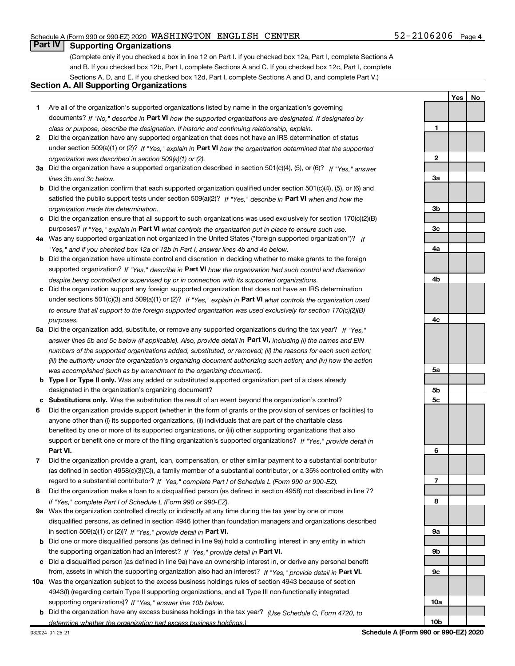#### Schedule A (Form 990 or 990-EZ) 2020 WASHINGTON ENGLISH CENTER  $52-2106206$  Page

#### $52 - 2106206$  Page 4

1

2

3a

3b

Yes | No

#### **Part IV | Supporting Organizations**

(Complete only if you checked a box in line 12 on Part I. If you checked box 12a, Part I, complete Sections A and B. If you checked box 12b, Part I, complete Sections A and C. If you checked box 12c, Part I, complete Sections A, D, and E. If you checked box 12d, Part I, complete Sections A and D, and complete Part V.)

#### Section A. All Supporting Organizations

- 1 Are all of the organization's supported organizations listed by name in the organization's governing documents? If "No," describe in Part VI how the supported organizations are designated. If designated by class or purpose, describe the designation. If historic and continuing relationship, explain.
- 2 Did the organization have any supported organization that does not have an IRS determination of status under section 509(a)(1) or (2)? If "Yes," explain in Part VI how the organization determined that the supported organization was described in section 509(a)(1) or (2).
- 3a Did the organization have a supported organization described in section 501(c)(4), (5), or (6)? If "Yes," answer lines 3b and 3c below.
- b Did the organization confirm that each supported organization qualified under section 501(c)(4), (5), or (6) and satisfied the public support tests under section 509(a)(2)? If "Yes," describe in Part VI when and how the organization made the determination.
- c Did the organization ensure that all support to such organizations was used exclusively for section 170(c)(2)(B) purposes? If "Yes," explain in Part VI what controls the organization put in place to ensure such use.
- 4a Was any supported organization not organized in the United States ("foreign supported organization")? If "Yes," and if you checked box 12a or 12b in Part I, answer lines 4b and 4c below.
- b Did the organization have ultimate control and discretion in deciding whether to make grants to the foreign supported organization? If "Yes," describe in Part VI how the organization had such control and discretion despite being controlled or supervised by or in connection with its supported organizations.
- c Did the organization support any foreign supported organization that does not have an IRS determination under sections 501(c)(3) and 509(a)(1) or (2)? If "Yes," explain in Part VI what controls the organization used to ensure that all support to the foreign supported organization was used exclusively for section 170(c)(2)(B) purposes.
- 5a Did the organization add, substitute, or remove any supported organizations during the tax year? If "Yes," answer lines 5b and 5c below (if applicable). Also, provide detail in **Part VI,** including (i) the names and EIN numbers of the supported organizations added, substituted, or removed; (ii) the reasons for each such action; (iii) the authority under the organization's organizing document authorizing such action; and (iv) how the action was accomplished (such as by amendment to the organizing document).
- **b Type I or Type II only.** Was any added or substituted supported organization part of a class already designated in the organization's organizing document?
- c Substitutions only. Was the substitution the result of an event beyond the organization's control?
- 6 Did the organization provide support (whether in the form of grants or the provision of services or facilities) to Part VI. support or benefit one or more of the filing organization's supported organizations? If "Yes," provide detail in anyone other than (i) its supported organizations, (ii) individuals that are part of the charitable class benefited by one or more of its supported organizations, or (iii) other supporting organizations that also
- 7 Did the organization provide a grant, loan, compensation, or other similar payment to a substantial contributor regard to a substantial contributor? If "Yes," complete Part I of Schedule L (Form 990 or 990-EZ). (as defined in section 4958(c)(3)(C)), a family member of a substantial contributor, or a 35% controlled entity with
- 8 Did the organization make a loan to a disqualified person (as defined in section 4958) not described in line 7? If "Yes," complete Part I of Schedule L (Form 990 or 990-EZ).
- **9a** Was the organization controlled directly or indirectly at any time during the tax year by one or more in section 509(a)(1) or (2))? If "Yes," provide detail in Part VI. disqualified persons, as defined in section 4946 (other than foundation managers and organizations described
- b Did one or more disqualified persons (as defined in line 9a) hold a controlling interest in any entity in which the supporting organization had an interest? If "Yes," provide detail in Part VI.
- c Did a disqualified person (as defined in line 9a) have an ownership interest in, or derive any personal benefit from, assets in which the supporting organization also had an interest? If "Yes," provide detail in Part VI.
- 10a Was the organization subject to the excess business holdings rules of section 4943 because of section supporting organizations)? If "Yes," answer line 10b below. 4943(f) (regarding certain Type II supporting organizations, and all Type III non-functionally integrated
	- **b** Did the organization have any excess business holdings in the tax year? (Use Schedule C, Form 4720, to determine whether the organization had excess business holdings.)

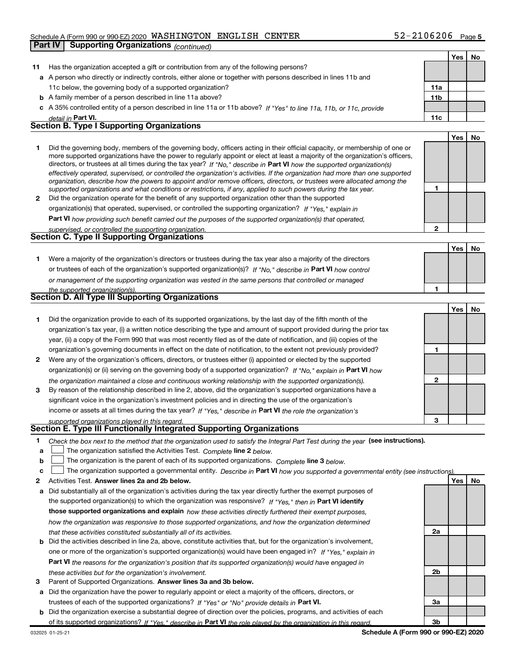#### Schedule A (Form 990 or 990-EZ) 2020 WASHINGTON ENGLISH CENTER  $52-2106206$  Page

|              | <b>Supporting Organizations (continued)</b><br>Part IV                                                                                                                                                                                                   |              |            |    |
|--------------|----------------------------------------------------------------------------------------------------------------------------------------------------------------------------------------------------------------------------------------------------------|--------------|------------|----|
|              |                                                                                                                                                                                                                                                          |              | Yes        | No |
| 11           | Has the organization accepted a gift or contribution from any of the following persons?                                                                                                                                                                  |              |            |    |
|              | a A person who directly or indirectly controls, either alone or together with persons described in lines 11b and                                                                                                                                         |              |            |    |
|              | 11c below, the governing body of a supported organization?                                                                                                                                                                                               | 11a          |            |    |
|              | <b>b</b> A family member of a person described in line 11a above?                                                                                                                                                                                        | 11b          |            |    |
|              | c A 35% controlled entity of a person described in line 11a or 11b above? If "Yes" to line 11a, 11b, or 11c, provide                                                                                                                                     |              |            |    |
|              | detail in Part VI.                                                                                                                                                                                                                                       | 11c          |            |    |
|              | <b>Section B. Type I Supporting Organizations</b>                                                                                                                                                                                                        |              |            |    |
|              |                                                                                                                                                                                                                                                          |              | Yes        | No |
| 1.           | Did the governing body, members of the governing body, officers acting in their official capacity, or membership of one or                                                                                                                               |              |            |    |
|              | more supported organizations have the power to regularly appoint or elect at least a majority of the organization's officers,<br>directors, or trustees at all times during the tax year? If "No," describe in Part VI how the supported organization(s) |              |            |    |
|              | effectively operated, supervised, or controlled the organization's activities. If the organization had more than one supported                                                                                                                           |              |            |    |
|              | organization, describe how the powers to appoint and/or remove officers, directors, or trustees were allocated among the                                                                                                                                 |              |            |    |
|              | supported organizations and what conditions or restrictions, if any, applied to such powers during the tax year.                                                                                                                                         | 1            |            |    |
| $\mathbf{2}$ | Did the organization operate for the benefit of any supported organization other than the supported                                                                                                                                                      |              |            |    |
|              | organization(s) that operated, supervised, or controlled the supporting organization? If "Yes," explain in                                                                                                                                               |              |            |    |
|              | Part VI how providing such benefit carried out the purposes of the supported organization(s) that operated,                                                                                                                                              |              |            |    |
|              | supervised, or controlled the supporting organization.<br><b>Section C. Type II Supporting Organizations</b>                                                                                                                                             | $\mathbf{2}$ |            |    |
|              |                                                                                                                                                                                                                                                          |              |            |    |
|              |                                                                                                                                                                                                                                                          |              | <b>Yes</b> | No |
| 1.           | Were a majority of the organization's directors or trustees during the tax year also a majority of the directors                                                                                                                                         |              |            |    |
|              | or trustees of each of the organization's supported organization(s)? If "No," describe in Part VI how control                                                                                                                                            |              |            |    |
|              | or management of the supporting organization was vested in the same persons that controlled or managed                                                                                                                                                   | 1            |            |    |
|              | the supported organization(s).<br><b>Section D. All Type III Supporting Organizations</b>                                                                                                                                                                |              |            |    |
|              |                                                                                                                                                                                                                                                          |              | Yes        | No |
| 1            | Did the organization provide to each of its supported organizations, by the last day of the fifth month of the                                                                                                                                           |              |            |    |
|              | organization's tax year, (i) a written notice describing the type and amount of support provided during the prior tax                                                                                                                                    |              |            |    |
|              | year, (ii) a copy of the Form 990 that was most recently filed as of the date of notification, and (iii) copies of the                                                                                                                                   |              |            |    |
|              | organization's governing documents in effect on the date of notification, to the extent not previously provided?                                                                                                                                         | 1            |            |    |
| 2            | Were any of the organization's officers, directors, or trustees either (i) appointed or elected by the supported                                                                                                                                         |              |            |    |
|              | organization(s) or (ii) serving on the governing body of a supported organization? If "No," explain in Part VI how                                                                                                                                       |              |            |    |
|              | the organization maintained a close and continuous working relationship with the supported organization(s).                                                                                                                                              | $\mathbf 2$  |            |    |
| 3            | By reason of the relationship described in line 2, above, did the organization's supported organizations have a                                                                                                                                          |              |            |    |
|              | significant voice in the organization's investment policies and in directing the use of the organization's                                                                                                                                               |              |            |    |
|              | income or assets at all times during the tax year? If "Yes," describe in Part VI the role the organization's                                                                                                                                             |              |            |    |
|              | supported organizations played in this regard.                                                                                                                                                                                                           | з            |            |    |
|              | Section E. Type III Functionally Integrated Supporting Organizations                                                                                                                                                                                     |              |            |    |
| 1.           | Check the box next to the method that the organization used to satisfy the Integral Part Test during the year (see instructions).                                                                                                                        |              |            |    |
| a            | The organization satisfied the Activities Test. Complete line 2 below.                                                                                                                                                                                   |              |            |    |
| b            | The organization is the parent of each of its supported organizations. Complete line 3 below.                                                                                                                                                            |              |            |    |
| c            | The organization supported a governmental entity. Describe in Part VI how you supported a governmental entity (see instructions)                                                                                                                         |              |            |    |
| 2            | Activities Test. Answer lines 2a and 2b below.                                                                                                                                                                                                           |              | Yes        | No |
| a            | Did substantially all of the organization's activities during the tax year directly further the exempt purposes of                                                                                                                                       |              |            |    |
|              | the supported organization(s) to which the organization was responsive? If "Yes," then in Part VI identify                                                                                                                                               |              |            |    |
|              | those supported organizations and explain how these activities directly furthered their exempt purposes,                                                                                                                                                 |              |            |    |
|              | how the organization was responsive to those supported organizations, and how the organization determined                                                                                                                                                |              |            |    |
|              | that these activities constituted substantially all of its activities.                                                                                                                                                                                   | 2a           |            |    |
|              | <b>b</b> Did the activities described in line 2a, above, constitute activities that, but for the organization's involvement,                                                                                                                             |              |            |    |
|              | one or more of the organization's supported organization(s) would have been engaged in? If "Yes," explain in                                                                                                                                             |              |            |    |
|              | <b>Part VI</b> the reasons for the organization's position that its supported organization(s) would have engaged in                                                                                                                                      |              |            |    |
|              | these activities but for the organization's involvement.                                                                                                                                                                                                 | 2b           |            |    |

3 Parent of Supported Organizations. Answer lines 3a and 3b below.

a Did the organization have the power to regularly appoint or elect a majority of the officers, directors, or trustees of each of the supported organizations? If "Yes" or "No" provide details in Part VI.

b Did the organization exercise a substantial degree of direction over the policies, programs, and activities of each of its supported organizations? If "Yes," describe in Part VI the role played by the organization in this regard.

3a

3b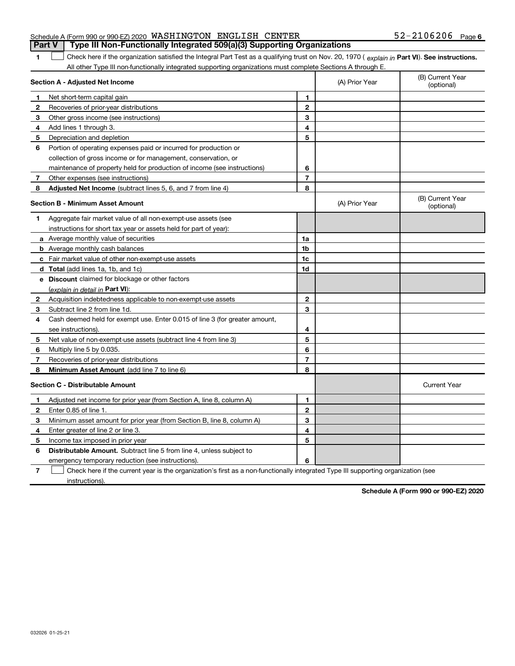#### Schedule A (Form 990 or 990-EZ) 2020 WASHINGTON ENGLISH CENTER  $52-2106206$  Page **Part V** | Type III Non-Functionally Integrated 509(a)(3) Supporting Organizations

The Check here if the organization satisfied the Integral Part Test as a qualifying trust on Nov. 20, 1970 ( explain in Part VI). See instructions. All other Type III non-functionally integrated supporting organizations must complete Sections A through E.

|                                         | Section A - Adjusted Net Income                                             |                | (A) Prior Year | (B) Current Year<br>(optional) |
|-----------------------------------------|-----------------------------------------------------------------------------|----------------|----------------|--------------------------------|
| 1                                       | Net short term capital gain                                                 | 1              |                |                                |
| 2                                       | Recoveries of prior-year distributions                                      | $\mathbf{2}$   |                |                                |
| 3                                       | Other gross income (see instructions)                                       | 3              |                |                                |
| 4                                       | Add lines 1 through 3.                                                      | 4              |                |                                |
| 5                                       | Depreciation and depletion                                                  | 5              |                |                                |
| 6                                       | Portion of operating expenses paid or incurred for production or            |                |                |                                |
|                                         | collection of gross income or for management, conservation, or              |                |                |                                |
|                                         | maintenance of property held for production of income (see instructions)    | 6              |                |                                |
| 7                                       | Other expenses (see instructions)                                           | 7              |                |                                |
| 8                                       | Adjusted Net Income (subtract lines 5, 6, and 7 from line 4)                | 8              |                |                                |
| <b>Section B - Minimum Asset Amount</b> |                                                                             |                | (A) Prior Year | (B) Current Year<br>(optional) |
| 1                                       | Aggregate fair market value of all non-exempt-use assets (see               |                |                |                                |
|                                         | instructions for short tax year or assets held for part of year):           |                |                |                                |
|                                         | <b>a</b> Average monthly value of securities                                | 1a             |                |                                |
|                                         | <b>b</b> Average monthly cash balances                                      | 1 <sub>b</sub> |                |                                |
|                                         | <b>c</b> Fair market value of other non-exempt-use assets                   | 1c             |                |                                |
|                                         | d Total (add lines 1a, 1b, and 1c)                                          | 1 <sub>d</sub> |                |                                |
|                                         | e Discount claimed for blockage or other factors                            |                |                |                                |
|                                         | (explain in detail in Part VI):                                             |                |                |                                |
| 2                                       | Acquisition indebtedness applicable to non-exempt-use assets                | $\mathbf{2}$   |                |                                |
| 3                                       | Subtract line 2 from line 1d.                                               | 3              |                |                                |
| 4                                       | Cash deemed held for exempt use. Enter 0.015 of line 3 (for greater amount, |                |                |                                |
|                                         | see instructions).                                                          | 4              |                |                                |
| 5                                       | Net value of non-exempt-use assets (subtract line 4 from line 3)            | 5              |                |                                |
| 6                                       | Multiply line 5 by 0.035.                                                   | 6              |                |                                |
| 7                                       | Recoveries of prior-year distributions                                      | $\overline{7}$ |                |                                |
| 8                                       | Minimum Asset Amount (add line 7 to line 6)                                 | 8              |                |                                |
| <b>Section C - Distributable Amount</b> |                                                                             |                |                | <b>Current Year</b>            |
| 1                                       | Adjusted net income for prior year (from Section A, line 8, column A)       | 1.             |                |                                |
| $\mathbf{2}$                            | Enter 0.85 of line 1.                                                       | $\mathbf{2}$   |                |                                |
| 3                                       | Minimum asset amount for prior year (from Section B, line 8, column A)      | 3              |                |                                |
| 4                                       | Enter greater of line 2 or line 3.                                          | 4              |                |                                |
| 5                                       | Income tax imposed in prior year                                            | 5              |                |                                |
| 6                                       | <b>Distributable Amount.</b> Subtract line 5 from line 4, unless subject to |                |                |                                |
|                                         | emergency temporary reduction (see instructions).                           | 6              |                |                                |
|                                         |                                                                             |                |                |                                |

7 Check here if the current year is the organization's first as a non-functionally integrated Type III supporting organization (see instructions).

Schedule A (Form 990 or 990-EZ) 2020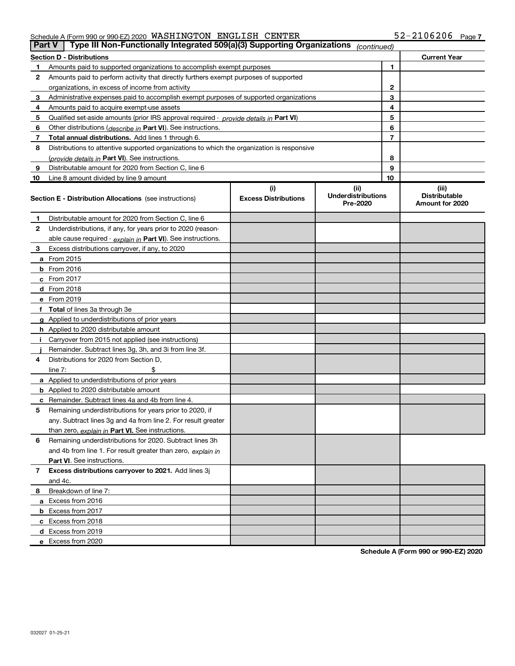#### Schedule A (Form 990 or 990-EZ) 2020 WASHINGTON ENGLISH CENTER  $52-2106206$  Page

| <b>Part V</b> | Type III Non-Functionally Integrated 509(a)(3) Supporting Organizations                    |                             | (continued)                           |                                         |
|---------------|--------------------------------------------------------------------------------------------|-----------------------------|---------------------------------------|-----------------------------------------|
|               | <b>Section D - Distributions</b>                                                           |                             |                                       | <b>Current Year</b>                     |
|               | Amounts paid to supported organizations to accomplish exempt purposes                      | 1                           |                                       |                                         |
| 2             | Amounts paid to perform activity that directly furthers exempt purposes of supported       |                             |                                       |                                         |
|               | organizations, in excess of income from activity                                           |                             | 2                                     |                                         |
| 3             | Administrative expenses paid to accomplish exempt purposes of supported organizations      |                             | 3                                     |                                         |
| 4             | Amounts paid to acquire exempt-use assets                                                  |                             | 4                                     |                                         |
| 5             | Qualified set-aside amounts (prior IRS approval required - provide details in Part VI)     |                             | 5                                     |                                         |
| 6             | Other distributions ( <i>describe in</i> Part VI). See instructions.                       |                             | 6                                     |                                         |
| 7             | Total annual distributions. Add lines 1 through 6.                                         |                             | 7                                     |                                         |
| 8             | Distributions to attentive supported organizations to which the organization is responsive |                             |                                       |                                         |
|               | (provide details in Part VI). See instructions.                                            |                             | 8                                     |                                         |
| 9             | Distributable amount for 2020 from Section C, line 6                                       |                             | 9                                     |                                         |
| 10            | Line 8 amount divided by line 9 amount                                                     |                             | 10                                    |                                         |
|               |                                                                                            | (i)                         | (iii)                                 | (iii)                                   |
|               | <b>Section E - Distribution Allocations</b> (see instructions)                             | <b>Excess Distributions</b> | <b>Underdistributions</b><br>Pre-2020 | <b>Distributable</b><br>Amount for 2020 |
| 1             | Distributable amount for 2020 from Section C, line 6                                       |                             |                                       |                                         |
| 2             | Underdistributions, if any, for years prior to 2020 (reason-                               |                             |                                       |                                         |
|               | able cause required - explain in Part VI). See instructions.                               |                             |                                       |                                         |
| 3             | Excess distributions carryover, if any, to 2020                                            |                             |                                       |                                         |
|               | <b>a</b> From 2015                                                                         |                             |                                       |                                         |
|               | <b>b</b> From $2016$                                                                       |                             |                                       |                                         |
|               | c From 2017                                                                                |                             |                                       |                                         |
|               | <b>d</b> From 2018                                                                         |                             |                                       |                                         |
|               | e From 2019                                                                                |                             |                                       |                                         |
|               | <b>Total</b> of lines 3a through 3e                                                        |                             |                                       |                                         |
|               | <b>g</b> Applied to underdistributions of prior years                                      |                             |                                       |                                         |
|               | <b>h</b> Applied to 2020 distributable amount                                              |                             |                                       |                                         |
|               | Carryover from 2015 not applied (see instructions)                                         |                             |                                       |                                         |
|               | Remainder. Subtract lines 3g, 3h, and 3i from line 3f.                                     |                             |                                       |                                         |
| 4             | Distributions for 2020 from Section D,                                                     |                             |                                       |                                         |
|               | line $7:$                                                                                  |                             |                                       |                                         |
|               | <b>a</b> Applied to underdistributions of prior years                                      |                             |                                       |                                         |
|               | <b>b</b> Applied to 2020 distributable amount                                              |                             |                                       |                                         |
|               | Remainder. Subtract lines 4a and 4b from line 4.                                           |                             |                                       |                                         |
| 5             | Remaining underdistributions for years prior to 2020, if                                   |                             |                                       |                                         |
|               | any. Subtract lines 3g and 4a from line 2. For result greater                              |                             |                                       |                                         |
|               | than zero, explain in Part VI. See instructions.                                           |                             |                                       |                                         |
| 6             | Remaining underdistributions for 2020. Subtract lines 3h                                   |                             |                                       |                                         |
|               | and 4b from line 1. For result greater than zero, explain in                               |                             |                                       |                                         |
|               | Part VI. See instructions.                                                                 |                             |                                       |                                         |
| 7             | Excess distributions carryover to 2021. Add lines 3j                                       |                             |                                       |                                         |
|               | and 4c.                                                                                    |                             |                                       |                                         |
| 8             | Breakdown of line 7:                                                                       |                             |                                       |                                         |
|               | a Excess from 2016                                                                         |                             |                                       |                                         |
|               | <b>b</b> Excess from 2017                                                                  |                             |                                       |                                         |
|               | c Excess from 2018                                                                         |                             |                                       |                                         |
|               | <b>d</b> Excess from 2019                                                                  |                             |                                       |                                         |
|               | e Excess from 2020                                                                         |                             |                                       |                                         |

Schedule A (Form 990 or 990-EZ) 2020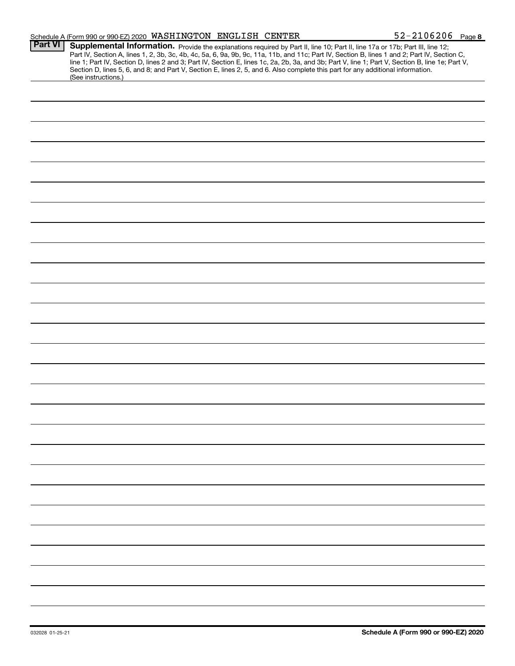|                | Schedule A (Form 990 or 990-EZ) 2020 WASHINGTON ENGLISH CENTER                                                                                                                                                                                                                                                                                                                                                                                                                                                                                                                              | $52 - 2106206$ Page 8 |  |
|----------------|---------------------------------------------------------------------------------------------------------------------------------------------------------------------------------------------------------------------------------------------------------------------------------------------------------------------------------------------------------------------------------------------------------------------------------------------------------------------------------------------------------------------------------------------------------------------------------------------|-----------------------|--|
| <b>Part VI</b> | Supplemental Information. Provide the explanations required by Part II, line 10; Part II, line 17a or 17b; Part III, line 12;<br>Part IV, Section A, lines 1, 2, 3b, 3c, 4b, 4c, 5a, 6, 9a, 9b, 9c, 11a, 11b, and 11c; Part IV, Section B, lines 1 and 2; Part IV, Section C,<br>line 1; Part IV, Section D, lines 2 and 3; Part IV, Section E, lines 1c, 2a, 2b, 3a, and 3b; Part V, line 1; Part V, Section B, line 1e; Part V,<br>Section D, lines 5, 6, and 8; and Part V, Section E, lines 2, 5, and 6. Also complete this part for any additional information.<br>(See instructions.) |                       |  |
|                |                                                                                                                                                                                                                                                                                                                                                                                                                                                                                                                                                                                             |                       |  |
|                |                                                                                                                                                                                                                                                                                                                                                                                                                                                                                                                                                                                             |                       |  |
|                |                                                                                                                                                                                                                                                                                                                                                                                                                                                                                                                                                                                             |                       |  |
|                |                                                                                                                                                                                                                                                                                                                                                                                                                                                                                                                                                                                             |                       |  |
|                |                                                                                                                                                                                                                                                                                                                                                                                                                                                                                                                                                                                             |                       |  |
|                |                                                                                                                                                                                                                                                                                                                                                                                                                                                                                                                                                                                             |                       |  |
|                |                                                                                                                                                                                                                                                                                                                                                                                                                                                                                                                                                                                             |                       |  |
|                |                                                                                                                                                                                                                                                                                                                                                                                                                                                                                                                                                                                             |                       |  |
|                |                                                                                                                                                                                                                                                                                                                                                                                                                                                                                                                                                                                             |                       |  |
|                |                                                                                                                                                                                                                                                                                                                                                                                                                                                                                                                                                                                             |                       |  |
|                |                                                                                                                                                                                                                                                                                                                                                                                                                                                                                                                                                                                             |                       |  |
|                |                                                                                                                                                                                                                                                                                                                                                                                                                                                                                                                                                                                             |                       |  |
|                |                                                                                                                                                                                                                                                                                                                                                                                                                                                                                                                                                                                             |                       |  |
|                |                                                                                                                                                                                                                                                                                                                                                                                                                                                                                                                                                                                             |                       |  |
|                |                                                                                                                                                                                                                                                                                                                                                                                                                                                                                                                                                                                             |                       |  |
|                |                                                                                                                                                                                                                                                                                                                                                                                                                                                                                                                                                                                             |                       |  |
|                |                                                                                                                                                                                                                                                                                                                                                                                                                                                                                                                                                                                             |                       |  |
|                |                                                                                                                                                                                                                                                                                                                                                                                                                                                                                                                                                                                             |                       |  |
|                |                                                                                                                                                                                                                                                                                                                                                                                                                                                                                                                                                                                             |                       |  |
|                |                                                                                                                                                                                                                                                                                                                                                                                                                                                                                                                                                                                             |                       |  |
|                |                                                                                                                                                                                                                                                                                                                                                                                                                                                                                                                                                                                             |                       |  |
|                |                                                                                                                                                                                                                                                                                                                                                                                                                                                                                                                                                                                             |                       |  |
|                |                                                                                                                                                                                                                                                                                                                                                                                                                                                                                                                                                                                             |                       |  |
|                |                                                                                                                                                                                                                                                                                                                                                                                                                                                                                                                                                                                             |                       |  |
|                |                                                                                                                                                                                                                                                                                                                                                                                                                                                                                                                                                                                             |                       |  |
|                |                                                                                                                                                                                                                                                                                                                                                                                                                                                                                                                                                                                             |                       |  |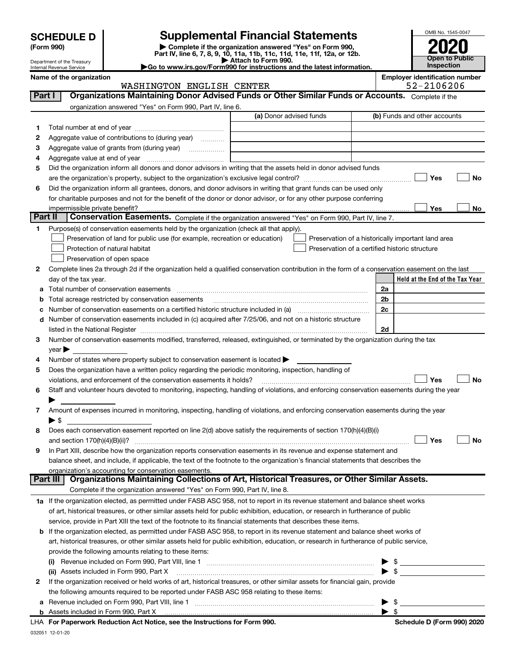Department of the Treasury

| (Form 990) |  |
|------------|--|
|------------|--|

SCHEDULE D<br>
Form 990) **Supplemental Financial Statements**<br>
Part IV, line 6, 7, 8, 9, 10, 11a, 11b, 11c, 11d, 11e, 11f, 12a, or 12b.<br>
Part IV, line 6, 7, 8, 9, 10, 11a, 11b, 11c, 11d, 11e, 11f, 12a, or 12b.

|                                          | Attach to Form 990. |  |  |  |
|------------------------------------------|---------------------|--|--|--|
| /E =  000 f =  ;  - t . - t; -  - _  - I |                     |  |  |  |



Internal Revenue Service

▶ Go to www.irs.gov/Form 990 for instructions and the latest information.

WASHINGTON ENGLISH CENTER

Name of the organization Employer identification number

| Part I   | Organizations Maintaining Donor Advised Funds or Other Similar Funds or Accounts. Complete if the                                                                                          |                         |                                                    |
|----------|--------------------------------------------------------------------------------------------------------------------------------------------------------------------------------------------|-------------------------|----------------------------------------------------|
|          | organization answered "Yes" on Form 990, Part IV, line 6.                                                                                                                                  |                         |                                                    |
|          |                                                                                                                                                                                            | (a) Donor advised funds | (b) Funds and other accounts                       |
| 1        |                                                                                                                                                                                            |                         |                                                    |
| 2        | Aggregate value of contributions to (during year)                                                                                                                                          |                         |                                                    |
| з        | Aggregate value of grants from (during year)                                                                                                                                               |                         |                                                    |
| 4        |                                                                                                                                                                                            |                         |                                                    |
| 5        | Did the organization inform all donors and donor advisors in writing that the assets held in donor advised funds                                                                           |                         |                                                    |
|          |                                                                                                                                                                                            |                         | Yes<br>No                                          |
| 6        | Did the organization inform all grantees, donors, and donor advisors in writing that grant funds can be used only                                                                          |                         |                                                    |
|          | for charitable purposes and not for the benefit of the donor or donor advisor, or for any other purpose conferring                                                                         |                         |                                                    |
|          | impermissible private benefit?                                                                                                                                                             |                         | Yes<br>No                                          |
| Part II  | Conservation Easements. Complete if the organization answered "Yes" on Form 990, Part IV, line 7.                                                                                          |                         |                                                    |
| 1        | Purpose(s) of conservation easements held by the organization (check all that apply).                                                                                                      |                         |                                                    |
|          | Preservation of land for public use (for example, recreation or education)                                                                                                                 |                         | Preservation of a historically important land area |
|          | Protection of natural habitat                                                                                                                                                              |                         | Preservation of a certified historic structure     |
|          | Preservation of open space                                                                                                                                                                 |                         |                                                    |
| 2        | Complete lines 2a through 2d if the organization held a qualified conservation contribution in the form of a conservation easement on the last                                             |                         |                                                    |
|          | day of the tax year.                                                                                                                                                                       |                         | Held at the End of the Tax Year                    |
|          |                                                                                                                                                                                            |                         | 2a                                                 |
|          | Total acreage restricted by conservation easements                                                                                                                                         |                         | 2 <sub>b</sub>                                     |
|          | Number of conservation easements on a certified historic structure included in (a) manufacture included in (a)                                                                             |                         | 2c                                                 |
|          | d Number of conservation easements included in (c) acquired after 7/25/06, and not on a historic structure                                                                                 |                         |                                                    |
|          | listed in the National Register [111] March 1999 State March 2014 State March 2014 State March 2014 State March 2014                                                                       |                         | 2d                                                 |
| 3        | Number of conservation easements modified, transferred, released, extinguished, or terminated by the organization during the tax                                                           |                         |                                                    |
|          | year                                                                                                                                                                                       |                         |                                                    |
| 4        | Number of states where property subject to conservation easement is located >                                                                                                              |                         |                                                    |
| 5        | Does the organization have a written policy regarding the periodic monitoring, inspection, handling of                                                                                     |                         |                                                    |
|          | violations, and enforcement of the conservation easements it holds?                                                                                                                        |                         | Yes<br>No                                          |
| 6        | Staff and volunteer hours devoted to monitoring, inspecting, handling of violations, and enforcing conservation easements during the year                                                  |                         |                                                    |
|          |                                                                                                                                                                                            |                         |                                                    |
| 7        | Amount of expenses incurred in monitoring, inspecting, handling of violations, and enforcing conservation easements during the year                                                        |                         |                                                    |
|          | $\blacktriangleright$ s                                                                                                                                                                    |                         |                                                    |
| 8        | Does each conservation easement reported on line 2(d) above satisfy the requirements of section 170(h)(4)(B)(i)                                                                            |                         | Yes                                                |
|          |                                                                                                                                                                                            |                         | No                                                 |
| 9        | In Part XIII, describe how the organization reports conservation easements in its revenue and expense statement and                                                                        |                         |                                                    |
|          | balance sheet, and include, if applicable, the text of the footnote to the organization's financial statements that describes the<br>organization's accounting for conservation easements. |                         |                                                    |
| Part III | Organizations Maintaining Collections of Art, Historical Treasures, or Other Similar Assets.                                                                                               |                         |                                                    |
|          | Complete if the organization answered "Yes" on Form 990, Part IV, line 8.                                                                                                                  |                         |                                                    |
|          | 1a If the organization elected, as permitted under FASB ASC 958, not to report in its revenue statement and balance sheet works                                                            |                         |                                                    |
|          | of art, historical treasures, or other similar assets held for public exhibition, education, or research in furtherance of public                                                          |                         |                                                    |
|          | service, provide in Part XIII the text of the footnote to its financial statements that describes these items.                                                                             |                         |                                                    |
|          | <b>b</b> If the organization elected, as permitted under FASB ASC 958, to report in its revenue statement and balance sheet works of                                                       |                         |                                                    |
|          | art, historical treasures, or other similar assets held for public exhibition, education, or research in furtherance of public service,                                                    |                         |                                                    |
|          | provide the following amounts relating to these items:                                                                                                                                     |                         |                                                    |
|          |                                                                                                                                                                                            |                         | \$                                                 |
|          | (ii) Assets included in Form 990, Part X                                                                                                                                                   |                         | $\frac{1}{\sqrt{2}}$                               |
| 2        | If the organization received or held works of art, historical treasures, or other similar assets for financial gain, provide                                                               |                         |                                                    |
|          | the following amounts required to be reported under FASB ASC 958 relating to these items:                                                                                                  |                         |                                                    |
| а        |                                                                                                                                                                                            |                         | $\frac{1}{2}$                                      |
|          |                                                                                                                                                                                            |                         | -\$                                                |
|          |                                                                                                                                                                                            |                         |                                                    |

LHA For Paperwork Reduction Act Notice, see the Instructions for Form 990. Shand the Schedule D (Form 990) 2020 L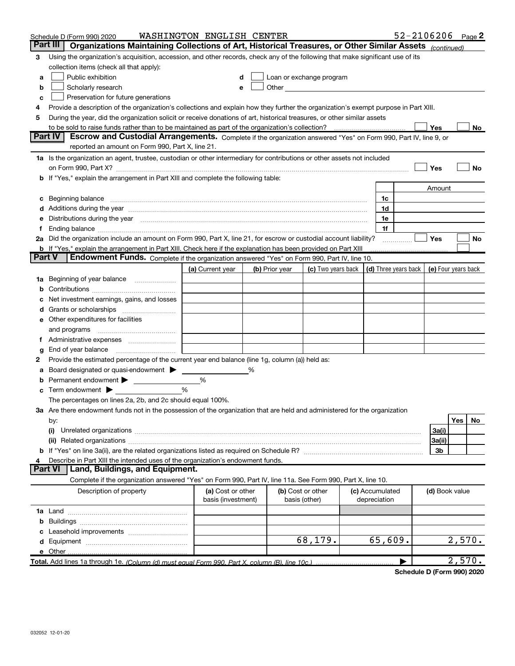| Part III I<br>Organizations Maintaining Collections of Art, Historical Treasures, or Other Similar Assets (continued)<br>Using the organization's acquisition, accession, and other records, check any of the following that make significant use of its<br>3<br>collection items (check all that apply):<br>Public exhibition<br>Loan or exchange program<br>a<br>Other and the contract of the contract of the contract of the contract of the contract of the contract of the contract of the contract of the contract of the contract of the contract of the contract of the contract of the<br>Scholarly research<br>b<br>Preservation for future generations<br>с<br>Provide a description of the organization's collections and explain how they further the organization's exempt purpose in Part XIII.<br>4<br>During the year, did the organization solicit or receive donations of art, historical treasures, or other similar assets<br>5<br>to be sold to raise funds rather than to be maintained as part of the organization's collection?<br><b>Yes</b><br>No<br><b>Part IV</b><br>Escrow and Custodial Arrangements. Complete if the organization answered "Yes" on Form 990, Part IV, line 9, or<br>reported an amount on Form 990, Part X, line 21.<br>1a Is the organization an agent, trustee, custodian or other intermediary for contributions or other assets not included<br>Yes<br>No<br>on Form 990, Part X? [11] matter continuum matter contract to the contract of the contract of the contract of the contract of the contract of the contract of the contract of the contract of the contract of the contract of<br><b>b</b> If "Yes," explain the arrangement in Part XIII and complete the following table:<br>Amount<br>c Beginning balance measurements and the contract of the contract of the contract of the contract of the contract of the contract of the contract of the contract of the contract of the contract of the contract of the contr<br>1c<br>d Additions during the year manufactured and an account of a state of the year manufactured and a state of the<br>1d<br>e Distributions during the year manufactured and continuum control of the control of the control of the state of the control of the control of the control of the control of the control of the control of the control of the<br>1e<br>1f<br>2a Did the organization include an amount on Form 990, Part X, line 21, for escrow or custodial account liability?<br>Yes<br>No<br>.<br><b>b</b> If "Yes," explain the arrangement in Part XIII. Check here if the explanation has been provided on Part XIII<br>Part V<br>Endowment Funds. Complete if the organization answered "Yes" on Form 990, Part IV, line 10.<br>(c) Two years back $\vert$ (d) Three years back $\vert$ (e) Four years back<br>(a) Current year<br>(b) Prior year<br>1a Beginning of year balance<br>b<br>Net investment earnings, gains, and losses<br>e Other expenditures for facilities<br>f Administrative expenses <i></i><br>End of year balance <i>manually contained</i><br>g<br>Provide the estimated percentage of the current year end balance (line 1g, column (a)) held as:<br>2<br>Board designated or quasi-endowment > _____<br>%<br>а<br><b>b</b> Permanent endowment ><br>%<br>$\mathbf c$ Term endowment $\blacktriangleright$<br>%<br>The percentages on lines 2a, 2b, and 2c should equal 100%.<br>3a Are there endowment funds not in the possession of the organization that are held and administered for the organization<br>Yes<br>No<br>by:<br>(i)<br>3a(i)<br>3a(ii)<br>3b<br>Describe in Part XIII the intended uses of the organization's endowment funds.<br>Land, Buildings, and Equipment.<br><b>Part VI</b><br>Complete if the organization answered "Yes" on Form 990, Part IV, line 11a. See Form 990, Part X, line 10.<br>Description of property<br>(a) Cost or other<br>(b) Cost or other<br>(c) Accumulated<br>(d) Book value<br>basis (investment)<br>basis (other)<br>depreciation<br>68, 179.<br>65,609.<br>2,570.<br>e Other<br>2,570.<br>Total. Add lines 1a through 1e. (Column (d) must equal Form 990. Part X, column (B), line 10c.) | Schedule D (Form 990) 2020 | WASHINGTON ENGLISH CENTER |  |  | $52 - 2106206$ Page 2 |  |  |
|------------------------------------------------------------------------------------------------------------------------------------------------------------------------------------------------------------------------------------------------------------------------------------------------------------------------------------------------------------------------------------------------------------------------------------------------------------------------------------------------------------------------------------------------------------------------------------------------------------------------------------------------------------------------------------------------------------------------------------------------------------------------------------------------------------------------------------------------------------------------------------------------------------------------------------------------------------------------------------------------------------------------------------------------------------------------------------------------------------------------------------------------------------------------------------------------------------------------------------------------------------------------------------------------------------------------------------------------------------------------------------------------------------------------------------------------------------------------------------------------------------------------------------------------------------------------------------------------------------------------------------------------------------------------------------------------------------------------------------------------------------------------------------------------------------------------------------------------------------------------------------------------------------------------------------------------------------------------------------------------------------------------------------------------------------------------------------------------------------------------------------------------------------------------------------------------------------------------------------------------------------------------------------------------------------------------------------------------------------------------------------------------------------------------------------------------------------------------------------------------------------------------------------------------------------------------------------------------------------------------------------------------------------------------------------------------------------------------------------------------------------------------------------------------------------------------------------------------------------------------------------------------------------------------------------------------------------------------------------------------------------------------------------------------------------------------------------------------------------------------------------------------------------------------------------------------------------------------------------------------------------------------------------------------------------------------------------------------------------------------------------------------------------------------------------------------------------------------------------------------------------------------------------------------------------------------------------------------------------------------------------------------------------------------------------------------------------------------------------------------------------------------------------------------------------------------------------------------------------------------------------------------------------------------------------------------------------------------------------------------------------------------------------------------------------------------------------------------------------------------------------------------------------------------------------------|----------------------------|---------------------------|--|--|-----------------------|--|--|
|                                                                                                                                                                                                                                                                                                                                                                                                                                                                                                                                                                                                                                                                                                                                                                                                                                                                                                                                                                                                                                                                                                                                                                                                                                                                                                                                                                                                                                                                                                                                                                                                                                                                                                                                                                                                                                                                                                                                                                                                                                                                                                                                                                                                                                                                                                                                                                                                                                                                                                                                                                                                                                                                                                                                                                                                                                                                                                                                                                                                                                                                                                                                                                                                                                                                                                                                                                                                                                                                                                                                                                                                                                                                                                                                                                                                                                                                                                                                                                                                                                                                                                                                                                                          |                            |                           |  |  |                       |  |  |
|                                                                                                                                                                                                                                                                                                                                                                                                                                                                                                                                                                                                                                                                                                                                                                                                                                                                                                                                                                                                                                                                                                                                                                                                                                                                                                                                                                                                                                                                                                                                                                                                                                                                                                                                                                                                                                                                                                                                                                                                                                                                                                                                                                                                                                                                                                                                                                                                                                                                                                                                                                                                                                                                                                                                                                                                                                                                                                                                                                                                                                                                                                                                                                                                                                                                                                                                                                                                                                                                                                                                                                                                                                                                                                                                                                                                                                                                                                                                                                                                                                                                                                                                                                                          |                            |                           |  |  |                       |  |  |
|                                                                                                                                                                                                                                                                                                                                                                                                                                                                                                                                                                                                                                                                                                                                                                                                                                                                                                                                                                                                                                                                                                                                                                                                                                                                                                                                                                                                                                                                                                                                                                                                                                                                                                                                                                                                                                                                                                                                                                                                                                                                                                                                                                                                                                                                                                                                                                                                                                                                                                                                                                                                                                                                                                                                                                                                                                                                                                                                                                                                                                                                                                                                                                                                                                                                                                                                                                                                                                                                                                                                                                                                                                                                                                                                                                                                                                                                                                                                                                                                                                                                                                                                                                                          |                            |                           |  |  |                       |  |  |
|                                                                                                                                                                                                                                                                                                                                                                                                                                                                                                                                                                                                                                                                                                                                                                                                                                                                                                                                                                                                                                                                                                                                                                                                                                                                                                                                                                                                                                                                                                                                                                                                                                                                                                                                                                                                                                                                                                                                                                                                                                                                                                                                                                                                                                                                                                                                                                                                                                                                                                                                                                                                                                                                                                                                                                                                                                                                                                                                                                                                                                                                                                                                                                                                                                                                                                                                                                                                                                                                                                                                                                                                                                                                                                                                                                                                                                                                                                                                                                                                                                                                                                                                                                                          |                            |                           |  |  |                       |  |  |
|                                                                                                                                                                                                                                                                                                                                                                                                                                                                                                                                                                                                                                                                                                                                                                                                                                                                                                                                                                                                                                                                                                                                                                                                                                                                                                                                                                                                                                                                                                                                                                                                                                                                                                                                                                                                                                                                                                                                                                                                                                                                                                                                                                                                                                                                                                                                                                                                                                                                                                                                                                                                                                                                                                                                                                                                                                                                                                                                                                                                                                                                                                                                                                                                                                                                                                                                                                                                                                                                                                                                                                                                                                                                                                                                                                                                                                                                                                                                                                                                                                                                                                                                                                                          |                            |                           |  |  |                       |  |  |
|                                                                                                                                                                                                                                                                                                                                                                                                                                                                                                                                                                                                                                                                                                                                                                                                                                                                                                                                                                                                                                                                                                                                                                                                                                                                                                                                                                                                                                                                                                                                                                                                                                                                                                                                                                                                                                                                                                                                                                                                                                                                                                                                                                                                                                                                                                                                                                                                                                                                                                                                                                                                                                                                                                                                                                                                                                                                                                                                                                                                                                                                                                                                                                                                                                                                                                                                                                                                                                                                                                                                                                                                                                                                                                                                                                                                                                                                                                                                                                                                                                                                                                                                                                                          |                            |                           |  |  |                       |  |  |
|                                                                                                                                                                                                                                                                                                                                                                                                                                                                                                                                                                                                                                                                                                                                                                                                                                                                                                                                                                                                                                                                                                                                                                                                                                                                                                                                                                                                                                                                                                                                                                                                                                                                                                                                                                                                                                                                                                                                                                                                                                                                                                                                                                                                                                                                                                                                                                                                                                                                                                                                                                                                                                                                                                                                                                                                                                                                                                                                                                                                                                                                                                                                                                                                                                                                                                                                                                                                                                                                                                                                                                                                                                                                                                                                                                                                                                                                                                                                                                                                                                                                                                                                                                                          |                            |                           |  |  |                       |  |  |
|                                                                                                                                                                                                                                                                                                                                                                                                                                                                                                                                                                                                                                                                                                                                                                                                                                                                                                                                                                                                                                                                                                                                                                                                                                                                                                                                                                                                                                                                                                                                                                                                                                                                                                                                                                                                                                                                                                                                                                                                                                                                                                                                                                                                                                                                                                                                                                                                                                                                                                                                                                                                                                                                                                                                                                                                                                                                                                                                                                                                                                                                                                                                                                                                                                                                                                                                                                                                                                                                                                                                                                                                                                                                                                                                                                                                                                                                                                                                                                                                                                                                                                                                                                                          |                            |                           |  |  |                       |  |  |
|                                                                                                                                                                                                                                                                                                                                                                                                                                                                                                                                                                                                                                                                                                                                                                                                                                                                                                                                                                                                                                                                                                                                                                                                                                                                                                                                                                                                                                                                                                                                                                                                                                                                                                                                                                                                                                                                                                                                                                                                                                                                                                                                                                                                                                                                                                                                                                                                                                                                                                                                                                                                                                                                                                                                                                                                                                                                                                                                                                                                                                                                                                                                                                                                                                                                                                                                                                                                                                                                                                                                                                                                                                                                                                                                                                                                                                                                                                                                                                                                                                                                                                                                                                                          |                            |                           |  |  |                       |  |  |
|                                                                                                                                                                                                                                                                                                                                                                                                                                                                                                                                                                                                                                                                                                                                                                                                                                                                                                                                                                                                                                                                                                                                                                                                                                                                                                                                                                                                                                                                                                                                                                                                                                                                                                                                                                                                                                                                                                                                                                                                                                                                                                                                                                                                                                                                                                                                                                                                                                                                                                                                                                                                                                                                                                                                                                                                                                                                                                                                                                                                                                                                                                                                                                                                                                                                                                                                                                                                                                                                                                                                                                                                                                                                                                                                                                                                                                                                                                                                                                                                                                                                                                                                                                                          |                            |                           |  |  |                       |  |  |
|                                                                                                                                                                                                                                                                                                                                                                                                                                                                                                                                                                                                                                                                                                                                                                                                                                                                                                                                                                                                                                                                                                                                                                                                                                                                                                                                                                                                                                                                                                                                                                                                                                                                                                                                                                                                                                                                                                                                                                                                                                                                                                                                                                                                                                                                                                                                                                                                                                                                                                                                                                                                                                                                                                                                                                                                                                                                                                                                                                                                                                                                                                                                                                                                                                                                                                                                                                                                                                                                                                                                                                                                                                                                                                                                                                                                                                                                                                                                                                                                                                                                                                                                                                                          |                            |                           |  |  |                       |  |  |
|                                                                                                                                                                                                                                                                                                                                                                                                                                                                                                                                                                                                                                                                                                                                                                                                                                                                                                                                                                                                                                                                                                                                                                                                                                                                                                                                                                                                                                                                                                                                                                                                                                                                                                                                                                                                                                                                                                                                                                                                                                                                                                                                                                                                                                                                                                                                                                                                                                                                                                                                                                                                                                                                                                                                                                                                                                                                                                                                                                                                                                                                                                                                                                                                                                                                                                                                                                                                                                                                                                                                                                                                                                                                                                                                                                                                                                                                                                                                                                                                                                                                                                                                                                                          |                            |                           |  |  |                       |  |  |
|                                                                                                                                                                                                                                                                                                                                                                                                                                                                                                                                                                                                                                                                                                                                                                                                                                                                                                                                                                                                                                                                                                                                                                                                                                                                                                                                                                                                                                                                                                                                                                                                                                                                                                                                                                                                                                                                                                                                                                                                                                                                                                                                                                                                                                                                                                                                                                                                                                                                                                                                                                                                                                                                                                                                                                                                                                                                                                                                                                                                                                                                                                                                                                                                                                                                                                                                                                                                                                                                                                                                                                                                                                                                                                                                                                                                                                                                                                                                                                                                                                                                                                                                                                                          |                            |                           |  |  |                       |  |  |
|                                                                                                                                                                                                                                                                                                                                                                                                                                                                                                                                                                                                                                                                                                                                                                                                                                                                                                                                                                                                                                                                                                                                                                                                                                                                                                                                                                                                                                                                                                                                                                                                                                                                                                                                                                                                                                                                                                                                                                                                                                                                                                                                                                                                                                                                                                                                                                                                                                                                                                                                                                                                                                                                                                                                                                                                                                                                                                                                                                                                                                                                                                                                                                                                                                                                                                                                                                                                                                                                                                                                                                                                                                                                                                                                                                                                                                                                                                                                                                                                                                                                                                                                                                                          |                            |                           |  |  |                       |  |  |
|                                                                                                                                                                                                                                                                                                                                                                                                                                                                                                                                                                                                                                                                                                                                                                                                                                                                                                                                                                                                                                                                                                                                                                                                                                                                                                                                                                                                                                                                                                                                                                                                                                                                                                                                                                                                                                                                                                                                                                                                                                                                                                                                                                                                                                                                                                                                                                                                                                                                                                                                                                                                                                                                                                                                                                                                                                                                                                                                                                                                                                                                                                                                                                                                                                                                                                                                                                                                                                                                                                                                                                                                                                                                                                                                                                                                                                                                                                                                                                                                                                                                                                                                                                                          |                            |                           |  |  |                       |  |  |
|                                                                                                                                                                                                                                                                                                                                                                                                                                                                                                                                                                                                                                                                                                                                                                                                                                                                                                                                                                                                                                                                                                                                                                                                                                                                                                                                                                                                                                                                                                                                                                                                                                                                                                                                                                                                                                                                                                                                                                                                                                                                                                                                                                                                                                                                                                                                                                                                                                                                                                                                                                                                                                                                                                                                                                                                                                                                                                                                                                                                                                                                                                                                                                                                                                                                                                                                                                                                                                                                                                                                                                                                                                                                                                                                                                                                                                                                                                                                                                                                                                                                                                                                                                                          |                            |                           |  |  |                       |  |  |
|                                                                                                                                                                                                                                                                                                                                                                                                                                                                                                                                                                                                                                                                                                                                                                                                                                                                                                                                                                                                                                                                                                                                                                                                                                                                                                                                                                                                                                                                                                                                                                                                                                                                                                                                                                                                                                                                                                                                                                                                                                                                                                                                                                                                                                                                                                                                                                                                                                                                                                                                                                                                                                                                                                                                                                                                                                                                                                                                                                                                                                                                                                                                                                                                                                                                                                                                                                                                                                                                                                                                                                                                                                                                                                                                                                                                                                                                                                                                                                                                                                                                                                                                                                                          |                            |                           |  |  |                       |  |  |
|                                                                                                                                                                                                                                                                                                                                                                                                                                                                                                                                                                                                                                                                                                                                                                                                                                                                                                                                                                                                                                                                                                                                                                                                                                                                                                                                                                                                                                                                                                                                                                                                                                                                                                                                                                                                                                                                                                                                                                                                                                                                                                                                                                                                                                                                                                                                                                                                                                                                                                                                                                                                                                                                                                                                                                                                                                                                                                                                                                                                                                                                                                                                                                                                                                                                                                                                                                                                                                                                                                                                                                                                                                                                                                                                                                                                                                                                                                                                                                                                                                                                                                                                                                                          |                            |                           |  |  |                       |  |  |
|                                                                                                                                                                                                                                                                                                                                                                                                                                                                                                                                                                                                                                                                                                                                                                                                                                                                                                                                                                                                                                                                                                                                                                                                                                                                                                                                                                                                                                                                                                                                                                                                                                                                                                                                                                                                                                                                                                                                                                                                                                                                                                                                                                                                                                                                                                                                                                                                                                                                                                                                                                                                                                                                                                                                                                                                                                                                                                                                                                                                                                                                                                                                                                                                                                                                                                                                                                                                                                                                                                                                                                                                                                                                                                                                                                                                                                                                                                                                                                                                                                                                                                                                                                                          |                            |                           |  |  |                       |  |  |
|                                                                                                                                                                                                                                                                                                                                                                                                                                                                                                                                                                                                                                                                                                                                                                                                                                                                                                                                                                                                                                                                                                                                                                                                                                                                                                                                                                                                                                                                                                                                                                                                                                                                                                                                                                                                                                                                                                                                                                                                                                                                                                                                                                                                                                                                                                                                                                                                                                                                                                                                                                                                                                                                                                                                                                                                                                                                                                                                                                                                                                                                                                                                                                                                                                                                                                                                                                                                                                                                                                                                                                                                                                                                                                                                                                                                                                                                                                                                                                                                                                                                                                                                                                                          |                            |                           |  |  |                       |  |  |
|                                                                                                                                                                                                                                                                                                                                                                                                                                                                                                                                                                                                                                                                                                                                                                                                                                                                                                                                                                                                                                                                                                                                                                                                                                                                                                                                                                                                                                                                                                                                                                                                                                                                                                                                                                                                                                                                                                                                                                                                                                                                                                                                                                                                                                                                                                                                                                                                                                                                                                                                                                                                                                                                                                                                                                                                                                                                                                                                                                                                                                                                                                                                                                                                                                                                                                                                                                                                                                                                                                                                                                                                                                                                                                                                                                                                                                                                                                                                                                                                                                                                                                                                                                                          |                            |                           |  |  |                       |  |  |
|                                                                                                                                                                                                                                                                                                                                                                                                                                                                                                                                                                                                                                                                                                                                                                                                                                                                                                                                                                                                                                                                                                                                                                                                                                                                                                                                                                                                                                                                                                                                                                                                                                                                                                                                                                                                                                                                                                                                                                                                                                                                                                                                                                                                                                                                                                                                                                                                                                                                                                                                                                                                                                                                                                                                                                                                                                                                                                                                                                                                                                                                                                                                                                                                                                                                                                                                                                                                                                                                                                                                                                                                                                                                                                                                                                                                                                                                                                                                                                                                                                                                                                                                                                                          |                            |                           |  |  |                       |  |  |
|                                                                                                                                                                                                                                                                                                                                                                                                                                                                                                                                                                                                                                                                                                                                                                                                                                                                                                                                                                                                                                                                                                                                                                                                                                                                                                                                                                                                                                                                                                                                                                                                                                                                                                                                                                                                                                                                                                                                                                                                                                                                                                                                                                                                                                                                                                                                                                                                                                                                                                                                                                                                                                                                                                                                                                                                                                                                                                                                                                                                                                                                                                                                                                                                                                                                                                                                                                                                                                                                                                                                                                                                                                                                                                                                                                                                                                                                                                                                                                                                                                                                                                                                                                                          |                            |                           |  |  |                       |  |  |
|                                                                                                                                                                                                                                                                                                                                                                                                                                                                                                                                                                                                                                                                                                                                                                                                                                                                                                                                                                                                                                                                                                                                                                                                                                                                                                                                                                                                                                                                                                                                                                                                                                                                                                                                                                                                                                                                                                                                                                                                                                                                                                                                                                                                                                                                                                                                                                                                                                                                                                                                                                                                                                                                                                                                                                                                                                                                                                                                                                                                                                                                                                                                                                                                                                                                                                                                                                                                                                                                                                                                                                                                                                                                                                                                                                                                                                                                                                                                                                                                                                                                                                                                                                                          |                            |                           |  |  |                       |  |  |
|                                                                                                                                                                                                                                                                                                                                                                                                                                                                                                                                                                                                                                                                                                                                                                                                                                                                                                                                                                                                                                                                                                                                                                                                                                                                                                                                                                                                                                                                                                                                                                                                                                                                                                                                                                                                                                                                                                                                                                                                                                                                                                                                                                                                                                                                                                                                                                                                                                                                                                                                                                                                                                                                                                                                                                                                                                                                                                                                                                                                                                                                                                                                                                                                                                                                                                                                                                                                                                                                                                                                                                                                                                                                                                                                                                                                                                                                                                                                                                                                                                                                                                                                                                                          |                            |                           |  |  |                       |  |  |
|                                                                                                                                                                                                                                                                                                                                                                                                                                                                                                                                                                                                                                                                                                                                                                                                                                                                                                                                                                                                                                                                                                                                                                                                                                                                                                                                                                                                                                                                                                                                                                                                                                                                                                                                                                                                                                                                                                                                                                                                                                                                                                                                                                                                                                                                                                                                                                                                                                                                                                                                                                                                                                                                                                                                                                                                                                                                                                                                                                                                                                                                                                                                                                                                                                                                                                                                                                                                                                                                                                                                                                                                                                                                                                                                                                                                                                                                                                                                                                                                                                                                                                                                                                                          |                            |                           |  |  |                       |  |  |
|                                                                                                                                                                                                                                                                                                                                                                                                                                                                                                                                                                                                                                                                                                                                                                                                                                                                                                                                                                                                                                                                                                                                                                                                                                                                                                                                                                                                                                                                                                                                                                                                                                                                                                                                                                                                                                                                                                                                                                                                                                                                                                                                                                                                                                                                                                                                                                                                                                                                                                                                                                                                                                                                                                                                                                                                                                                                                                                                                                                                                                                                                                                                                                                                                                                                                                                                                                                                                                                                                                                                                                                                                                                                                                                                                                                                                                                                                                                                                                                                                                                                                                                                                                                          |                            |                           |  |  |                       |  |  |
|                                                                                                                                                                                                                                                                                                                                                                                                                                                                                                                                                                                                                                                                                                                                                                                                                                                                                                                                                                                                                                                                                                                                                                                                                                                                                                                                                                                                                                                                                                                                                                                                                                                                                                                                                                                                                                                                                                                                                                                                                                                                                                                                                                                                                                                                                                                                                                                                                                                                                                                                                                                                                                                                                                                                                                                                                                                                                                                                                                                                                                                                                                                                                                                                                                                                                                                                                                                                                                                                                                                                                                                                                                                                                                                                                                                                                                                                                                                                                                                                                                                                                                                                                                                          |                            |                           |  |  |                       |  |  |
|                                                                                                                                                                                                                                                                                                                                                                                                                                                                                                                                                                                                                                                                                                                                                                                                                                                                                                                                                                                                                                                                                                                                                                                                                                                                                                                                                                                                                                                                                                                                                                                                                                                                                                                                                                                                                                                                                                                                                                                                                                                                                                                                                                                                                                                                                                                                                                                                                                                                                                                                                                                                                                                                                                                                                                                                                                                                                                                                                                                                                                                                                                                                                                                                                                                                                                                                                                                                                                                                                                                                                                                                                                                                                                                                                                                                                                                                                                                                                                                                                                                                                                                                                                                          |                            |                           |  |  |                       |  |  |
|                                                                                                                                                                                                                                                                                                                                                                                                                                                                                                                                                                                                                                                                                                                                                                                                                                                                                                                                                                                                                                                                                                                                                                                                                                                                                                                                                                                                                                                                                                                                                                                                                                                                                                                                                                                                                                                                                                                                                                                                                                                                                                                                                                                                                                                                                                                                                                                                                                                                                                                                                                                                                                                                                                                                                                                                                                                                                                                                                                                                                                                                                                                                                                                                                                                                                                                                                                                                                                                                                                                                                                                                                                                                                                                                                                                                                                                                                                                                                                                                                                                                                                                                                                                          |                            |                           |  |  |                       |  |  |
|                                                                                                                                                                                                                                                                                                                                                                                                                                                                                                                                                                                                                                                                                                                                                                                                                                                                                                                                                                                                                                                                                                                                                                                                                                                                                                                                                                                                                                                                                                                                                                                                                                                                                                                                                                                                                                                                                                                                                                                                                                                                                                                                                                                                                                                                                                                                                                                                                                                                                                                                                                                                                                                                                                                                                                                                                                                                                                                                                                                                                                                                                                                                                                                                                                                                                                                                                                                                                                                                                                                                                                                                                                                                                                                                                                                                                                                                                                                                                                                                                                                                                                                                                                                          |                            |                           |  |  |                       |  |  |
|                                                                                                                                                                                                                                                                                                                                                                                                                                                                                                                                                                                                                                                                                                                                                                                                                                                                                                                                                                                                                                                                                                                                                                                                                                                                                                                                                                                                                                                                                                                                                                                                                                                                                                                                                                                                                                                                                                                                                                                                                                                                                                                                                                                                                                                                                                                                                                                                                                                                                                                                                                                                                                                                                                                                                                                                                                                                                                                                                                                                                                                                                                                                                                                                                                                                                                                                                                                                                                                                                                                                                                                                                                                                                                                                                                                                                                                                                                                                                                                                                                                                                                                                                                                          |                            |                           |  |  |                       |  |  |
|                                                                                                                                                                                                                                                                                                                                                                                                                                                                                                                                                                                                                                                                                                                                                                                                                                                                                                                                                                                                                                                                                                                                                                                                                                                                                                                                                                                                                                                                                                                                                                                                                                                                                                                                                                                                                                                                                                                                                                                                                                                                                                                                                                                                                                                                                                                                                                                                                                                                                                                                                                                                                                                                                                                                                                                                                                                                                                                                                                                                                                                                                                                                                                                                                                                                                                                                                                                                                                                                                                                                                                                                                                                                                                                                                                                                                                                                                                                                                                                                                                                                                                                                                                                          |                            |                           |  |  |                       |  |  |
|                                                                                                                                                                                                                                                                                                                                                                                                                                                                                                                                                                                                                                                                                                                                                                                                                                                                                                                                                                                                                                                                                                                                                                                                                                                                                                                                                                                                                                                                                                                                                                                                                                                                                                                                                                                                                                                                                                                                                                                                                                                                                                                                                                                                                                                                                                                                                                                                                                                                                                                                                                                                                                                                                                                                                                                                                                                                                                                                                                                                                                                                                                                                                                                                                                                                                                                                                                                                                                                                                                                                                                                                                                                                                                                                                                                                                                                                                                                                                                                                                                                                                                                                                                                          |                            |                           |  |  |                       |  |  |
|                                                                                                                                                                                                                                                                                                                                                                                                                                                                                                                                                                                                                                                                                                                                                                                                                                                                                                                                                                                                                                                                                                                                                                                                                                                                                                                                                                                                                                                                                                                                                                                                                                                                                                                                                                                                                                                                                                                                                                                                                                                                                                                                                                                                                                                                                                                                                                                                                                                                                                                                                                                                                                                                                                                                                                                                                                                                                                                                                                                                                                                                                                                                                                                                                                                                                                                                                                                                                                                                                                                                                                                                                                                                                                                                                                                                                                                                                                                                                                                                                                                                                                                                                                                          |                            |                           |  |  |                       |  |  |
|                                                                                                                                                                                                                                                                                                                                                                                                                                                                                                                                                                                                                                                                                                                                                                                                                                                                                                                                                                                                                                                                                                                                                                                                                                                                                                                                                                                                                                                                                                                                                                                                                                                                                                                                                                                                                                                                                                                                                                                                                                                                                                                                                                                                                                                                                                                                                                                                                                                                                                                                                                                                                                                                                                                                                                                                                                                                                                                                                                                                                                                                                                                                                                                                                                                                                                                                                                                                                                                                                                                                                                                                                                                                                                                                                                                                                                                                                                                                                                                                                                                                                                                                                                                          |                            |                           |  |  |                       |  |  |
|                                                                                                                                                                                                                                                                                                                                                                                                                                                                                                                                                                                                                                                                                                                                                                                                                                                                                                                                                                                                                                                                                                                                                                                                                                                                                                                                                                                                                                                                                                                                                                                                                                                                                                                                                                                                                                                                                                                                                                                                                                                                                                                                                                                                                                                                                                                                                                                                                                                                                                                                                                                                                                                                                                                                                                                                                                                                                                                                                                                                                                                                                                                                                                                                                                                                                                                                                                                                                                                                                                                                                                                                                                                                                                                                                                                                                                                                                                                                                                                                                                                                                                                                                                                          |                            |                           |  |  |                       |  |  |
|                                                                                                                                                                                                                                                                                                                                                                                                                                                                                                                                                                                                                                                                                                                                                                                                                                                                                                                                                                                                                                                                                                                                                                                                                                                                                                                                                                                                                                                                                                                                                                                                                                                                                                                                                                                                                                                                                                                                                                                                                                                                                                                                                                                                                                                                                                                                                                                                                                                                                                                                                                                                                                                                                                                                                                                                                                                                                                                                                                                                                                                                                                                                                                                                                                                                                                                                                                                                                                                                                                                                                                                                                                                                                                                                                                                                                                                                                                                                                                                                                                                                                                                                                                                          |                            |                           |  |  |                       |  |  |
|                                                                                                                                                                                                                                                                                                                                                                                                                                                                                                                                                                                                                                                                                                                                                                                                                                                                                                                                                                                                                                                                                                                                                                                                                                                                                                                                                                                                                                                                                                                                                                                                                                                                                                                                                                                                                                                                                                                                                                                                                                                                                                                                                                                                                                                                                                                                                                                                                                                                                                                                                                                                                                                                                                                                                                                                                                                                                                                                                                                                                                                                                                                                                                                                                                                                                                                                                                                                                                                                                                                                                                                                                                                                                                                                                                                                                                                                                                                                                                                                                                                                                                                                                                                          |                            |                           |  |  |                       |  |  |
|                                                                                                                                                                                                                                                                                                                                                                                                                                                                                                                                                                                                                                                                                                                                                                                                                                                                                                                                                                                                                                                                                                                                                                                                                                                                                                                                                                                                                                                                                                                                                                                                                                                                                                                                                                                                                                                                                                                                                                                                                                                                                                                                                                                                                                                                                                                                                                                                                                                                                                                                                                                                                                                                                                                                                                                                                                                                                                                                                                                                                                                                                                                                                                                                                                                                                                                                                                                                                                                                                                                                                                                                                                                                                                                                                                                                                                                                                                                                                                                                                                                                                                                                                                                          |                            |                           |  |  |                       |  |  |
|                                                                                                                                                                                                                                                                                                                                                                                                                                                                                                                                                                                                                                                                                                                                                                                                                                                                                                                                                                                                                                                                                                                                                                                                                                                                                                                                                                                                                                                                                                                                                                                                                                                                                                                                                                                                                                                                                                                                                                                                                                                                                                                                                                                                                                                                                                                                                                                                                                                                                                                                                                                                                                                                                                                                                                                                                                                                                                                                                                                                                                                                                                                                                                                                                                                                                                                                                                                                                                                                                                                                                                                                                                                                                                                                                                                                                                                                                                                                                                                                                                                                                                                                                                                          |                            |                           |  |  |                       |  |  |
|                                                                                                                                                                                                                                                                                                                                                                                                                                                                                                                                                                                                                                                                                                                                                                                                                                                                                                                                                                                                                                                                                                                                                                                                                                                                                                                                                                                                                                                                                                                                                                                                                                                                                                                                                                                                                                                                                                                                                                                                                                                                                                                                                                                                                                                                                                                                                                                                                                                                                                                                                                                                                                                                                                                                                                                                                                                                                                                                                                                                                                                                                                                                                                                                                                                                                                                                                                                                                                                                                                                                                                                                                                                                                                                                                                                                                                                                                                                                                                                                                                                                                                                                                                                          |                            |                           |  |  |                       |  |  |
|                                                                                                                                                                                                                                                                                                                                                                                                                                                                                                                                                                                                                                                                                                                                                                                                                                                                                                                                                                                                                                                                                                                                                                                                                                                                                                                                                                                                                                                                                                                                                                                                                                                                                                                                                                                                                                                                                                                                                                                                                                                                                                                                                                                                                                                                                                                                                                                                                                                                                                                                                                                                                                                                                                                                                                                                                                                                                                                                                                                                                                                                                                                                                                                                                                                                                                                                                                                                                                                                                                                                                                                                                                                                                                                                                                                                                                                                                                                                                                                                                                                                                                                                                                                          |                            |                           |  |  |                       |  |  |
|                                                                                                                                                                                                                                                                                                                                                                                                                                                                                                                                                                                                                                                                                                                                                                                                                                                                                                                                                                                                                                                                                                                                                                                                                                                                                                                                                                                                                                                                                                                                                                                                                                                                                                                                                                                                                                                                                                                                                                                                                                                                                                                                                                                                                                                                                                                                                                                                                                                                                                                                                                                                                                                                                                                                                                                                                                                                                                                                                                                                                                                                                                                                                                                                                                                                                                                                                                                                                                                                                                                                                                                                                                                                                                                                                                                                                                                                                                                                                                                                                                                                                                                                                                                          |                            |                           |  |  |                       |  |  |
|                                                                                                                                                                                                                                                                                                                                                                                                                                                                                                                                                                                                                                                                                                                                                                                                                                                                                                                                                                                                                                                                                                                                                                                                                                                                                                                                                                                                                                                                                                                                                                                                                                                                                                                                                                                                                                                                                                                                                                                                                                                                                                                                                                                                                                                                                                                                                                                                                                                                                                                                                                                                                                                                                                                                                                                                                                                                                                                                                                                                                                                                                                                                                                                                                                                                                                                                                                                                                                                                                                                                                                                                                                                                                                                                                                                                                                                                                                                                                                                                                                                                                                                                                                                          |                            |                           |  |  |                       |  |  |
|                                                                                                                                                                                                                                                                                                                                                                                                                                                                                                                                                                                                                                                                                                                                                                                                                                                                                                                                                                                                                                                                                                                                                                                                                                                                                                                                                                                                                                                                                                                                                                                                                                                                                                                                                                                                                                                                                                                                                                                                                                                                                                                                                                                                                                                                                                                                                                                                                                                                                                                                                                                                                                                                                                                                                                                                                                                                                                                                                                                                                                                                                                                                                                                                                                                                                                                                                                                                                                                                                                                                                                                                                                                                                                                                                                                                                                                                                                                                                                                                                                                                                                                                                                                          |                            |                           |  |  |                       |  |  |
|                                                                                                                                                                                                                                                                                                                                                                                                                                                                                                                                                                                                                                                                                                                                                                                                                                                                                                                                                                                                                                                                                                                                                                                                                                                                                                                                                                                                                                                                                                                                                                                                                                                                                                                                                                                                                                                                                                                                                                                                                                                                                                                                                                                                                                                                                                                                                                                                                                                                                                                                                                                                                                                                                                                                                                                                                                                                                                                                                                                                                                                                                                                                                                                                                                                                                                                                                                                                                                                                                                                                                                                                                                                                                                                                                                                                                                                                                                                                                                                                                                                                                                                                                                                          |                            |                           |  |  |                       |  |  |
|                                                                                                                                                                                                                                                                                                                                                                                                                                                                                                                                                                                                                                                                                                                                                                                                                                                                                                                                                                                                                                                                                                                                                                                                                                                                                                                                                                                                                                                                                                                                                                                                                                                                                                                                                                                                                                                                                                                                                                                                                                                                                                                                                                                                                                                                                                                                                                                                                                                                                                                                                                                                                                                                                                                                                                                                                                                                                                                                                                                                                                                                                                                                                                                                                                                                                                                                                                                                                                                                                                                                                                                                                                                                                                                                                                                                                                                                                                                                                                                                                                                                                                                                                                                          |                            |                           |  |  |                       |  |  |
|                                                                                                                                                                                                                                                                                                                                                                                                                                                                                                                                                                                                                                                                                                                                                                                                                                                                                                                                                                                                                                                                                                                                                                                                                                                                                                                                                                                                                                                                                                                                                                                                                                                                                                                                                                                                                                                                                                                                                                                                                                                                                                                                                                                                                                                                                                                                                                                                                                                                                                                                                                                                                                                                                                                                                                                                                                                                                                                                                                                                                                                                                                                                                                                                                                                                                                                                                                                                                                                                                                                                                                                                                                                                                                                                                                                                                                                                                                                                                                                                                                                                                                                                                                                          |                            |                           |  |  |                       |  |  |
|                                                                                                                                                                                                                                                                                                                                                                                                                                                                                                                                                                                                                                                                                                                                                                                                                                                                                                                                                                                                                                                                                                                                                                                                                                                                                                                                                                                                                                                                                                                                                                                                                                                                                                                                                                                                                                                                                                                                                                                                                                                                                                                                                                                                                                                                                                                                                                                                                                                                                                                                                                                                                                                                                                                                                                                                                                                                                                                                                                                                                                                                                                                                                                                                                                                                                                                                                                                                                                                                                                                                                                                                                                                                                                                                                                                                                                                                                                                                                                                                                                                                                                                                                                                          |                            |                           |  |  |                       |  |  |

Schedule D (Form 990) 2020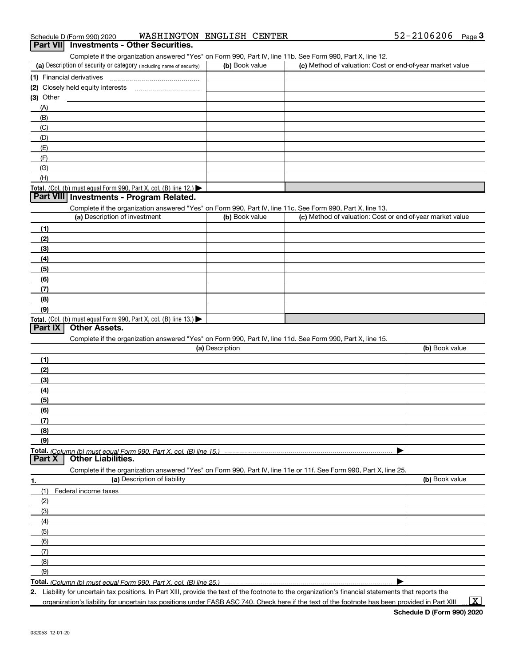| Complete if the organization answered "Yes" on Form 990, Part IV, line 11b. See Form 990, Part X, line 12.<br>(a) Description of security or category (including name of security)<br>(b) Book value<br>(c) Method of valuation: Cost or end-of-year market value<br>$(3)$ Other<br>(A)<br>(B)<br>(C)<br>(D)<br>(E)<br>(F)<br>(G)<br>(H)<br>Total. (Col. (b) must equal Form 990, Part X, col. (B) line 12.) $\blacktriangleright$<br>Part VIII Investments - Program Related.<br>Complete if the organization answered "Yes" on Form 990, Part IV, line 11c. See Form 990, Part X, line 13.<br>(a) Description of investment<br>(c) Method of valuation: Cost or end-of-year market value<br>(b) Book value<br>(1)<br>(2)<br>(3)<br>(4)<br>(5)<br>(6)<br>(7)<br>(8)<br>(9)<br>Total. (Col. (b) must equal Form 990, Part X, col. (B) line 13.)<br>Part IX<br><b>Other Assets.</b><br>Complete if the organization answered "Yes" on Form 990, Part IV, line 11d. See Form 990, Part X, line 15.<br>(a) Description<br>(b) Book value<br>(1)<br>(2)<br>(3)<br>(4)<br>(5)<br>(6)<br>(7)<br>(8)<br>(9)<br>Total. (Column (b) must equal Form 990, Part X, col. (B) line 15.)<br><b>Part X</b><br><b>Other Liabilities.</b><br>Complete if the organization answered "Yes" on Form 990, Part IV, line 11e or 11f. See Form 990, Part X, line 25.<br>(a) Description of liability<br>(b) Book value<br>1.<br>Federal income taxes<br>(1)<br>(2)<br>(3)<br>(4) | (5)<br>(6)<br>(7)<br>(8) | (9) | Part VII Investments - Other Securities. |  |  |
|-----------------------------------------------------------------------------------------------------------------------------------------------------------------------------------------------------------------------------------------------------------------------------------------------------------------------------------------------------------------------------------------------------------------------------------------------------------------------------------------------------------------------------------------------------------------------------------------------------------------------------------------------------------------------------------------------------------------------------------------------------------------------------------------------------------------------------------------------------------------------------------------------------------------------------------------------------------------------------------------------------------------------------------------------------------------------------------------------------------------------------------------------------------------------------------------------------------------------------------------------------------------------------------------------------------------------------------------------------------------------------------------------------------------------------------------------------------|--------------------------|-----|------------------------------------------|--|--|
|                                                                                                                                                                                                                                                                                                                                                                                                                                                                                                                                                                                                                                                                                                                                                                                                                                                                                                                                                                                                                                                                                                                                                                                                                                                                                                                                                                                                                                                           |                          |     |                                          |  |  |
|                                                                                                                                                                                                                                                                                                                                                                                                                                                                                                                                                                                                                                                                                                                                                                                                                                                                                                                                                                                                                                                                                                                                                                                                                                                                                                                                                                                                                                                           |                          |     |                                          |  |  |
|                                                                                                                                                                                                                                                                                                                                                                                                                                                                                                                                                                                                                                                                                                                                                                                                                                                                                                                                                                                                                                                                                                                                                                                                                                                                                                                                                                                                                                                           |                          |     |                                          |  |  |
|                                                                                                                                                                                                                                                                                                                                                                                                                                                                                                                                                                                                                                                                                                                                                                                                                                                                                                                                                                                                                                                                                                                                                                                                                                                                                                                                                                                                                                                           |                          |     |                                          |  |  |
|                                                                                                                                                                                                                                                                                                                                                                                                                                                                                                                                                                                                                                                                                                                                                                                                                                                                                                                                                                                                                                                                                                                                                                                                                                                                                                                                                                                                                                                           |                          |     |                                          |  |  |
|                                                                                                                                                                                                                                                                                                                                                                                                                                                                                                                                                                                                                                                                                                                                                                                                                                                                                                                                                                                                                                                                                                                                                                                                                                                                                                                                                                                                                                                           |                          |     |                                          |  |  |
|                                                                                                                                                                                                                                                                                                                                                                                                                                                                                                                                                                                                                                                                                                                                                                                                                                                                                                                                                                                                                                                                                                                                                                                                                                                                                                                                                                                                                                                           |                          |     |                                          |  |  |
|                                                                                                                                                                                                                                                                                                                                                                                                                                                                                                                                                                                                                                                                                                                                                                                                                                                                                                                                                                                                                                                                                                                                                                                                                                                                                                                                                                                                                                                           |                          |     |                                          |  |  |
|                                                                                                                                                                                                                                                                                                                                                                                                                                                                                                                                                                                                                                                                                                                                                                                                                                                                                                                                                                                                                                                                                                                                                                                                                                                                                                                                                                                                                                                           |                          |     |                                          |  |  |
|                                                                                                                                                                                                                                                                                                                                                                                                                                                                                                                                                                                                                                                                                                                                                                                                                                                                                                                                                                                                                                                                                                                                                                                                                                                                                                                                                                                                                                                           |                          |     |                                          |  |  |
|                                                                                                                                                                                                                                                                                                                                                                                                                                                                                                                                                                                                                                                                                                                                                                                                                                                                                                                                                                                                                                                                                                                                                                                                                                                                                                                                                                                                                                                           |                          |     |                                          |  |  |
|                                                                                                                                                                                                                                                                                                                                                                                                                                                                                                                                                                                                                                                                                                                                                                                                                                                                                                                                                                                                                                                                                                                                                                                                                                                                                                                                                                                                                                                           |                          |     |                                          |  |  |
|                                                                                                                                                                                                                                                                                                                                                                                                                                                                                                                                                                                                                                                                                                                                                                                                                                                                                                                                                                                                                                                                                                                                                                                                                                                                                                                                                                                                                                                           |                          |     |                                          |  |  |
|                                                                                                                                                                                                                                                                                                                                                                                                                                                                                                                                                                                                                                                                                                                                                                                                                                                                                                                                                                                                                                                                                                                                                                                                                                                                                                                                                                                                                                                           |                          |     |                                          |  |  |
|                                                                                                                                                                                                                                                                                                                                                                                                                                                                                                                                                                                                                                                                                                                                                                                                                                                                                                                                                                                                                                                                                                                                                                                                                                                                                                                                                                                                                                                           |                          |     |                                          |  |  |
|                                                                                                                                                                                                                                                                                                                                                                                                                                                                                                                                                                                                                                                                                                                                                                                                                                                                                                                                                                                                                                                                                                                                                                                                                                                                                                                                                                                                                                                           |                          |     |                                          |  |  |
|                                                                                                                                                                                                                                                                                                                                                                                                                                                                                                                                                                                                                                                                                                                                                                                                                                                                                                                                                                                                                                                                                                                                                                                                                                                                                                                                                                                                                                                           |                          |     |                                          |  |  |
|                                                                                                                                                                                                                                                                                                                                                                                                                                                                                                                                                                                                                                                                                                                                                                                                                                                                                                                                                                                                                                                                                                                                                                                                                                                                                                                                                                                                                                                           |                          |     |                                          |  |  |
|                                                                                                                                                                                                                                                                                                                                                                                                                                                                                                                                                                                                                                                                                                                                                                                                                                                                                                                                                                                                                                                                                                                                                                                                                                                                                                                                                                                                                                                           |                          |     |                                          |  |  |
|                                                                                                                                                                                                                                                                                                                                                                                                                                                                                                                                                                                                                                                                                                                                                                                                                                                                                                                                                                                                                                                                                                                                                                                                                                                                                                                                                                                                                                                           |                          |     |                                          |  |  |
|                                                                                                                                                                                                                                                                                                                                                                                                                                                                                                                                                                                                                                                                                                                                                                                                                                                                                                                                                                                                                                                                                                                                                                                                                                                                                                                                                                                                                                                           |                          |     |                                          |  |  |
|                                                                                                                                                                                                                                                                                                                                                                                                                                                                                                                                                                                                                                                                                                                                                                                                                                                                                                                                                                                                                                                                                                                                                                                                                                                                                                                                                                                                                                                           |                          |     |                                          |  |  |
|                                                                                                                                                                                                                                                                                                                                                                                                                                                                                                                                                                                                                                                                                                                                                                                                                                                                                                                                                                                                                                                                                                                                                                                                                                                                                                                                                                                                                                                           |                          |     |                                          |  |  |
|                                                                                                                                                                                                                                                                                                                                                                                                                                                                                                                                                                                                                                                                                                                                                                                                                                                                                                                                                                                                                                                                                                                                                                                                                                                                                                                                                                                                                                                           |                          |     |                                          |  |  |
|                                                                                                                                                                                                                                                                                                                                                                                                                                                                                                                                                                                                                                                                                                                                                                                                                                                                                                                                                                                                                                                                                                                                                                                                                                                                                                                                                                                                                                                           |                          |     |                                          |  |  |
|                                                                                                                                                                                                                                                                                                                                                                                                                                                                                                                                                                                                                                                                                                                                                                                                                                                                                                                                                                                                                                                                                                                                                                                                                                                                                                                                                                                                                                                           |                          |     |                                          |  |  |
|                                                                                                                                                                                                                                                                                                                                                                                                                                                                                                                                                                                                                                                                                                                                                                                                                                                                                                                                                                                                                                                                                                                                                                                                                                                                                                                                                                                                                                                           |                          |     |                                          |  |  |
|                                                                                                                                                                                                                                                                                                                                                                                                                                                                                                                                                                                                                                                                                                                                                                                                                                                                                                                                                                                                                                                                                                                                                                                                                                                                                                                                                                                                                                                           |                          |     |                                          |  |  |
|                                                                                                                                                                                                                                                                                                                                                                                                                                                                                                                                                                                                                                                                                                                                                                                                                                                                                                                                                                                                                                                                                                                                                                                                                                                                                                                                                                                                                                                           |                          |     |                                          |  |  |
|                                                                                                                                                                                                                                                                                                                                                                                                                                                                                                                                                                                                                                                                                                                                                                                                                                                                                                                                                                                                                                                                                                                                                                                                                                                                                                                                                                                                                                                           |                          |     |                                          |  |  |
|                                                                                                                                                                                                                                                                                                                                                                                                                                                                                                                                                                                                                                                                                                                                                                                                                                                                                                                                                                                                                                                                                                                                                                                                                                                                                                                                                                                                                                                           |                          |     |                                          |  |  |
|                                                                                                                                                                                                                                                                                                                                                                                                                                                                                                                                                                                                                                                                                                                                                                                                                                                                                                                                                                                                                                                                                                                                                                                                                                                                                                                                                                                                                                                           |                          |     |                                          |  |  |
|                                                                                                                                                                                                                                                                                                                                                                                                                                                                                                                                                                                                                                                                                                                                                                                                                                                                                                                                                                                                                                                                                                                                                                                                                                                                                                                                                                                                                                                           |                          |     |                                          |  |  |
|                                                                                                                                                                                                                                                                                                                                                                                                                                                                                                                                                                                                                                                                                                                                                                                                                                                                                                                                                                                                                                                                                                                                                                                                                                                                                                                                                                                                                                                           |                          |     |                                          |  |  |
|                                                                                                                                                                                                                                                                                                                                                                                                                                                                                                                                                                                                                                                                                                                                                                                                                                                                                                                                                                                                                                                                                                                                                                                                                                                                                                                                                                                                                                                           |                          |     |                                          |  |  |
|                                                                                                                                                                                                                                                                                                                                                                                                                                                                                                                                                                                                                                                                                                                                                                                                                                                                                                                                                                                                                                                                                                                                                                                                                                                                                                                                                                                                                                                           |                          |     |                                          |  |  |
|                                                                                                                                                                                                                                                                                                                                                                                                                                                                                                                                                                                                                                                                                                                                                                                                                                                                                                                                                                                                                                                                                                                                                                                                                                                                                                                                                                                                                                                           |                          |     |                                          |  |  |
|                                                                                                                                                                                                                                                                                                                                                                                                                                                                                                                                                                                                                                                                                                                                                                                                                                                                                                                                                                                                                                                                                                                                                                                                                                                                                                                                                                                                                                                           |                          |     |                                          |  |  |
|                                                                                                                                                                                                                                                                                                                                                                                                                                                                                                                                                                                                                                                                                                                                                                                                                                                                                                                                                                                                                                                                                                                                                                                                                                                                                                                                                                                                                                                           |                          |     |                                          |  |  |
|                                                                                                                                                                                                                                                                                                                                                                                                                                                                                                                                                                                                                                                                                                                                                                                                                                                                                                                                                                                                                                                                                                                                                                                                                                                                                                                                                                                                                                                           |                          |     |                                          |  |  |
|                                                                                                                                                                                                                                                                                                                                                                                                                                                                                                                                                                                                                                                                                                                                                                                                                                                                                                                                                                                                                                                                                                                                                                                                                                                                                                                                                                                                                                                           |                          |     |                                          |  |  |
|                                                                                                                                                                                                                                                                                                                                                                                                                                                                                                                                                                                                                                                                                                                                                                                                                                                                                                                                                                                                                                                                                                                                                                                                                                                                                                                                                                                                                                                           |                          |     |                                          |  |  |
|                                                                                                                                                                                                                                                                                                                                                                                                                                                                                                                                                                                                                                                                                                                                                                                                                                                                                                                                                                                                                                                                                                                                                                                                                                                                                                                                                                                                                                                           |                          |     |                                          |  |  |
|                                                                                                                                                                                                                                                                                                                                                                                                                                                                                                                                                                                                                                                                                                                                                                                                                                                                                                                                                                                                                                                                                                                                                                                                                                                                                                                                                                                                                                                           |                          |     |                                          |  |  |
|                                                                                                                                                                                                                                                                                                                                                                                                                                                                                                                                                                                                                                                                                                                                                                                                                                                                                                                                                                                                                                                                                                                                                                                                                                                                                                                                                                                                                                                           |                          |     |                                          |  |  |
|                                                                                                                                                                                                                                                                                                                                                                                                                                                                                                                                                                                                                                                                                                                                                                                                                                                                                                                                                                                                                                                                                                                                                                                                                                                                                                                                                                                                                                                           |                          |     |                                          |  |  |
|                                                                                                                                                                                                                                                                                                                                                                                                                                                                                                                                                                                                                                                                                                                                                                                                                                                                                                                                                                                                                                                                                                                                                                                                                                                                                                                                                                                                                                                           |                          |     |                                          |  |  |
|                                                                                                                                                                                                                                                                                                                                                                                                                                                                                                                                                                                                                                                                                                                                                                                                                                                                                                                                                                                                                                                                                                                                                                                                                                                                                                                                                                                                                                                           |                          |     |                                          |  |  |
|                                                                                                                                                                                                                                                                                                                                                                                                                                                                                                                                                                                                                                                                                                                                                                                                                                                                                                                                                                                                                                                                                                                                                                                                                                                                                                                                                                                                                                                           |                          |     |                                          |  |  |
|                                                                                                                                                                                                                                                                                                                                                                                                                                                                                                                                                                                                                                                                                                                                                                                                                                                                                                                                                                                                                                                                                                                                                                                                                                                                                                                                                                                                                                                           |                          |     |                                          |  |  |
|                                                                                                                                                                                                                                                                                                                                                                                                                                                                                                                                                                                                                                                                                                                                                                                                                                                                                                                                                                                                                                                                                                                                                                                                                                                                                                                                                                                                                                                           |                          |     |                                          |  |  |
|                                                                                                                                                                                                                                                                                                                                                                                                                                                                                                                                                                                                                                                                                                                                                                                                                                                                                                                                                                                                                                                                                                                                                                                                                                                                                                                                                                                                                                                           |                          |     |                                          |  |  |

2. Liability for uncertain tax positions. In Part XIII, provide the text of the footnote to the organization's financial statements that reports the

organization's liability for uncertain tax positions under FASB ASC 740. Check here if the text of the footnote has been provided in Part XIII

 $\boxed{\text{X}}$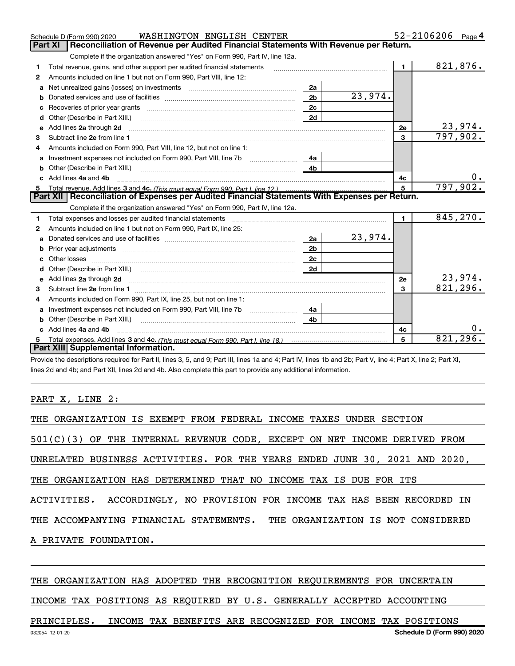|   | WASHINGTON ENGLISH CENTER<br>Schedule D (Form 990) 2020                                                                                                                                              |                |                |              | $52 - 2106206$ Page 4 |                            |
|---|------------------------------------------------------------------------------------------------------------------------------------------------------------------------------------------------------|----------------|----------------|--------------|-----------------------|----------------------------|
|   | Reconciliation of Revenue per Audited Financial Statements With Revenue per Return.<br><b>Part XI</b>                                                                                                |                |                |              |                       |                            |
|   | Complete if the organization answered "Yes" on Form 990, Part IV, line 12a.                                                                                                                          |                |                |              |                       |                            |
| 1 | Total revenue, gains, and other support per audited financial statements                                                                                                                             |                |                | $\mathbf{1}$ |                       | 821,876.                   |
| 2 | Amounts included on line 1 but not on Form 990, Part VIII, line 12:                                                                                                                                  |                |                |              |                       |                            |
| a |                                                                                                                                                                                                      | 2a             |                |              |                       |                            |
| b |                                                                                                                                                                                                      | 2 <sub>b</sub> | 23,974.        |              |                       |                            |
| с |                                                                                                                                                                                                      | 2c             |                |              |                       |                            |
| d | Other (Describe in Part XIII.)                                                                                                                                                                       | 2d             |                |              |                       |                            |
| е | Add lines 2a through 2d                                                                                                                                                                              |                |                | 2e           |                       | <u>23,974.</u><br>797,902. |
| 3 |                                                                                                                                                                                                      |                |                | $\mathbf{3}$ |                       |                            |
| 4 | Amounts included on Form 990, Part VIII, line 12, but not on line 1:                                                                                                                                 |                |                |              |                       |                            |
| a |                                                                                                                                                                                                      | 4a             |                |              |                       |                            |
|   | Other (Describe in Part XIII.)                                                                                                                                                                       | 4 <sub>b</sub> |                |              |                       |                            |
|   | Add lines 4a and 4b                                                                                                                                                                                  |                |                | 4c           |                       |                            |
| 5 |                                                                                                                                                                                                      |                |                | 5            |                       | 797,902.                   |
|   | Part XII   Reconciliation of Expenses per Audited Financial Statements With Expenses per Return.                                                                                                     |                |                |              |                       |                            |
|   | Complete if the organization answered "Yes" on Form 990, Part IV, line 12a.                                                                                                                          |                |                |              |                       |                            |
| 1 | Total expenses and losses per audited financial statements [11] [11] Total expenses and losses per audited financial statements [11] [11] Total expenses and losses per audited financial statements |                |                | $\mathbf{1}$ |                       | 845,270.                   |
| 2 | Amounts included on line 1 but not on Form 990, Part IX, line 25:                                                                                                                                    |                |                |              |                       |                            |
| a |                                                                                                                                                                                                      | 2a             | <u>23,974.</u> |              |                       |                            |
| b |                                                                                                                                                                                                      | 2 <sub>b</sub> |                |              |                       |                            |
|   |                                                                                                                                                                                                      | 2c             |                |              |                       |                            |
|   | Other (Describe in Part XIII.) (Contract and Contract and Chern Contract) (Chern Chern Chern Chern Chern Chern                                                                                       | 2d             |                |              |                       |                            |
| e | Add lines 2a through 2d <b>contained a contained a contained a contained a</b> contained a contained a contact the set                                                                               |                |                | <b>2e</b>    |                       | 23,974.                    |
| 3 |                                                                                                                                                                                                      |                |                | 3            |                       | 821, 296.                  |
| 4 | Amounts included on Form 990, Part IX, line 25, but not on line 1:                                                                                                                                   |                |                |              |                       |                            |
| a |                                                                                                                                                                                                      | 4a             |                |              |                       |                            |
|   |                                                                                                                                                                                                      | 4 <sub>b</sub> |                |              |                       |                            |
|   | Add lines 4a and 4b                                                                                                                                                                                  |                |                | 4с           |                       |                            |
|   |                                                                                                                                                                                                      |                |                | 5            |                       | 821, 296.                  |
|   | Part XIII Supplemental Information.                                                                                                                                                                  |                |                |              |                       |                            |

Provide the descriptions required for Part II, lines 3, 5, and 9; Part III, lines 1a and 4; Part IV, lines 1b and 2b; Part V, line 4; Part X, line 2; Part XI, lines 2d and 4b; and Part XII, lines 2d and 4b. Also complete this part to provide any additional information.

#### PART X, LINE 2:

| THE ORGANIZATION IS EXEMPT FROM FEDERAL INCOME TAXES UNDER SECTION          |
|-----------------------------------------------------------------------------|
| $501(C)(3)$ OF THE INTERNAL REVENUE CODE, EXCEPT ON NET INCOME DERIVED FROM |
| UNRELATED BUSINESS ACTIVITIES. FOR THE YEARS ENDED JUNE 30, 2021 AND 2020,  |
| THE ORGANIZATION HAS DETERMINED THAT NO INCOME TAX IS DUE FOR ITS           |
| ACTIVITIES. ACCORDINGLY, NO PROVISION FOR INCOME TAX HAS BEEN RECORDED IN   |
| THE ACCOMPANYING FINANCIAL STATEMENTS. THE ORGANIZATION IS NOT CONSIDERED   |
| A PRIVATE FOUNDATION.                                                       |
|                                                                             |

#### THE ORGANIZATION HAS ADOPTED THE RECOGNITION REQUIREMENTS FOR UNCERTAIN

INCOME TAX POSITIONS AS REQUIRED BY U.S. GENERALLY ACCEPTED ACCOUNTING

PRINCIPLES. INCOME TAX BENEFITS ARE RECOGNIZED FOR INCOME TAX POSITIONS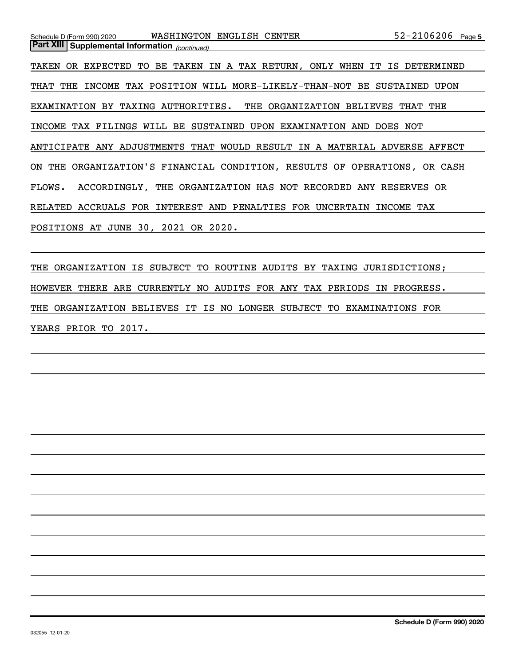| $52 - 2106206$ Page 5<br>WASHINGTON ENGLISH CENTER<br>Schedule D (Form 990) 2020 |
|----------------------------------------------------------------------------------|
| <b>Part XIII Supplemental Information</b> (continued)                            |
| TAKEN OR EXPECTED TO BE TAKEN IN A TAX RETURN, ONLY WHEN IT IS DETERMINED        |
| THAT THE INCOME TAX POSITION WILL MORE-LIKELY-THAN-NOT BE SUSTAINED UPON         |
| EXAMINATION BY TAXING AUTHORITIES. THE ORGANIZATION BELIEVES THAT THE            |
| INCOME TAX FILINGS WILL BE SUSTAINED UPON EXAMINATION AND DOES NOT               |
| ANTICIPATE ANY ADJUSTMENTS THAT WOULD RESULT IN A MATERIAL ADVERSE AFFECT        |
| ON THE ORGANIZATION'S FINANCIAL CONDITION, RESULTS OF OPERATIONS, OR CASH        |
| FLOWS. ACCORDINGLY, THE ORGANIZATION HAS NOT RECORDED ANY RESERVES OR            |
| RELATED ACCRUALS FOR INTEREST AND PENALTIES FOR UNCERTAIN INCOME TAX             |
| POSITIONS AT JUNE 30, 2021 OR 2020.                                              |

THE ORGANIZATION IS SUBJECT TO ROUTINE AUDITS BY TAXING JURISDICTIONS; HOWEVER THERE ARE CURRENTLY NO AUDITS FOR ANY TAX PERIODS IN PROGRESS. THE ORGANIZATION BELIEVES IT IS NO LONGER SUBJECT TO EXAMINATIONS FOR YEARS PRIOR TO 2017.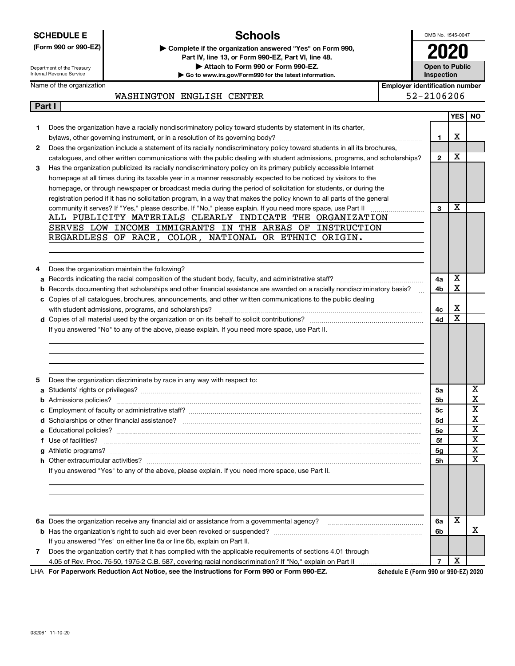|   | <b>SCHEDULE E</b>                                                                                                 | <b>Schools</b>                                                                                                                                                            |                                       | OMB No. 1545-0047     |                              |
|---|-------------------------------------------------------------------------------------------------------------------|---------------------------------------------------------------------------------------------------------------------------------------------------------------------------|---------------------------------------|-----------------------|------------------------------|
|   | (Form 990 or 990-EZ)                                                                                              | Complete if the organization answered "Yes" on Form 990,                                                                                                                  |                                       |                       |                              |
|   |                                                                                                                   | Part IV, line 13, or Form 990-EZ, Part VI, line 48.                                                                                                                       |                                       |                       |                              |
|   | Department of the Treasury<br>Internal Revenue Service                                                            | Attach to Form 990 or Form 990-EZ.<br>Go to www.irs.gov/Form990 for the latest information.                                                                               | <b>Inspection</b>                     | <b>Open to Public</b> |                              |
|   | Name of the organization                                                                                          |                                                                                                                                                                           | <b>Employer identification number</b> |                       |                              |
|   | WASHINGTON ENGLISH CENTER                                                                                         |                                                                                                                                                                           | 52-2106206                            |                       |                              |
|   | Part I                                                                                                            |                                                                                                                                                                           |                                       |                       |                              |
|   |                                                                                                                   |                                                                                                                                                                           |                                       |                       | YES   NO                     |
| 1 | Does the organization have a racially nondiscriminatory policy toward students by statement in its charter,       |                                                                                                                                                                           |                                       |                       |                              |
|   |                                                                                                                   |                                                                                                                                                                           | 1                                     | x                     |                              |
| 2 |                                                                                                                   | Does the organization include a statement of its racially nondiscriminatory policy toward students in all its brochures,                                                  |                                       |                       |                              |
|   |                                                                                                                   | catalogues, and other written communications with the public dealing with student admissions, programs, and scholarships?                                                 | $\mathbf{2}$                          | х                     |                              |
| 3 | Has the organization publicized its racially nondiscriminatory policy on its primary publicly accessible Internet |                                                                                                                                                                           |                                       |                       |                              |
|   |                                                                                                                   | homepage at all times during its taxable year in a manner reasonably expected to be noticed by visitors to the                                                            |                                       |                       |                              |
|   |                                                                                                                   | homepage, or through newspaper or broadcast media during the period of solicitation for students, or during the                                                           |                                       |                       |                              |
|   |                                                                                                                   | registration period if it has no solicitation program, in a way that makes the policy known to all parts of the general                                                   |                                       |                       |                              |
|   |                                                                                                                   | community it serves? If "Yes," please describe. If "No," please explain. If you need more space, use Part II<br>ALL PUBLICITY MATERIALS CLEARLY INDICATE THE ORGANIZATION | 3                                     | х                     |                              |
|   |                                                                                                                   | SERVES LOW INCOME IMMIGRANTS IN THE AREAS OF INSTRUCTION                                                                                                                  |                                       |                       |                              |
|   | REGARDLESS OF RACE, COLOR, NATIONAL OR ETHNIC ORIGIN.                                                             |                                                                                                                                                                           |                                       |                       |                              |
|   |                                                                                                                   |                                                                                                                                                                           |                                       |                       |                              |
|   |                                                                                                                   |                                                                                                                                                                           |                                       |                       |                              |
| 4 | Does the organization maintain the following?                                                                     |                                                                                                                                                                           |                                       |                       |                              |
| а | Records indicating the racial composition of the student body, faculty, and administrative staff?                 |                                                                                                                                                                           | 4a                                    | х                     |                              |
|   |                                                                                                                   | Records documenting that scholarships and other financial assistance are awarded on a racially nondiscriminatory basis?                                                   | 4b                                    | X                     |                              |
|   | c Copies of all catalogues, brochures, announcements, and other written communications to the public dealing      |                                                                                                                                                                           |                                       |                       |                              |
|   | with student admissions, programs, and scholarships?                                                              |                                                                                                                                                                           | 4с                                    | х                     |                              |
|   |                                                                                                                   |                                                                                                                                                                           |                                       |                       |                              |
|   |                                                                                                                   |                                                                                                                                                                           | 4d                                    | X                     |                              |
|   | If you answered "No" to any of the above, please explain. If you need more space, use Part II.                    |                                                                                                                                                                           |                                       |                       |                              |
|   |                                                                                                                   |                                                                                                                                                                           |                                       |                       |                              |
|   |                                                                                                                   |                                                                                                                                                                           |                                       |                       |                              |
|   |                                                                                                                   |                                                                                                                                                                           |                                       |                       |                              |
|   |                                                                                                                   |                                                                                                                                                                           |                                       |                       |                              |
| 5 | Does the organization discriminate by race in any way with respect to:                                            |                                                                                                                                                                           |                                       |                       |                              |
|   |                                                                                                                   |                                                                                                                                                                           | 5a                                    |                       | х<br>$\overline{\mathbf{v}}$ |
|   |                                                                                                                   |                                                                                                                                                                           | 5b                                    |                       | A                            |
|   |                                                                                                                   |                                                                                                                                                                           | 5c                                    |                       | Χ                            |
|   |                                                                                                                   |                                                                                                                                                                           | 5d                                    |                       | X                            |
|   |                                                                                                                   |                                                                                                                                                                           | 5е                                    |                       | X                            |
|   | f Use of facilities?                                                                                              |                                                                                                                                                                           | 5f                                    |                       | X                            |
|   |                                                                                                                   |                                                                                                                                                                           | 5g                                    |                       | X<br>X                       |
|   |                                                                                                                   |                                                                                                                                                                           | 5h                                    |                       |                              |
|   | If you answered "Yes" to any of the above, please explain. If you need more space, use Part II.                   |                                                                                                                                                                           |                                       |                       |                              |
|   |                                                                                                                   |                                                                                                                                                                           |                                       |                       |                              |
|   |                                                                                                                   |                                                                                                                                                                           |                                       |                       |                              |
|   |                                                                                                                   |                                                                                                                                                                           |                                       |                       |                              |
|   | 6a Does the organization receive any financial aid or assistance from a governmental agency?                      |                                                                                                                                                                           | 6a                                    | х                     |                              |
|   |                                                                                                                   |                                                                                                                                                                           | 6b                                    |                       | х                            |
|   | If you answered "Yes" on either line 6a or line 6b, explain on Part II.                                           |                                                                                                                                                                           |                                       |                       |                              |
| 7 | Does the organization certify that it has complied with the applicable requirements of sections 4.01 through      |                                                                                                                                                                           |                                       | х                     |                              |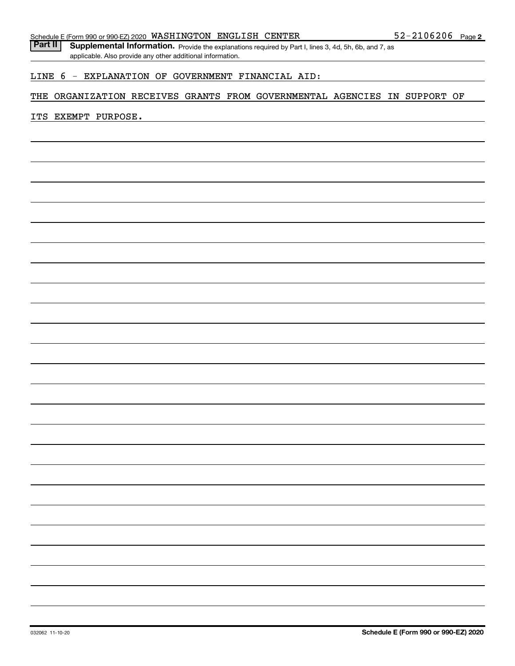Part II | Supplemental Information. Provide the explanations required by Part I, lines 3, 4d, 5h, 6b, and 7, as applicable. Also provide any other additional information.

#### LINE 6 - EXPLANATION OF GOVERNMENT FINANCIAL AID:

#### THE ORGANIZATION RECEIVES GRANTS FROM GOVERNMENTAL AGENCIES IN SUPPORT OF

#### ITS EXEMPT PURPOSE.